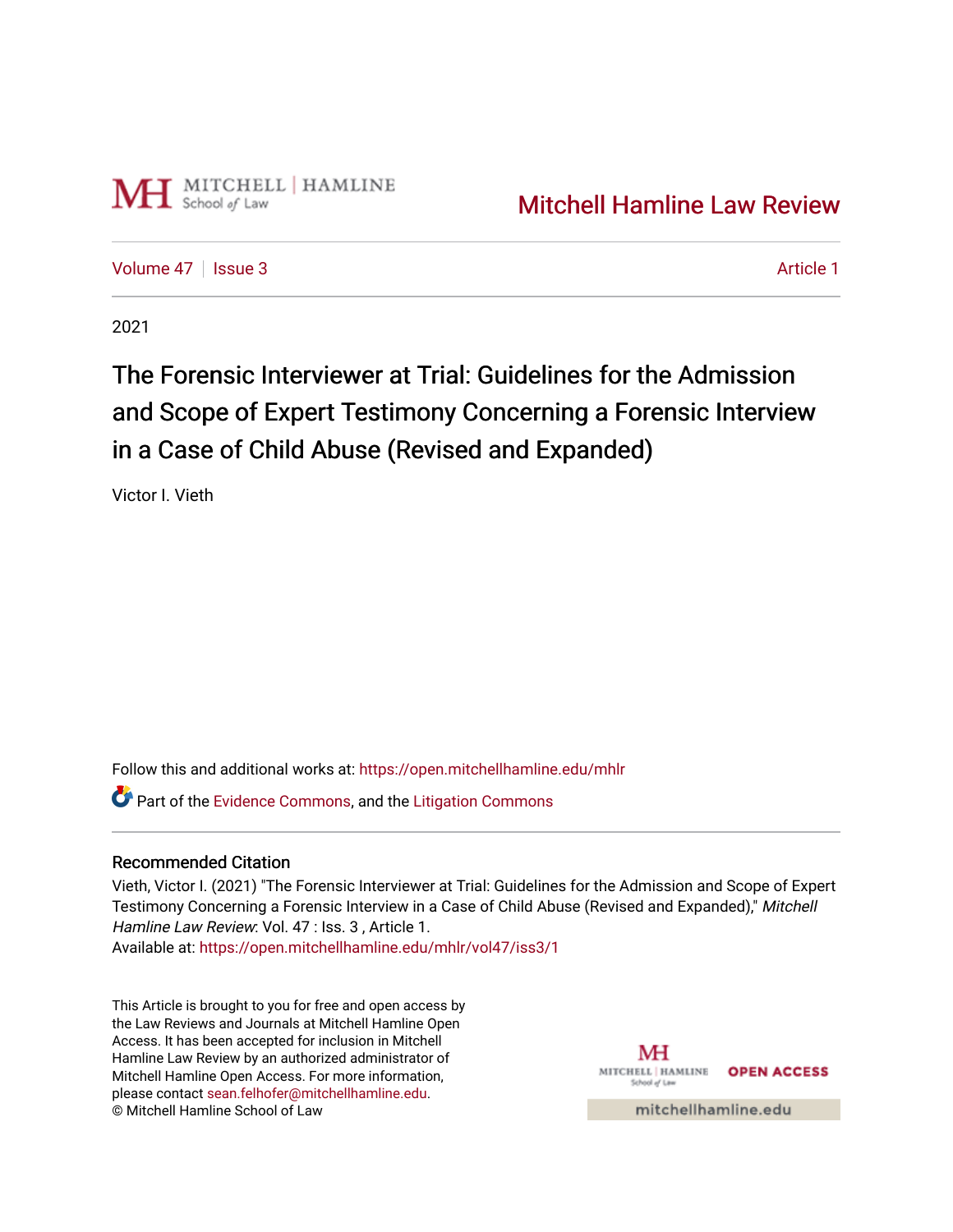

[Volume 47](https://open.mitchellhamline.edu/mhlr/vol47) | [Issue 3](https://open.mitchellhamline.edu/mhlr/vol47/iss3) Article 1

2021

# The Forensic Interviewer at Trial: Guidelines for the Admission and Scope of Expert Testimony Concerning a Forensic Interview in a Case of Child Abuse (Revised and Expanded)

Victor I. Vieth

Follow this and additional works at: [https://open.mitchellhamline.edu/mhlr](https://open.mitchellhamline.edu/mhlr?utm_source=open.mitchellhamline.edu%2Fmhlr%2Fvol47%2Fiss3%2F1&utm_medium=PDF&utm_campaign=PDFCoverPages) 

**P** Part of the [Evidence Commons,](http://network.bepress.com/hgg/discipline/601?utm_source=open.mitchellhamline.edu%2Fmhlr%2Fvol47%2Fiss3%2F1&utm_medium=PDF&utm_campaign=PDFCoverPages) and the Litigation Commons

# Recommended Citation

Vieth, Victor I. (2021) "The Forensic Interviewer at Trial: Guidelines for the Admission and Scope of Expert Testimony Concerning a Forensic Interview in a Case of Child Abuse (Revised and Expanded)," Mitchell Hamline Law Review: Vol. 47 : Iss. 3 , Article 1. Available at: [https://open.mitchellhamline.edu/mhlr/vol47/iss3/1](https://open.mitchellhamline.edu/mhlr/vol47/iss3/1?utm_source=open.mitchellhamline.edu%2Fmhlr%2Fvol47%2Fiss3%2F1&utm_medium=PDF&utm_campaign=PDFCoverPages) 

This Article is brought to you for free and open access by the Law Reviews and Journals at Mitchell Hamline Open Access. It has been accepted for inclusion in Mitchell Hamline Law Review by an authorized administrator of Mitchell Hamline Open Access. For more information, please contact [sean.felhofer@mitchellhamline.edu.](mailto:sean.felhofer@mitchellhamline.edu) © Mitchell Hamline School of Law

MH MITCHELL HAMLINE OPEN ACCESS School of Lav

mitchellhamline.edu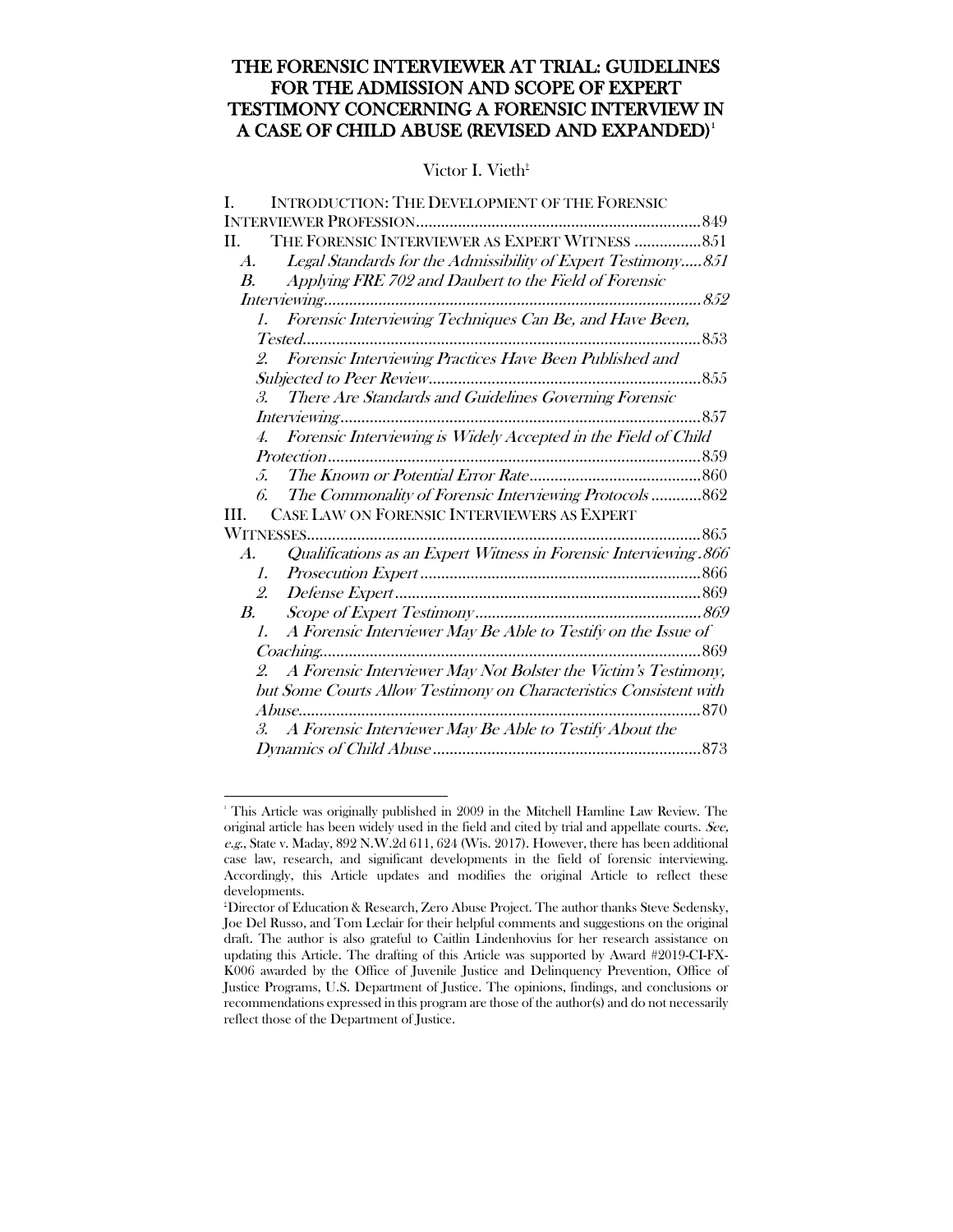# THE FORENSIC INTERVIEWER AT TRIAL: GUIDELINES FOR THE ADMISSION AND SCOPE OF EXPERT TESTIMONY CONCERNING A FORENSIC INTERVIEW IN A CASE OF CHILD ABUSE (REVISED AND EXPANDED)<sup>[1](#page-1-0)</sup>

## Victor I. Vieth<sup> $t$ </sup>

<span id="page-1-0"></span> $\frac{1}{1}$ <sup>1</sup> This Article was originally published in 2009 in the Mitchell Hamline Law Review. The original article has been widely used in the field and cited by trial and appellate courts. See, e.g., State v. Maday, 892 N.W.2d 611, 624 (Wis. 2017). However, there has been additional case law, research, and significant developments in the field of forensic interviewing. Accordingly, this Article updates and modifies the original Article to reflect these developments.

<sup>†</sup> Director of Education & Research, Zero Abuse Project. The author thanks Steve Sedensky, Joe Del Russo, and Tom Leclair for their helpful comments and suggestions on the original draft. The author is also grateful to Caitlin Lindenhovius for her research assistance on updating this Article. The drafting of this Article was supported by Award #2019-CI-FX-K006 awarded by the Office of Juvenile Justice and Delinquency Prevention, Office of Justice Programs, U.S. Department of Justice. The opinions, findings, and conclusions or recommendations expressed in this program are those of the author(s) and do not necessarily reflect those of the Department of Justice.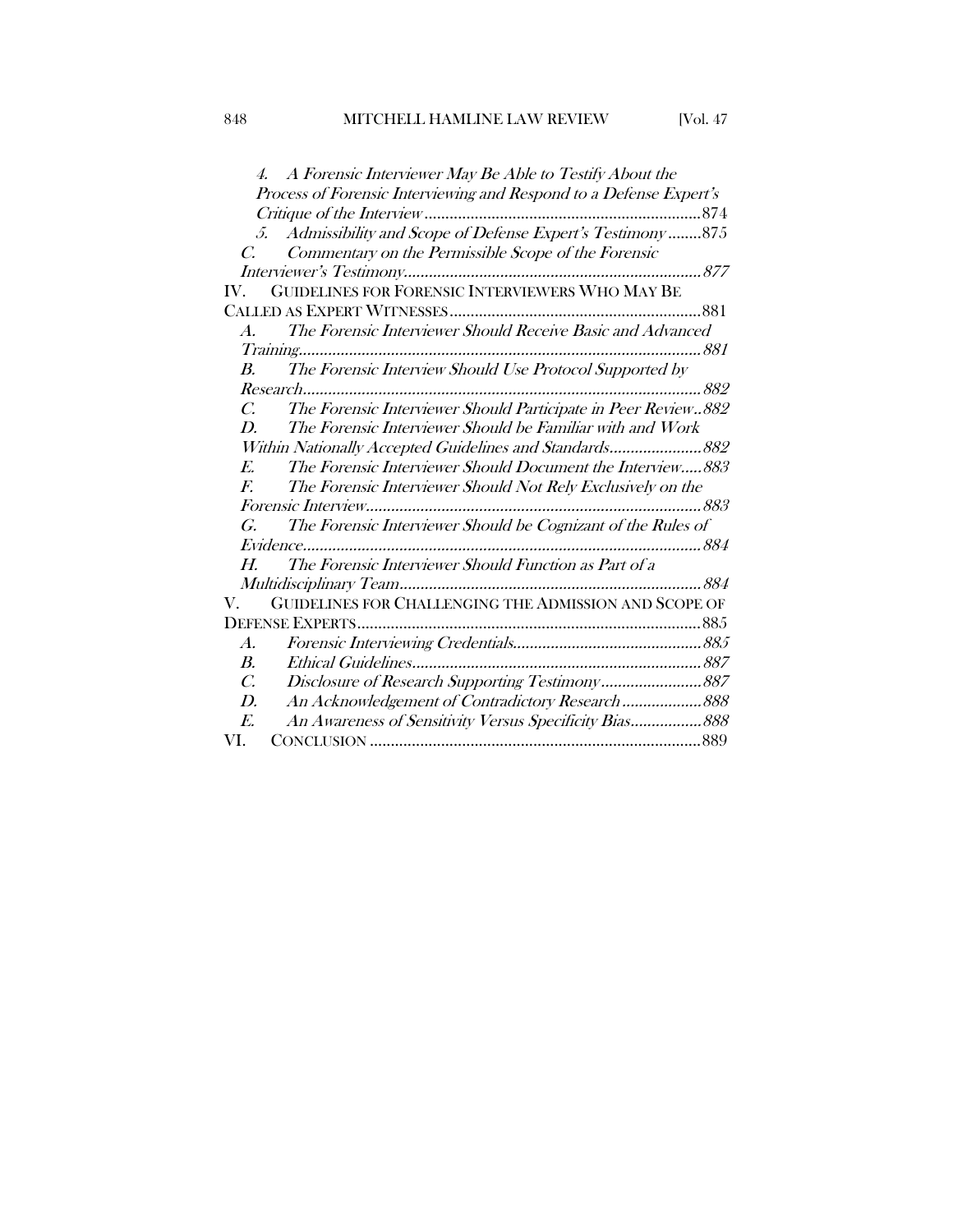| A Forensic Interviewer May Be Able to Testify About the                        |
|--------------------------------------------------------------------------------|
| Process of Forensic Interviewing and Respond to a Defense Expert's             |
|                                                                                |
| 5. Admissibility and Scope of Defense Expert's Testimony  875                  |
| Commentary on the Permissible Scope of the Forensic<br>C.                      |
|                                                                                |
| GUIDELINES FOR FORENSIC INTERVIEWERS WHO MAY BE<br>IV.                         |
|                                                                                |
| The Forensic Interviewer Should Receive Basic and Advanced<br>$A$ .            |
|                                                                                |
| The Forensic Interview Should Use Protocol Supported by<br>$\boldsymbol{B}$ .  |
|                                                                                |
| The Forensic Interviewer Should Participate in Peer Review882<br>$\mathcal{C}$ |
| The Forensic Interviewer Should be Familiar with and Work<br>D.                |
| Within Nationally Accepted Guidelines and Standards 882                        |
| The Forensic Interviewer Should Document the Interview883<br>E.                |
| $F_{\cdot}$<br>The Forensic Interviewer Should Not Rely Exclusively on the     |
|                                                                                |
| The Forensic Interviewer Should be Cognizant of the Rules of<br>G.             |
|                                                                                |
| The Forensic Interviewer Should Function as Part of a<br>H.                    |
|                                                                                |
| GUIDELINES FOR CHALLENGING THE ADMISSION AND SCOPE OF<br>V.                    |
|                                                                                |
| $\boldsymbol{A}$ .                                                             |
| B.                                                                             |
| $\mathcal{C}$ .                                                                |
| D.<br>An Acknowledgement of Contradictory Research  888                        |
| An Awareness of Sensitivity Versus Specificity Bias 888<br>E.                  |
| VI.                                                                            |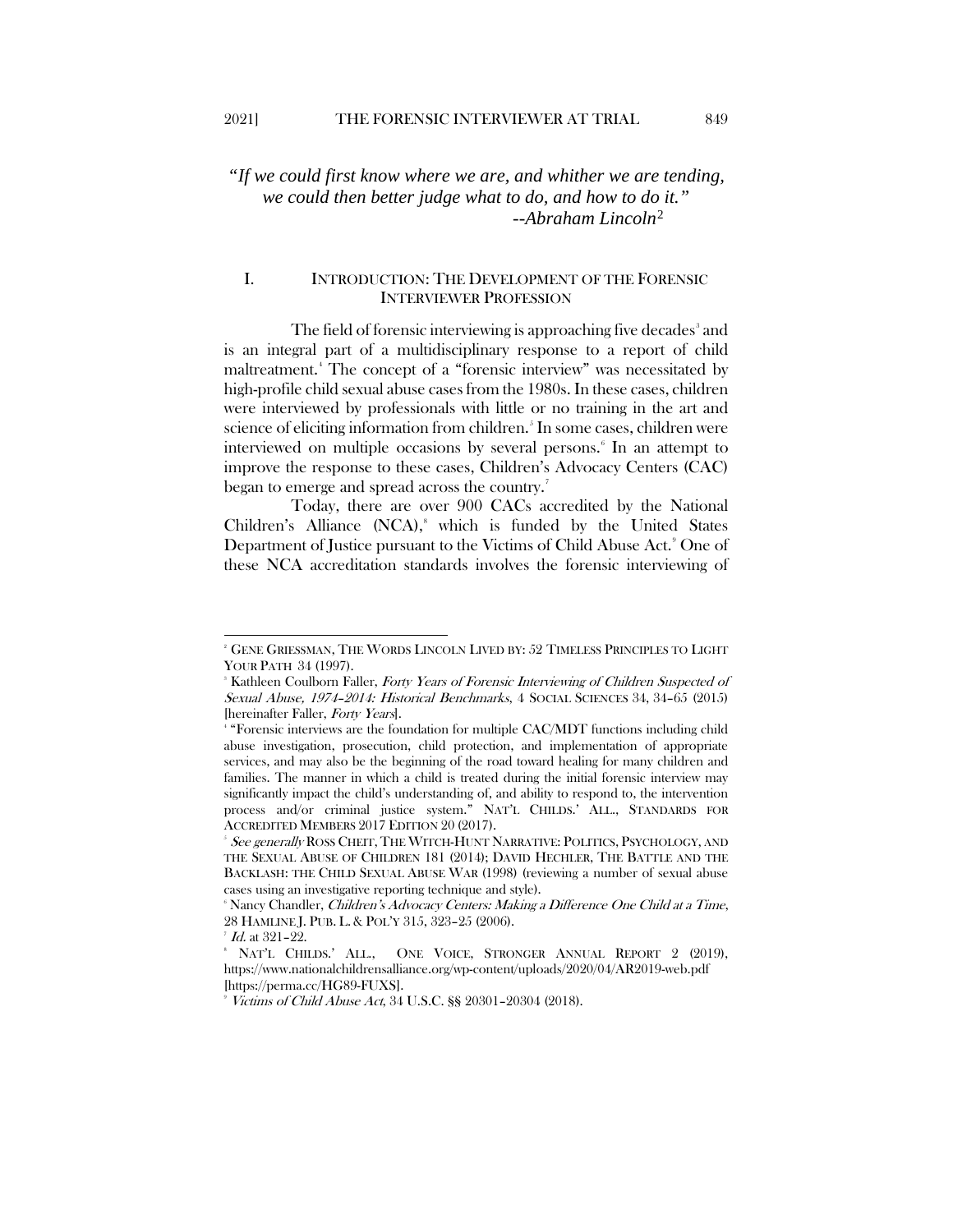# *"If we could first know where we are, and whither we are tending, we could then better judge what to do, and how to do it." --Abraham Lincoln*[2](#page-3-1)

## <span id="page-3-10"></span><span id="page-3-0"></span>I. INTRODUCTION: THE DEVELOPMENT OF THE FORENSIC INTERVIEWER PROFESSION

<span id="page-3-11"></span>The field of forensic interviewing is approaching five decades<sup>[3](#page-3-2)</sup> and is an integral part of a multidisciplinary response to a report of child maltreatment.[4](#page-3-3) The concept of a "forensic interview" was necessitated by high-profile child sexual abuse cases from the 1980s. In these cases, children were interviewed by professionals with little or no training in the art and science of eliciting information from children.<sup>5</sup> In some cases, children were interviewed on multiple occasions by several persons.<sup>[6](#page-3-5)</sup> In an attempt to improve the response to these cases, Children's Advocacy Centers (CAC) began to emerge and spread across the country.<sup>[7](#page-3-6)</sup>

<span id="page-3-9"></span>Today, there are over 900 CACs accredited by the National Children's Alliance (NCA),<sup>[8](#page-3-7)</sup> which is funded by the United States Department of Justice pursuant to the Victims of Child Abuse Act.<sup>[9](#page-3-8)</sup> One of these NCA accreditation standards involves the forensic interviewing of

<span id="page-3-1"></span><sup>2</sup> GENE GRIESSMAN, THE WORDS LINCOLN LIVED BY: 52 TIMELESS PRINCIPLES TO LIGHT YOUR PATH 34 (1997).

<span id="page-3-2"></span><sup>&</sup>lt;sup>8</sup> Kathleen Coulborn Faller, *Forty Years of Forensic Interviewing of Children Suspected of* Sexual Abuse, 1974–2014: Historical Benchmarks, 4 SOCIAL SCIENCES 34, 34–65 (2015) [hereinafter Faller, Forty Years].

<span id="page-3-3"></span><sup>4</sup> "Forensic interviews are the foundation for multiple CAC/MDT functions including child abuse investigation, prosecution, child protection, and implementation of appropriate services, and may also be the beginning of the road toward healing for many children and families. The manner in which a child is treated during the initial forensic interview may significantly impact the child's understanding of, and ability to respond to, the intervention process and/or criminal justice system." NAT'L CHILDS.' ALL., STANDARDS FOR ACCREDITED MEMBERS 2017 EDITION 20 (2017).

<span id="page-3-4"></span><sup>&</sup>lt;sup>5</sup> See generally ROSS CHEIT, THE WITCH-HUNT NARRATIVE: POLITICS, PSYCHOLOGY, AND THE SEXUAL ABUSE OF CHILDREN 181 (2014); DAVID HECHLER, THE BATTLE AND THE BACKLASH: THE CHILD SEXUAL ABUSE WAR (1998) (reviewing a number of sexual abuse cases using an investigative reporting technique and style).

<span id="page-3-5"></span><sup>&</sup>lt;sup>6</sup> Nancy Chandler, *Children's Advocacy Centers: Making a Difference One Child at a Time*, 28 HAMLINE J. PUB. L. & POL'Y 315, 323–25 (2006).

 $^7$  Id. at 321-22.

<span id="page-3-7"></span><span id="page-3-6"></span><sup>8</sup> NAT'L CHILDS.' ALL., ONE VOICE, STRONGER ANNUAL REPORT 2 (2019), https://www.nationalchildrensalliance.org/wp-content/uploads/2020/04/AR2019-web.pdf [https://perma.cc/HG89-FUXS].

<span id="page-3-8"></span>Victims of Child Abuse Act, 34 U.S.C. §§ 20301–20304 (2018).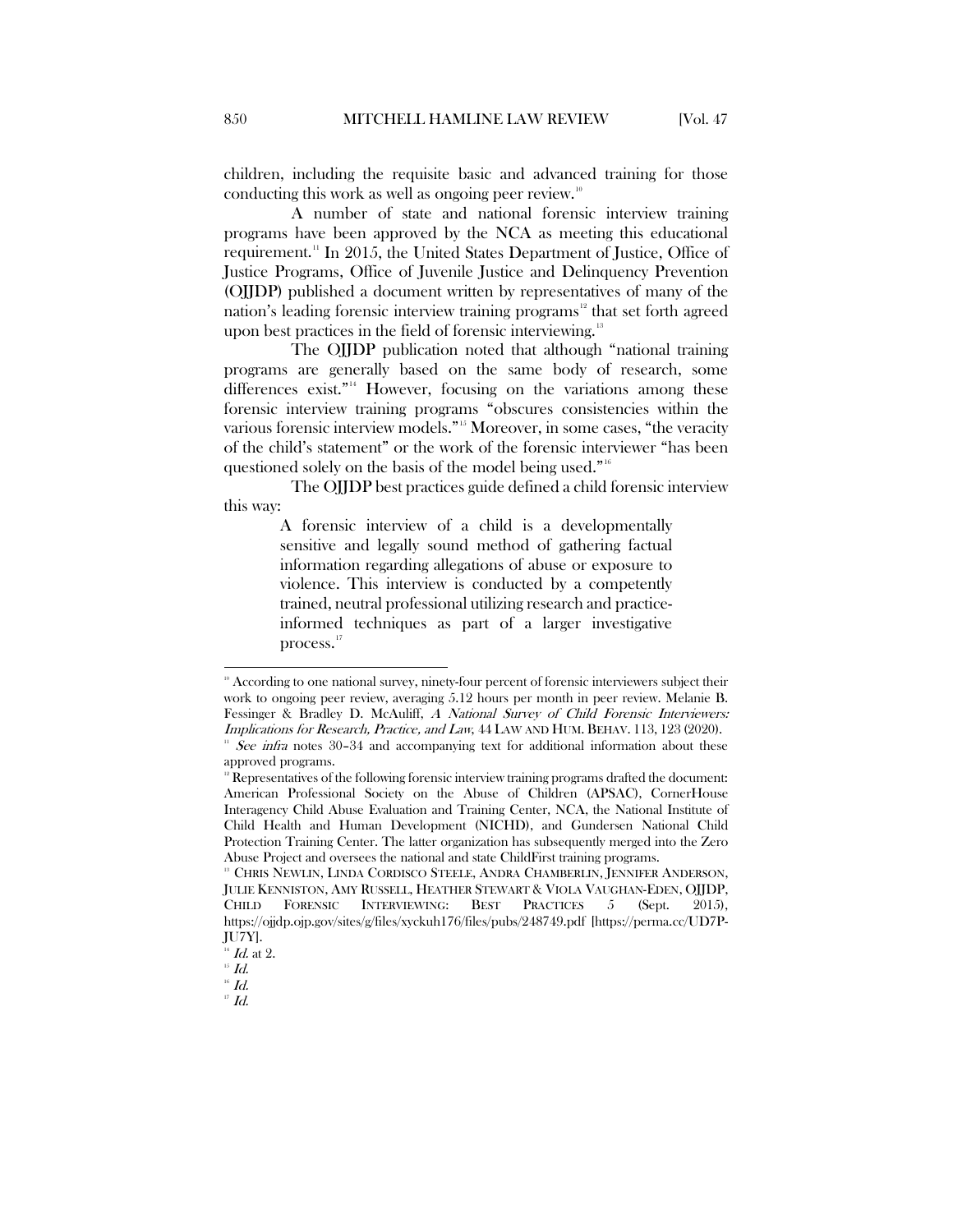children, including the requisite basic and advanced training for those conducting this work as well as ongoing peer review.<sup>[10](#page-4-0)</sup>

A number of state and national forensic interview training programs have been approved by the NCA as meeting this educational requirement.[11](#page-4-1) In 2015, the United States Department of Justice, Office of Justice Programs, Office of Juvenile Justice and Delinquency Prevention (OJJDP) published a document written by representatives of many of the nation's leading forensic interview training programs<sup>[12](#page-4-2)</sup> that set forth agreed upon best practices in the field of forensic interviewing.<sup>[13](#page-4-3)</sup>

<span id="page-4-8"></span>The OJJDP publication noted that although "national training programs are generally based on the same body of research, some differences exist."<sup>14</sup> However, focusing on the variations among these forensic interview training programs "obscures consistencies within the various forensic interview models."<sup>[15](#page-4-5)</sup> Moreover, in some cases, "the veracity of the child's statement" or the work of the forensic interviewer "has been questioned solely on the basis of the model being used."[16](#page-4-6)

The OJJDP best practices guide defined a child forensic interview this way:

> A forensic interview of a child is a developmentally sensitive and legally sound method of gathering factual information regarding allegations of abuse or exposure to violence. This interview is conducted by a competently trained, neutral professional utilizing research and practiceinformed techniques as part of a larger investigative process.<sup>[17](#page-4-7)</sup>

<span id="page-4-0"></span> $\degree$  According to one national survey, ninety-four percent of forensic interviewers subject their work to ongoing peer review, averaging 5.12 hours per month in peer review. Melanie B. Fessinger & Bradley D. McAuliff, A National Survey of Child Forensic Interviewers: Implications for Research, Practice, and Law, 44 LAW AND HUM. BEHAV. 113, 123 (2020).

<span id="page-4-1"></span> $11$  See infra notes 30-34 and accompanying text for additional information about these approved programs.

<span id="page-4-2"></span> $12$  Representatives of the following forensic interview training programs drafted the document: American Professional Society on the Abuse of Children (APSAC), CornerHouse Interagency Child Abuse Evaluation and Training Center, NCA, the National Institute of Child Health and Human Development (NICHD), and Gundersen National Child Protection Training Center. The latter organization has subsequently merged into the Zero Abuse Project and oversees the national and state ChildFirst training programs.

<span id="page-4-3"></span><sup>13</sup> CHRIS NEWLIN, LINDA CORDISCO STEELE, ANDRA CHAMBERLIN, JENNIFER ANDERSON, JULIE KENNISTON, AMY RUSSELL, HEATHER STEWART & VIOLA VAUGHAN-EDEN, OJJDP, CHILD FORENSIC INTERVIEWING: BEST PRACTICES 5 (Sept. 2015), https://ojjdp.ojp.gov/sites/g/files/xyckuh176/files/pubs/248749.pdf [https://perma.cc/UD7P-JU7Y].

 $\frac{1}{15}$  *Id.* at 2.

<span id="page-4-7"></span><span id="page-4-6"></span><span id="page-4-5"></span><span id="page-4-4"></span> $^{16}$   $Id.$ 

 $\mathbf{H}$  Id.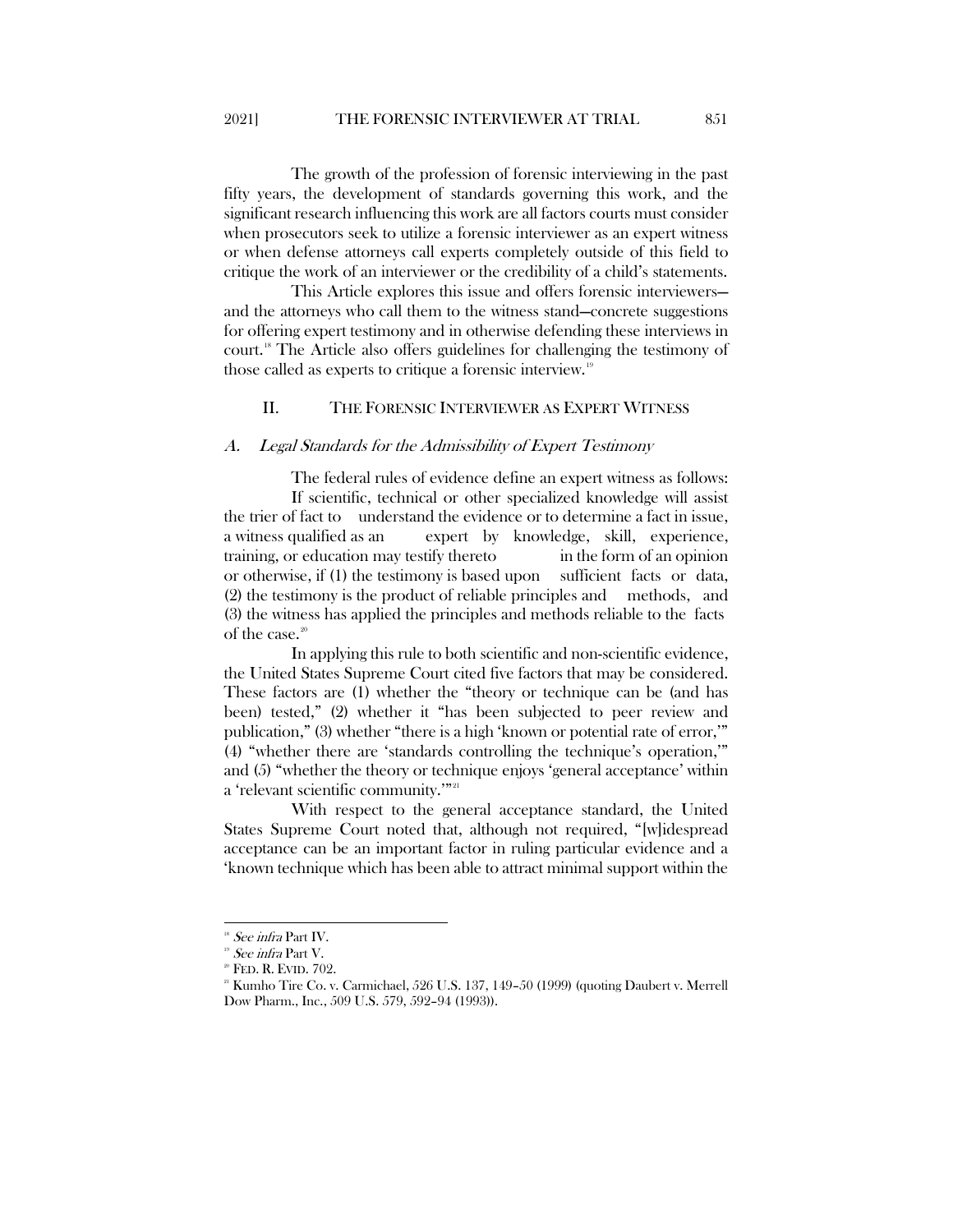The growth of the profession of forensic interviewing in the past fifty years, the development of standards governing this work, and the significant research influencing this work are all factors courts must consider when prosecutors seek to utilize a forensic interviewer as an expert witness or when defense attorneys call experts completely outside of this field to critique the work of an interviewer or the credibility of a child's statements.

This Article explores this issue and offers forensic interviewers and the attorneys who call them to the witness stand—concrete suggestions for offering expert testimony and in otherwise defending these interviews in court.[18](#page-5-2) The Article also offers guidelines for challenging the testimony of those called as experts to critique a forensic interview.<sup>[19](#page-5-3)</sup>

#### <span id="page-5-0"></span>II. THE FORENSIC INTERVIEWER AS EXPERT WITNESS

#### <span id="page-5-1"></span>A. Legal Standards for the Admissibility of Expert Testimony

The federal rules of evidence define an expert witness as follows: If scientific, technical or other specialized knowledge will assist the trier of fact to understand the evidence or to determine a fact in issue, a witness qualified as an expert by knowledge, skill, experience, training, or education may testify thereto in the form of an opinion or otherwise, if (1) the testimony is based upon sufficient facts or data, (2) the testimony is the product of reliable principles and methods, and (3) the witness has applied the principles and methods reliable to the facts of the case.<sup>[20](#page-5-4)</sup>

In applying this rule to both scientific and non-scientific evidence, the United States Supreme Court cited five factors that may be considered. These factors are (1) whether the "theory or technique can be (and has been) tested," (2) whether it "has been subjected to peer review and publication," (3) whether "there is a high 'known or potential rate of error,'" (4) "whether there are 'standards controlling the technique's operation,'" and (5) "whether the theory or technique enjoys 'general acceptance' within a 'relevant scientific community.'"<sup>[21](#page-5-5)</sup>

With respect to the general acceptance standard, the United States Supreme Court noted that, although not required, "[w]idespread acceptance can be an important factor in ruling particular evidence and a 'known technique which has been able to attract minimal support within the

<span id="page-5-2"></span>See infra Part IV.

<span id="page-5-3"></span>See infra Part V.

<span id="page-5-4"></span>FED. R. EVID. 702.

<span id="page-5-5"></span><sup>&</sup>lt;sup>21</sup> Kumho Tire Co. v. Carmichael, 526 U.S. 137, 149-50 (1999) (quoting Daubert v. Merrell Dow Pharm., Inc., 509 U.S. 579, 592–94 (1993)).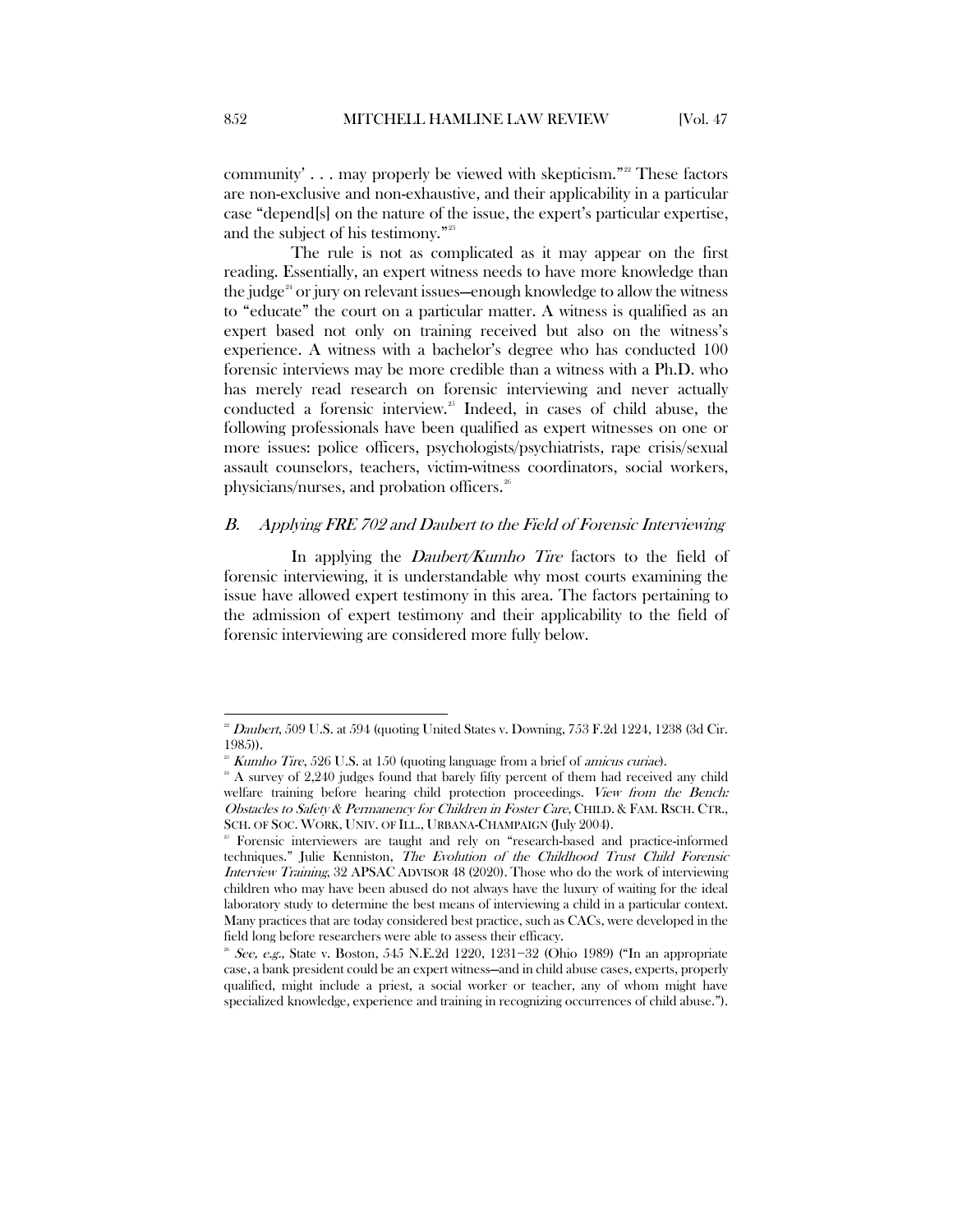community'  $\ldots$  may properly be viewed with skepticism."<sup>[22](#page-6-1)</sup> These factors are non-exclusive and non-exhaustive, and their applicability in a particular case "depend[s] on the nature of the issue, the expert's particular expertise, and the subject of his testimony."[23](#page-6-2)

The rule is not as complicated as it may appear on the first reading. Essentially, an expert witness needs to have more knowledge than the judge<sup> $24$ </sup> or jury on relevant issues—enough knowledge to allow the witness to "educate" the court on a particular matter. A witness is qualified as an expert based not only on training received but also on the witness's experience. A witness with a bachelor's degree who has conducted 100 forensic interviews may be more credible than a witness with a Ph.D. who has merely read research on forensic interviewing and never actually conducted a forensic interview.<sup>[25](#page-6-4)</sup> Indeed, in cases of child abuse, the following professionals have been qualified as expert witnesses on one or more issues: police officers, psychologists/psychiatrists, rape crisis/sexual assault counselors, teachers, victim-witness coordinators, social workers, physicians/nurses, and probation officers.<sup>[26](#page-6-5)</sup>

#### <span id="page-6-6"></span><span id="page-6-0"></span>B. Applying FRE 702 and Daubert to the Field of Forensic Interviewing

In applying the *Daubert/Kumho Tire* factors to the field of forensic interviewing, it is understandable why most courts examining the issue have allowed expert testimony in this area. The factors pertaining to the admission of expert testimony and their applicability to the field of forensic interviewing are considered more fully below.

<span id="page-6-1"></span><sup>22</sup> Daubert, 509 U.S. at 594 (quoting United States v. Downing, 753 F.2d 1224, 1238 (3d Cir. 1985)).

 $28$  Kumho Tire, 526 U.S. at 150 (quoting language from a brief of *amicus curiae*).

<span id="page-6-3"></span><span id="page-6-2"></span> $24$  A survey of 2,240 judges found that barely fifty percent of them had received any child welfare training before hearing child protection proceedings. View from the Bench: Obstacles to Safety & Permanency for Children in Foster Care, CHILD. & FAM. RSCH. CTR., SCH. OF SOC. WORK, UNIV. OF ILL., URBANA-CHAMPAIGN (July 2004).

<span id="page-6-4"></span><sup>25</sup> Forensic interviewers are taught and rely on "research-based and practice-informed techniques." Julie Kenniston, The Evolution of the Childhood Trust Child Forensic Interview Training, 32 APSAC ADVISOR 48 (2020). Those who do the work of interviewing children who may have been abused do not always have the luxury of waiting for the ideal laboratory study to determine the best means of interviewing a child in a particular context. Many practices that are today considered best practice, such as CACs, were developed in the field long before researchers were able to assess their efficacy.

<span id="page-6-5"></span><sup>&</sup>lt;sup>8</sup> See, e.g., State v. Boston, 545 N.E.2d 1220, 1231−32 (Ohio 1989) ("In an appropriate case, a bank president could be an expert witness—and in child abuse cases, experts, properly qualified, might include a priest, a social worker or teacher, any of whom might have specialized knowledge, experience and training in recognizing occurrences of child abuse.").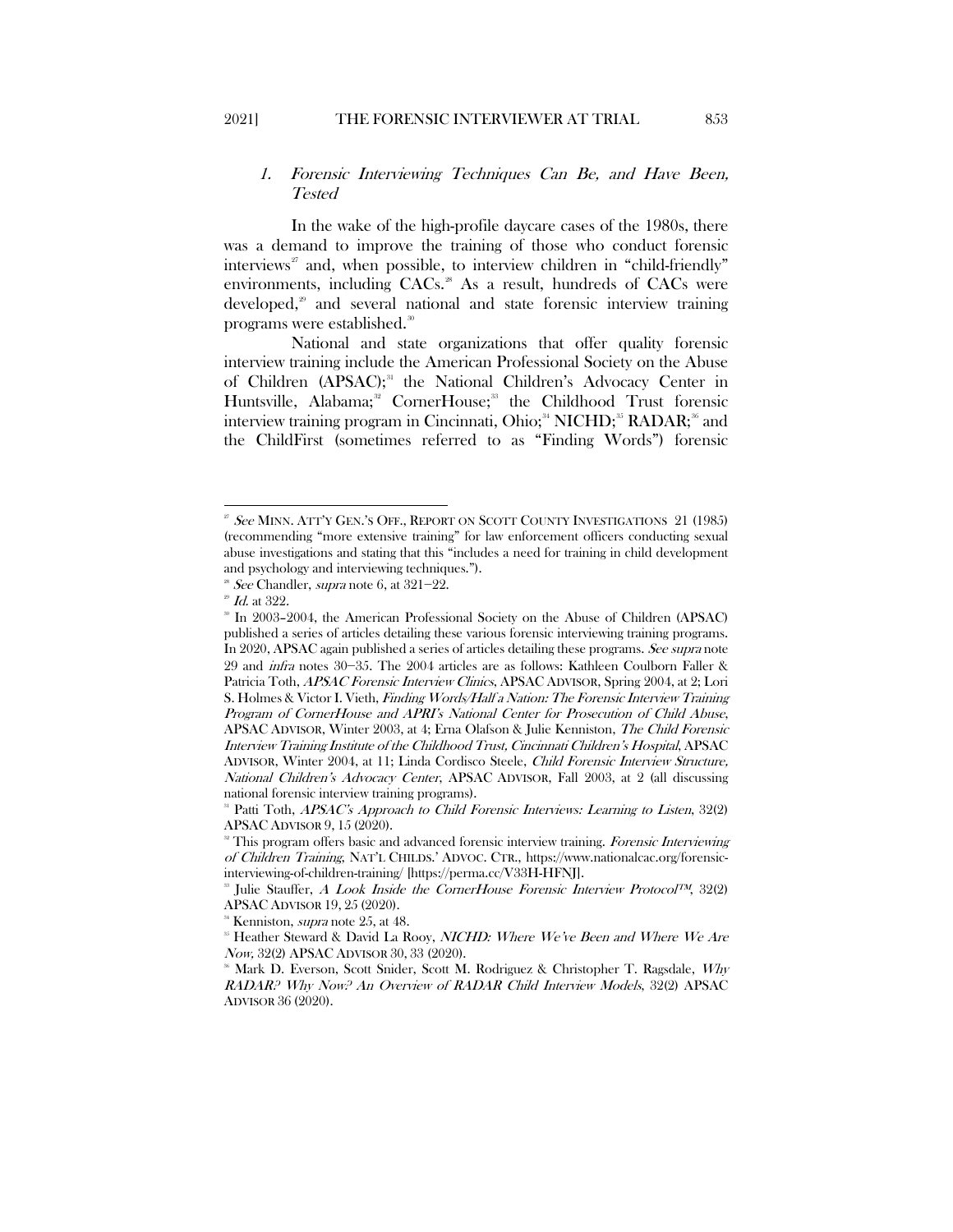### <span id="page-7-0"></span>1. Forensic Interviewing Techniques Can Be, and Have Been, Tested

In the wake of the high-profile daycare cases of the 1980s, there was a demand to improve the training of those who conduct forensic interviews<sup>[27](#page-7-1)</sup> and, when possible, to interview children in "child-friendly" environments, including CACs.<sup>[28](#page-7-2)</sup> As a result, hundreds of CACs were developed,<sup>[29](#page-7-3)</sup> and several national and state forensic interview training programs were established. $^{\text{\tiny{30}}}$  $^{\text{\tiny{30}}}$  $^{\text{\tiny{30}}}$ 

<span id="page-7-12"></span><span id="page-7-11"></span>National and state organizations that offer quality forensic interview training include the American Professional Society on the Abuse of Children (APSAC);<sup>[31](#page-7-5)</sup> the National Children's Advocacy Center in Huntsville, Alabama;<sup>[32](#page-7-6)</sup> CornerHouse;<sup>[33](#page-7-7)</sup> the Childhood Trust forensic interview training program in Cincinnati, Ohio;<sup>[34](#page-7-8)</sup> NICHD;<sup>[35](#page-7-9)</sup> RADAR;<sup>36</sup> and the ChildFirst (sometimes referred to as "Finding Words") forensic

<span id="page-7-1"></span><sup>&</sup>lt;sup>27</sup> See MINN. ATT'Y GEN.'S OFF., REPORT ON SCOTT COUNTY INVESTIGATIONS 21 (1985) (recommending "more extensive training" for law enforcement officers conducting sexual abuse investigations and stating that this "includes a need for training in child development and psychology and interviewing techniques.").

<span id="page-7-2"></span><sup>&</sup>lt;sup>28</sup> See Chandler, *supra* note [6,](#page-3-9) at  $321-22$ .

 $2^{\circ}$  *Id.* at 322.

<span id="page-7-4"></span><span id="page-7-3"></span><sup>&</sup>lt;sup>30</sup> In 2003-2004, the American Professional Society on the Abuse of Children (APSAC) published a series of articles detailing these various forensic interviewing training programs. In 2020, APSAC again published a series of articles detailing these programs. See supra note 29 and infra notes 30−35. The 2004 articles are as follows: Kathleen Coulborn Faller & Patricia Toth, APSAC Forensic Interview Clinics, APSAC ADVISOR, Spring 2004, at 2; Lori S. Holmes & Victor I. Vieth, Finding Words/Half a Nation: The Forensic Interview Training Program of CornerHouse and APRI's National Center for Prosecution of Child Abuse, APSAC ADVISOR, Winter 2003, at 4; Erna Olafson & Julie Kenniston, The Child Forensic Interview Training Institute of the Childhood Trust, Cincinnati Children's Hospital, APSAC ADVISOR, Winter 2004, at 11; Linda Cordisco Steele, Child Forensic Interview Structure, National Children's Advocacy Center, APSAC ADVISOR, Fall 2003, at 2 (all discussing national forensic interview training programs).

<span id="page-7-5"></span>Patti Toth, APSAC's Approach to Child Forensic Interviews: Learning to Listen, 32(2) APSAC ADVISOR 9, 15 (2020).<br><sup>32</sup> This program offers basic and advanced forensic interview training. *Forensic Interviewing* 

<span id="page-7-6"></span>of Children Training, NAT'L CHILDS.' ADVOC. CTR., https://www.nationalcac.org/forensicinterviewing-of-children-training/ [https://perma.cc/V33H-HFNJ].

<span id="page-7-7"></span><sup>&</sup>lt;sup>33</sup> Julie Stauffer, A Look Inside the CornerHouse Forensic Interview Protocol<sup>TM</sup>, 32(2) APSAC ADVISOR 19, 25 (2020).

<span id="page-7-9"></span><span id="page-7-8"></span>Kenniston, *supra* not[e 25,](#page-6-6) at 48.<br>Heather Steward & David La Rooy, *NICHD: Where We've Been and Where We Are* Now, 32(2) APSAC ADVISOR 30, 33 (2020).

<span id="page-7-10"></span>Mark D. Everson, Scott Snider, Scott M. Rodriguez & Christopher T. Ragsdale, Why RADAR? Why Now? An Overview of RADAR Child Interview Models, 32(2) APSAC ADVISOR 36 (2020).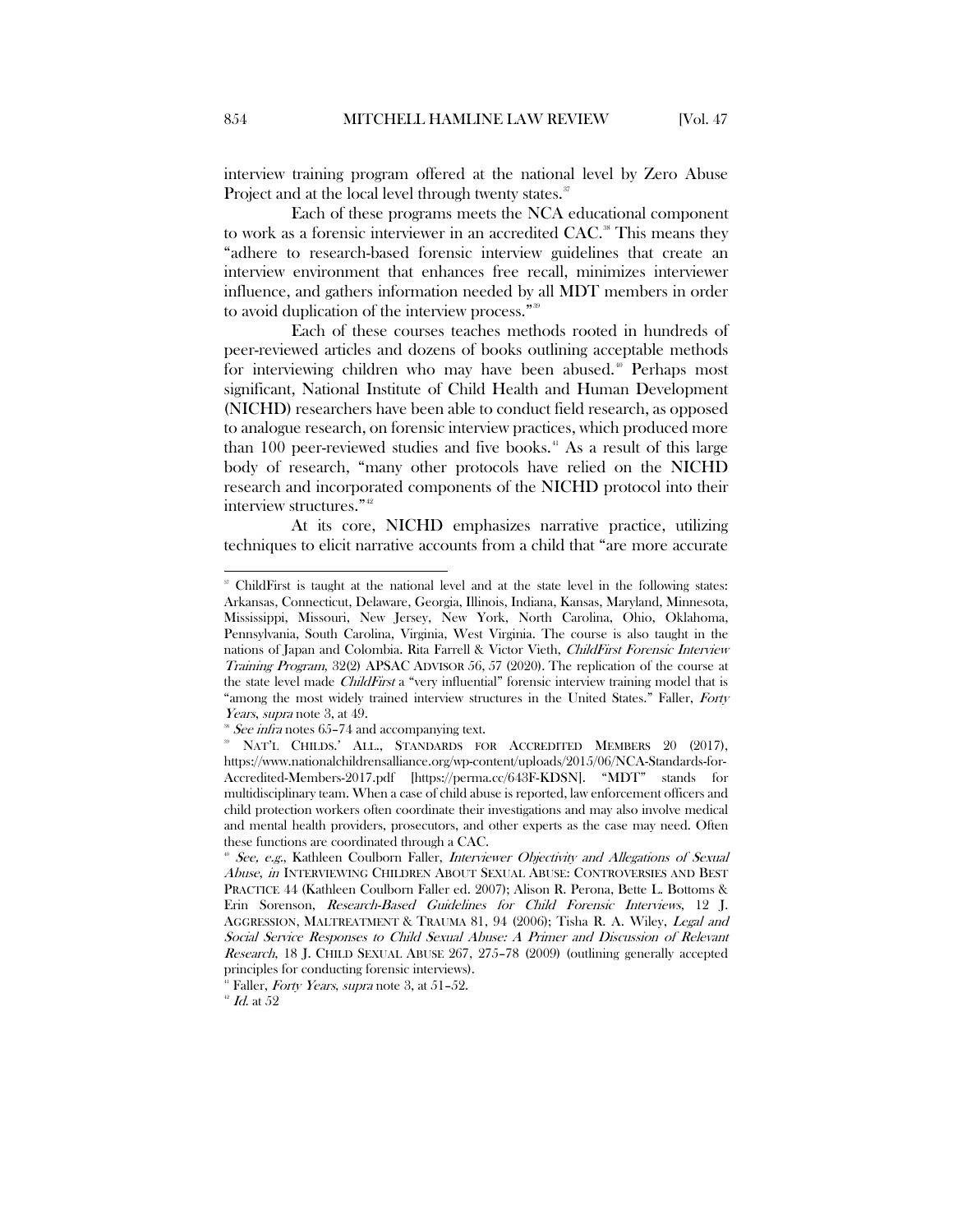interview training program offered at the national level by Zero Abuse Project and at the local level through twenty states.<sup>[37](#page-8-0)</sup>

Each of these programs meets the NCA educational component to work as a forensic interviewer in an accredited CAC.<sup>[38](#page-8-1)</sup> This means they "adhere to research-based forensic interview guidelines that create an interview environment that enhances free recall, minimizes interviewer influence, and gathers information needed by all MDT members in order to avoid duplication of the interview process."<sup>[39](#page-8-2)</sup>

<span id="page-8-6"></span>Each of these courses teaches methods rooted in hundreds of peer-reviewed articles and dozens of books outlining acceptable methods for interviewing children who may have been abused.<sup>[40](#page-8-3)</sup> Perhaps most significant, National Institute of Child Health and Human Development (NICHD) researchers have been able to conduct field research, as opposed to analogue research, on forensic interview practices, which produced more than 100 peer-reviewed studies and five books. $4$  As a result of this large body of research, "many other protocols have relied on the NICHD research and incorporated components of the NICHD protocol into their interview structures."<sup>[42](#page-8-5)</sup>

At its core, NICHD emphasizes narrative practice, utilizing techniques to elicit narrative accounts from a child that "are more accurate

<span id="page-8-0"></span> <sup>37</sup> ChildFirst is taught at the national level and at the state level in the following states: Arkansas, Connecticut, Delaware, Georgia, Illinois, Indiana, Kansas, Maryland, Minnesota, Mississippi, Missouri, New Jersey, New York, North Carolina, Ohio, Oklahoma, Pennsylvania, South Carolina, Virginia, West Virginia. The course is also taught in the nations of Japan and Colombia. Rita Farrell & Victor Vieth, ChildFirst Forensic Interview Training Program, 32(2) APSAC ADVISOR 56, 57 (2020). The replication of the course at the state level made ChildFirst a "very influential" forensic interview training model that is "among the most widely trained interview structures in the United States." Faller, Forty *Years, supra* note 3, at 49.<br><sup>\*</sup> *See infra* notes 65-74 and accompanying text.

<span id="page-8-2"></span><span id="page-8-1"></span><sup>&</sup>lt;sup>39</sup> NAT'L CHILDS.' ALL., STANDARDS FOR ACCREDITED MEMBERS 20 (2017), https://www.nationalchildrensalliance.org/wp-content/uploads/2015/06/NCA-Standards-for-Accredited-Members-2017.pdf [https://perma.cc/643F-KDSN]. "MDT" stands for multidisciplinary team. When a case of child abuse is reported, law enforcement officers and child protection workers often coordinate their investigations and may also involve medical and mental health providers, prosecutors, and other experts as the case may need. Often these functions are coordinated through a CAC.

<span id="page-8-3"></span><sup>&</sup>lt;sup>40</sup> See, e.g., Kathleen Coulborn Faller, *Interviewer Objectivity and Allegations of Sexual* Abuse, in INTERVIEWING CHILDREN ABOUT SEXUAL ABUSE: CONTROVERSIES AND BEST PRACTICE 44 (Kathleen Coulborn Faller ed. 2007); Alison R. Perona, Bette L. Bottoms & Erin Sorenson, Research-Based Guidelines for Child Forensic Interviews, 12 J. AGGRESSION, MALTREATMENT & TRAUMA 81, 94 (2006); Tisha R. A. Wiley, Legal and Social Service Responses to Child Sexual Abuse: A Primer and Discussion of Relevant Research, 18 J. CHILD SEXUAL ABUSE 267, 275–78 (2009) (outlining generally accepted principles for conducting forensic interviews).

 $^1$  Faller, *Forty Years, supra* not[e 3,](#page-3-10) at 51-52.

<span id="page-8-5"></span><span id="page-8-4"></span> $^{\circ}$   $\emph{Id.}$  at  $52$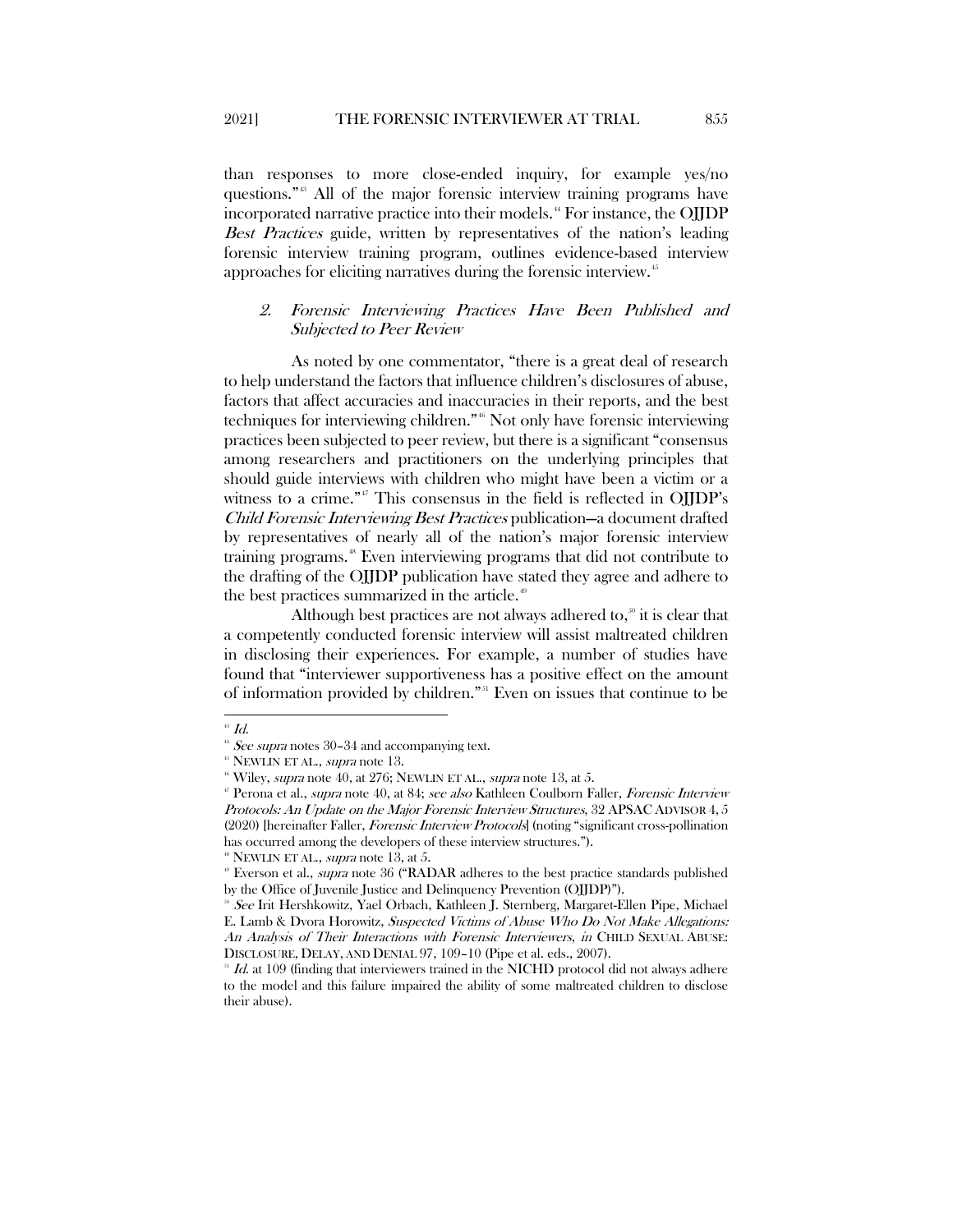than responses to more close-ended inquiry, for example yes/no questions.["43](#page-9-1) All of the major forensic interview training programs have incorporated narrative practice into their models.<sup>[44](#page-9-2)</sup> For instance, the OJJDP Best Practices guide, written by representatives of the nation's leading forensic interview training program, outlines evidence-based interview approaches for eliciting narratives during the forensic interview.<sup>[45](#page-9-3)</sup>

### <span id="page-9-0"></span>2. Forensic Interviewing Practices Have Been Published and Subjected to Peer Review

As noted by one commentator, "there is a great deal of research to help understand the factors that influence children's disclosures of abuse, factors that affect accuracies and inaccuracies in their reports, and the best techniques for interviewing children."<sup>[46](#page-9-4)</sup> Not only have forensic interviewing practices been subjected to peer review, but there is a significant "consensus among researchers and practitioners on the underlying principles that should guide interviews with children who might have been a victim or a witness to a crime."<sup>[47](#page-9-5)</sup> This consensus in the field is reflected in OJJDP's Child Forensic Interviewing Best Practices publication—a document drafted by representatives of nearly all of the nation's major forensic interview training programs.<sup>[48](#page-9-6)</sup> Even interviewing programs that did not contribute to the drafting of the OJJDP publication have stated they agree and adhere to the best practices summarized in the article.<sup>[49](#page-9-7)</sup>

Although best practices are not always adhered to, $\delta$  it is clear that a competently conducted forensic interview will assist maltreated children in disclosing their experiences. For example, a number of studies have found that "interviewer supportiveness has a positive effect on the amount of information provided by children."[51](#page-9-9) Even on issues that continue to be

<span id="page-9-2"></span><span id="page-9-1"></span> $\mathbf{H}$   $Id.$ 

<span id="page-9-4"></span><span id="page-9-3"></span>

<sup>&</sup>lt;sup>44</sup> See supr[a](#page-7-11) notes 30–34 and accompanying text.<br><sup>45</sup> NEWLIN ET AL., *supra* note 13.<br><sup>46</sup> Wiley, *supra* not[e 40,](#page-8-6) at 276; NEWLIN ET AL., *supra* note [13,](#page-4-8) at 5.

<span id="page-9-5"></span><sup>&</sup>lt;sup>*v*</sup> Perona et al., *supra* note 40, at 84; see also Kathleen Coulborn Faller, Forensic Interview Protocols: An Update on the Major Forensic Interview Structures, 32 APSAC ADVISOR 4, 5 (2020) [hereinafter Faller, Forensic Interview Protocols] (noting "significant cross-pollination has occurred among the developers of these interview structures.").

<span id="page-9-6"></span> $48$  NEWLIN ET AL., *supra* note 13, at 5.

<span id="page-9-7"></span><sup>&</sup>lt;sup>®</sup> Everson et al., *supra* note [36](#page-7-12) ("RADAR adheres to the best practice standards published by the Office of Juvenile Justice and Delinquency Prevention (OJJDP)").

<span id="page-9-8"></span><sup>&</sup>lt;sup>®</sup> See Irit Hershkowitz, Yael Orbach, Kathleen J. Sternberg, Margaret-Ellen Pipe, Michael E. Lamb & Dvora Horowitz, Suspected Victims of Abuse Who Do Not Make Allegations: An Analysis of Their Interactions with Forensic Interviewers, in CHILD SEXUAL ABUSE: DISCLOSURE, DELAY, AND DENIAL 97, 109–10 (Pipe et al. eds., 2007).

<span id="page-9-9"></span>Id. at 109 (finding that interviewers trained in the NICHD protocol did not always adhere to the model and this failure impaired the ability of some maltreated children to disclose their abuse).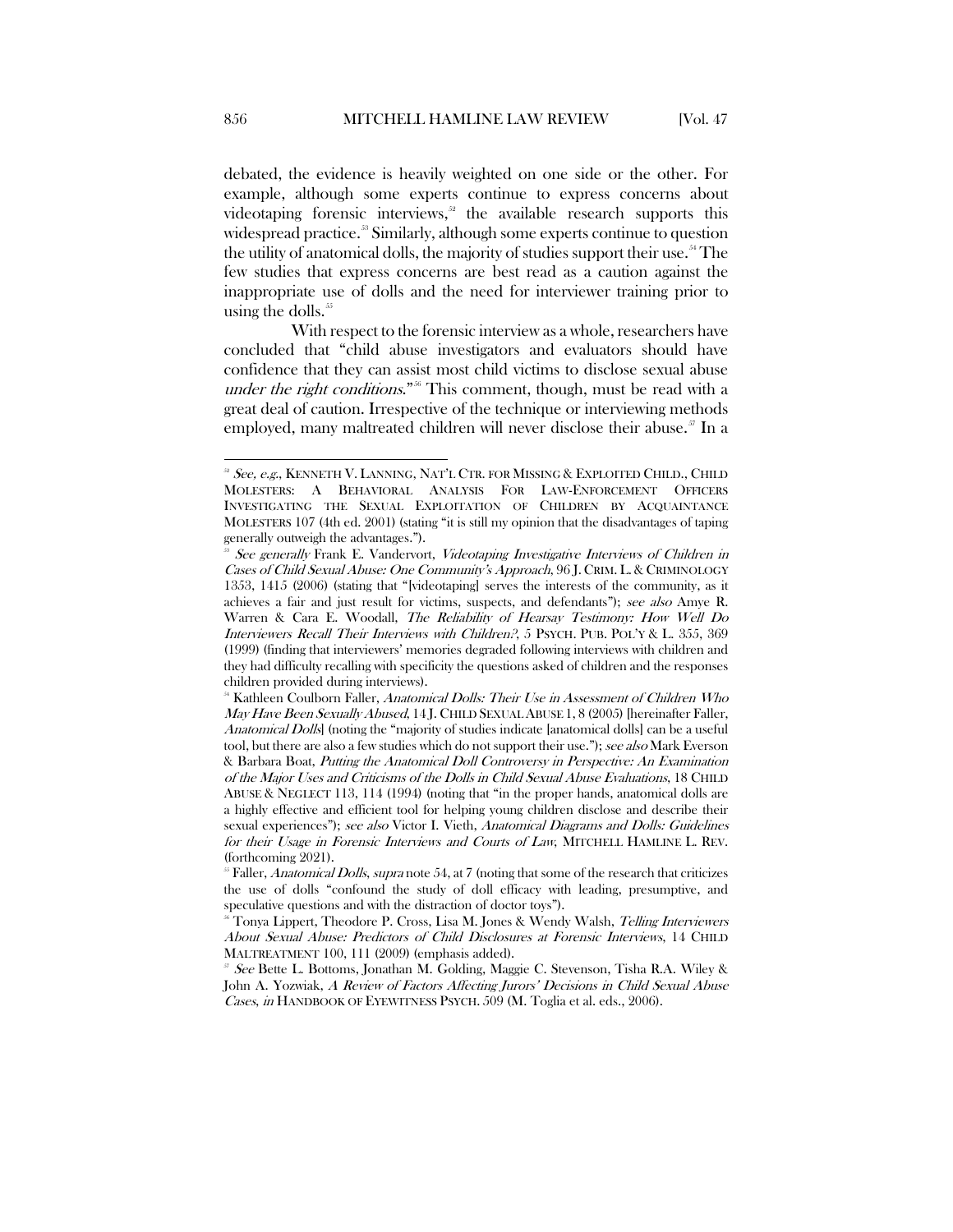<span id="page-10-0"></span>debated, the evidence is heavily weighted on one side or the other. For example, although some experts continue to express concerns about videotaping forensic interviews, $52$  the available research supports this widespread practice.<sup>[53](#page-10-2)</sup> Similarly, although some experts continue to question the utility of anatomical dolls, the majority of studies support their use.<sup>[54](#page-10-3)</sup> The few studies that express concerns are best read as a caution against the inappropriate use of dolls and the need for interviewer training prior to using the dolls. $55$ 

With respect to the forensic interview as a whole, researchers have concluded that "child abuse investigators and evaluators should have confidence that they can assist most child victims to disclose sexual abuse under the right conditions."<sup>[56](#page-10-5)</sup> This comment, though, must be read with a great deal of caution. Irrespective of the technique or interviewing methods employed, many maltreated children will never disclose their abuse.<sup>[57](#page-10-6)</sup> In a

<span id="page-10-1"></span><sup>&</sup>lt;sup>22</sup> See, e.g., KENNETH V. LANNING, NAT'L CTR. FOR MISSING & EXPLOITED CHILD., CHILD MOLESTERS: A BEHAVIORAL ANALYSIS FOR LAW-ENFORCEMENT OFFICERS INVESTIGATING THE SEXUAL EXPLOITATION OF CHILDREN BY ACQUAINTANCE MOLESTERS 107 (4th ed. 2001) (stating "it is still my opinion that the disadvantages of taping generally outweigh the advantages.").

<span id="page-10-2"></span>See generally Frank E. Vandervort, Videotaping Investigative Interviews of Children in Cases of Child Sexual Abuse: One Community's Approach, 96 J. CRIM. L. & CRIMINOLOGY 1353, 1415 (2006) (stating that "[videotaping] serves the interests of the community, as it achieves a fair and just result for victims, suspects, and defendants"); see also Amye R. Warren & Cara E. Woodall, The Reliability of Hearsay Testimony: How Well Do Interviewers Recall Their Interviews with Children?, 5 PSYCH. PUB. POL'Y & L. 355, 369 (1999) (finding that interviewers' memories degraded following interviews with children and they had difficulty recalling with specificity the questions asked of children and the responses children provided during interviews).

<span id="page-10-3"></span><sup>&</sup>lt;sup>54</sup> Kathleen Coulborn Faller, Anatomical Dolls: Their Use in Assessment of Children Who May Have Been Sexually Abused, 14 J. CHILD SEXUAL ABUSE 1, 8 (2005) [hereinafter Faller, Anatomical Dolls] (noting the "majority of studies indicate [anatomical dolls] can be a useful tool, but there are also a few studies which do not support their use."); see also Mark Everson & Barbara Boat, Putting the Anatomical Doll Controversy in Perspective: An Examination of the Major Uses and Criticisms of the Dolls in Child Sexual Abuse Evaluations, 18 CHILD ABUSE & NEGLECT 113, 114 (1994) (noting that "in the proper hands, anatomical dolls are a highly effective and efficient tool for helping young children disclose and describe their sexual experiences"); see also Victor I. Vieth, Anatomical Diagrams and Dolls: Guidelines for their Usage in Forensic Interviews and Courts of Law, MITCHELL HAMLINE L. REV. (forthcoming 2021).

<span id="page-10-4"></span> $55$  Faller, Anatomical Dolls, supra not[e 54,](#page-10-0) at 7 (noting that some of the research that criticizes the use of dolls "confound the study of doll efficacy with leading, presumptive, and speculative questions and with the distraction of doctor toys").

<span id="page-10-5"></span>Tonya Lippert, Theodore P. Cross, Lisa M. Jones & Wendy Walsh, Telling Interviewers About Sexual Abuse: Predictors of Child Disclosures at Forensic Interviews, 14 CHILD MALTREATMENT 100, 111 (2009) (emphasis added).

<span id="page-10-6"></span>See Bette L. Bottoms, Jonathan M. Golding, Maggie C. Stevenson, Tisha R.A. Wiley & John A. Yozwiak, A Review of Factors Affecting Jurors' Decisions in Child Sexual Abuse Cases, in HANDBOOK OF EYEWITNESS PSYCH. 509 (M. Toglia et al. eds., 2006).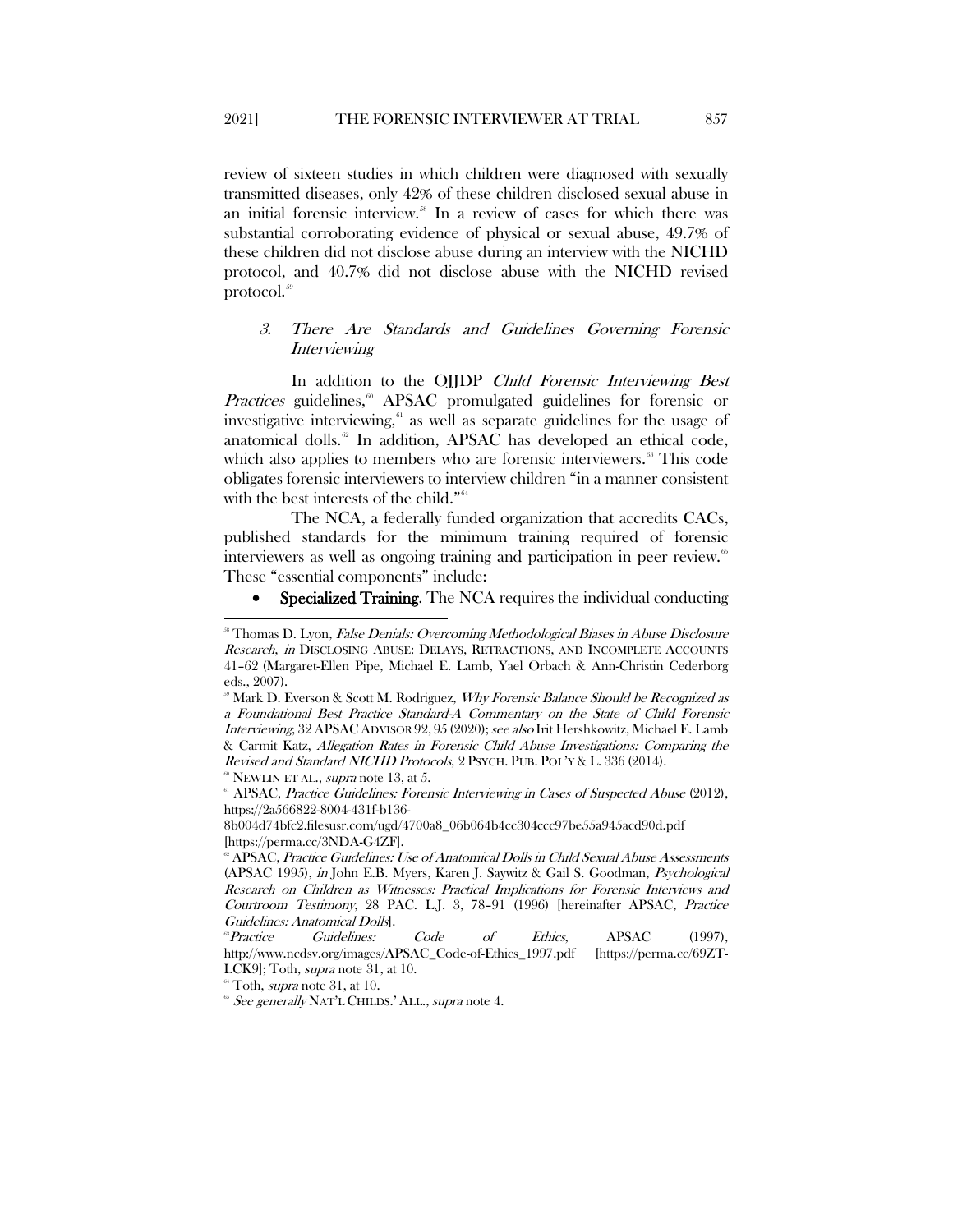review of sixteen studies in which children were diagnosed with sexually transmitted diseases, only 42% of these children disclosed sexual abuse in an initial forensic interview.<sup>38</sup> In a review of cases for which there was substantial corroborating evidence of physical or sexual abuse, 49.7% of these children did not disclose abuse during an interview with the NICHD protocol, and 40.7% did not disclose abuse with the NICHD revised protocol.<sup>[59](#page-11-3)</sup>

## <span id="page-11-0"></span>3. There Are Standards and Guidelines Governing Forensic **Interviewing**

In addition to the OJJDP Child Forensic Interviewing Best Practices guidelines,<sup>®</sup> APSAC promulgated guidelines for forensic or investigative interviewing, $\epsilon$ <sup>1</sup> as well as separate guidelines for the usage of anatomical dolls.<sup>[62](#page-11-6)</sup> In addition, APSAC has developed an ethical code, which also applies to members who are forensic interviewers.<sup>[63](#page-11-7)</sup> This code obligates forensic interviewers to interview children "in a manner consistent with the best interests of the child."<sup>[64](#page-11-8)</sup>

The NCA, a federally funded organization that accredits CACs, published standards for the minimum training required of forensic interviewers as well as ongoing training and participation in peer review.<sup>[65](#page-11-9)</sup> These "essential components" include:

<span id="page-11-1"></span>Specialized Training. The NCA requires the individual conducting

 $60$  NEWLIN ET AL., *supra* note 13, at 5.

<span id="page-11-2"></span><sup>&</sup>lt;sup>88</sup> Thomas D. Lyon, False Denials: Overcoming Methodological Biases in Abuse Disclosure Research, in DISCLOSING ABUSE: DELAYS, RETRACTIONS, AND INCOMPLETE ACCOUNTS 41–62 (Margaret-Ellen Pipe, Michael E. Lamb, Yael Orbach & Ann-Christin Cederborg eds., 2007).

<span id="page-11-3"></span> $\mathbb{R}^3$  Mark D. Everson & Scott M. Rodriguez, *Why Forensic Balance Should be Recognized as* a Foundational Best Practice Standard-A Commentary on the State of Child Forensic *Interviewing*, 32 APSAC ADVISOR 92, 95 (2020); see also Irit Hershkowitz, Michael E. Lamb & Carmit Katz, Allegation Rates in Forensic Child Abuse Investigations: Comparing the Revised and Standard NICHD Protocols, 2 PSYCH. PUB. POL'Y & L. 336 (2014).

<span id="page-11-5"></span><span id="page-11-4"></span><sup>&</sup>lt;sup>61</sup> APSAC, Practice Guidelines: Forensic Interviewing in Cases of Suspected Abuse (2012), https://2a566822-8004-431f-b136-

<sup>8</sup>b004d74bfc2.filesusr.com/ugd/4700a8\_06b064b4cc304ccc97be55a945acd90d.pdf [https://perma.cc/3NDA-G4ZF].<br><sup>®</sup> APSAC, *Practice Guidelines: Use of Anatomical Dolls in Child Sexual Abuse Assessments* 

<span id="page-11-6"></span><sup>(</sup>APSAC 1995), in John E.B. Myers, Karen J. Saywitz & Gail S. Goodman, Psychological Research on Children as Witnesses: Practical Implications for Forensic Interviews and Courtroom Testimony, 28 PAC. L.J. 3, 78–91 (1996) [hereinafter APSAC, Practice Guidelines: Anatomical Dolls].

<span id="page-11-7"></span> ${}^{\circ}$ Practice Guidelines: Code of Ethics, APSAC (1997), http://www.ncdsv.org/images/APSAC\_Code-of-Ethics\_1997.pdf [https://perma.cc/69ZT-LCK9]; Toth, *supra* note 31, at 10.<br><sup>64</sup> Toth, *supra* note 31, at 10.

<span id="page-11-9"></span><span id="page-11-8"></span><sup>&</sup>lt;sup>65</sup> See generally NAT'L CHILDS.' ALL., supra note 4.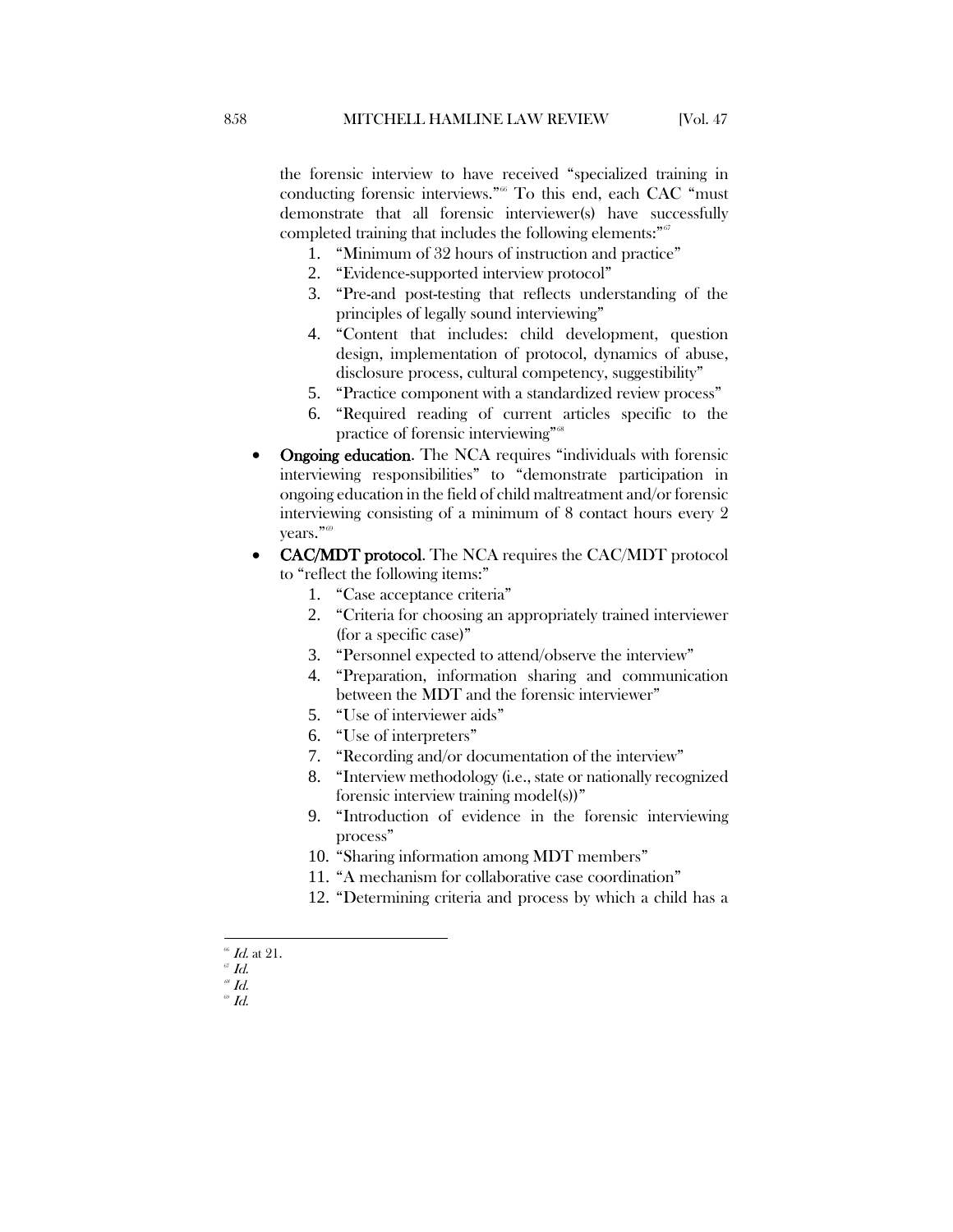- 1. "Minimum of 32 hours of instruction and practice"
- 2. "Evidence-supported interview protocol"
- 3. "Pre-and post-testing that reflects understanding of the principles of legally sound interviewing"
- 4. "Content that includes: child development, question design, implementation of protocol, dynamics of abuse, disclosure process, cultural competency, suggestibility"
- 5. "Practice component with a standardized review process"
- 6. "Required reading of current articles specific to the practice of forensic interviewing"<sup>[68](#page-12-2)</sup>
- Ongoing education. The NCA requires "individuals with forensic interviewing responsibilities" to "demonstrate participation in ongoing education in the field of child maltreatment and/or forensic interviewing consisting of a minimum of 8 contact hours every 2 vears."<sup>[69](#page-12-3)</sup>
- CAC/MDT protocol. The NCA requires the CAC/MDT protocol to "reflect the following items:"
	- 1. "Case acceptance criteria"
	- 2. "Criteria for choosing an appropriately trained interviewer (for a specific case)"
	- 3. "Personnel expected to attend/observe the interview"
	- 4. "Preparation, information sharing and communication between the MDT and the forensic interviewer"
	- 5. "Use of interviewer aids"
	- 6. "Use of interpreters"
	- 7. "Recording and/or documentation of the interview"
	- 8. "Interview methodology (i.e., state or nationally recognized forensic interview training model(s))"
	- 9. "Introduction of evidence in the forensic interviewing process"
	- 10. "Sharing information among MDT members"
	- 11. "A mechanism for collaborative case coordination"
	- 12. "Determining criteria and process by which a child has a
- $66$  *Id.* at 21.

<span id="page-12-1"></span><span id="page-12-0"></span> $\mathcal{I}$   $d$ .

<span id="page-12-3"></span><span id="page-12-2"></span> $^\mathrm{\scriptscriptstyle{68}}$  Id.  $\emph{ }^{\circ\circ}$  Id.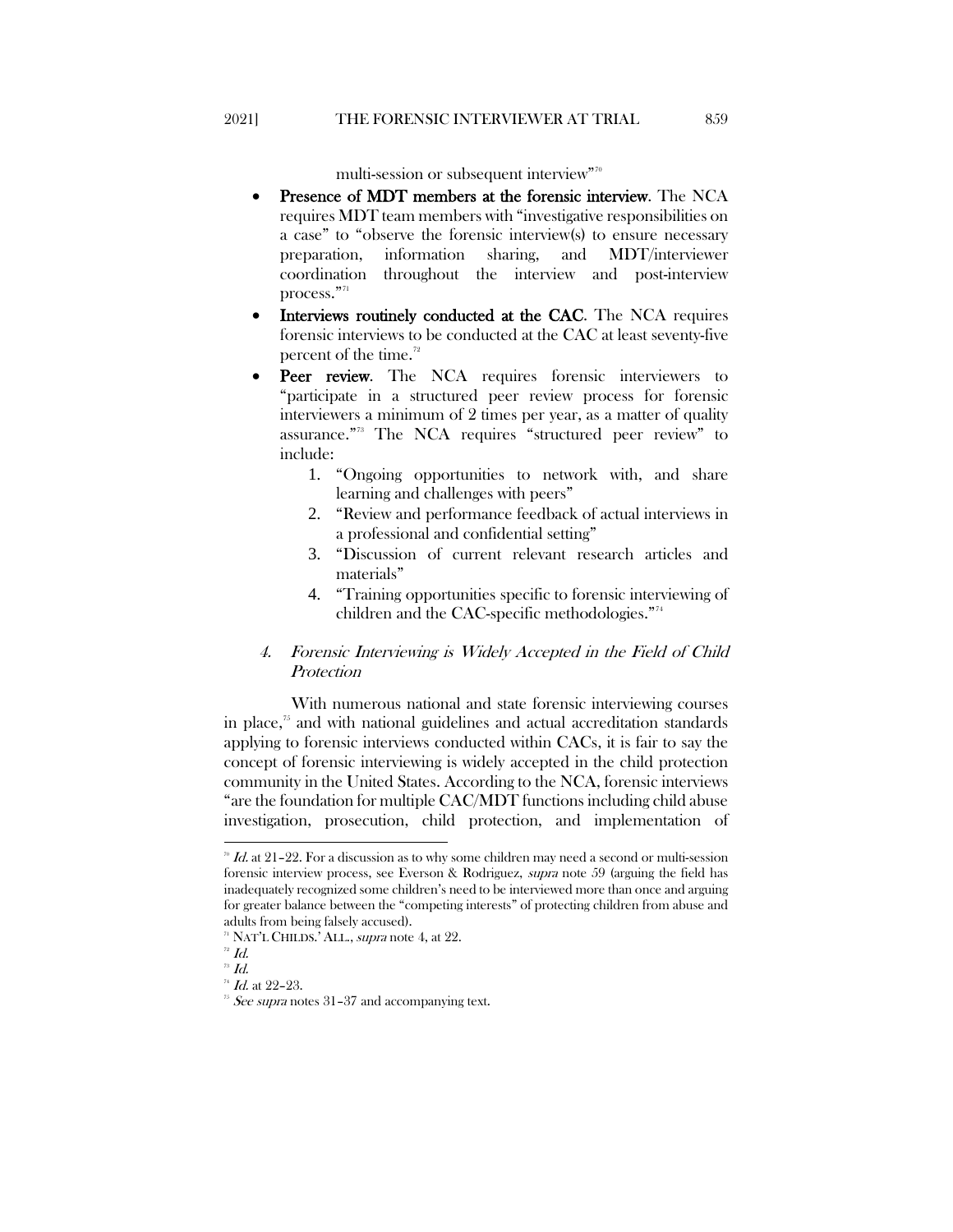multi-session or subsequent interview["70](#page-13-2)

- Presence of MDT members at the forensic interview. The NCA requires MDT team members with "investigative responsibilities on a case" to "observe the forensic interview(s) to ensure necessary preparation, information sharing, and MDT/interviewer coordination throughout the interview and post-interview  $\boldsymbol{\mathsf{process.}}^{"71}$  $\boldsymbol{\mathsf{process.}}^{"71}$  $\boldsymbol{\mathsf{process.}}^{"71}$
- Interviews routinely conducted at the CAC. The NCA requires forensic interviews to be conducted at the CAC at least seventy-five percent of the time.<sup>[72](#page-13-4)</sup>
- Peer review. The NCA requires forensic interviewers to "participate in a structured peer review process for forensic interviewers a minimum of 2 times per year, as a matter of quality assurance."[73](#page-13-5) The NCA requires "structured peer review" to include:
	- 1. "Ongoing opportunities to network with, and share learning and challenges with peers"
	- 2. "Review and performance feedback of actual interviews in a professional and confidential setting"
	- 3. "Discussion of current relevant research articles and materials"
	- 4. "Training opportunities specific to forensic interviewing of children and the CAC-specific methodologies."<sup>[74](#page-13-6)</sup>

## <span id="page-13-1"></span><span id="page-13-0"></span>4. Forensic Interviewing is Widely Accepted in the Field of Child **Protection**

With numerous national and state forensic interviewing courses in place, $\frac{7}{5}$  and with national guidelines and actual accreditation standards applying to forensic interviews conducted within CACs, it is fair to say the concept of forensic interviewing is widely accepted in the child protection community in the United States. According to the NCA, forensic interviews "are the foundation for multiple CAC/MDT functions including child abuse investigation, prosecution, child protection, and implementation of

<span id="page-13-2"></span> $\sqrt[n]{\text{Id}}$ . at 21–22. For a discussion as to why some children may need a second or multi-session forensic interview process, see Everson & Rodriguez, supra note 59 (arguing the field has inadequately recognized some children's need to be interviewed more than once and arguing for greater balance between the "competing interests" of protecting children from abuse and adults from being falsely accused).

<span id="page-13-7"></span><span id="page-13-6"></span><span id="page-13-5"></span>

<span id="page-13-4"></span><span id="page-13-3"></span><sup>&</sup>lt;sup>71</sup> NAT'L CHILDS.' ALL., *supra* not[e 4,](#page-3-11) at 22.<br><sup>72</sup> Id.<sup>73</sup> Id.<br><sup>73</sup> Id. at 22–23. <sup>75</sup> See supra notes 31–37 and accompanying text.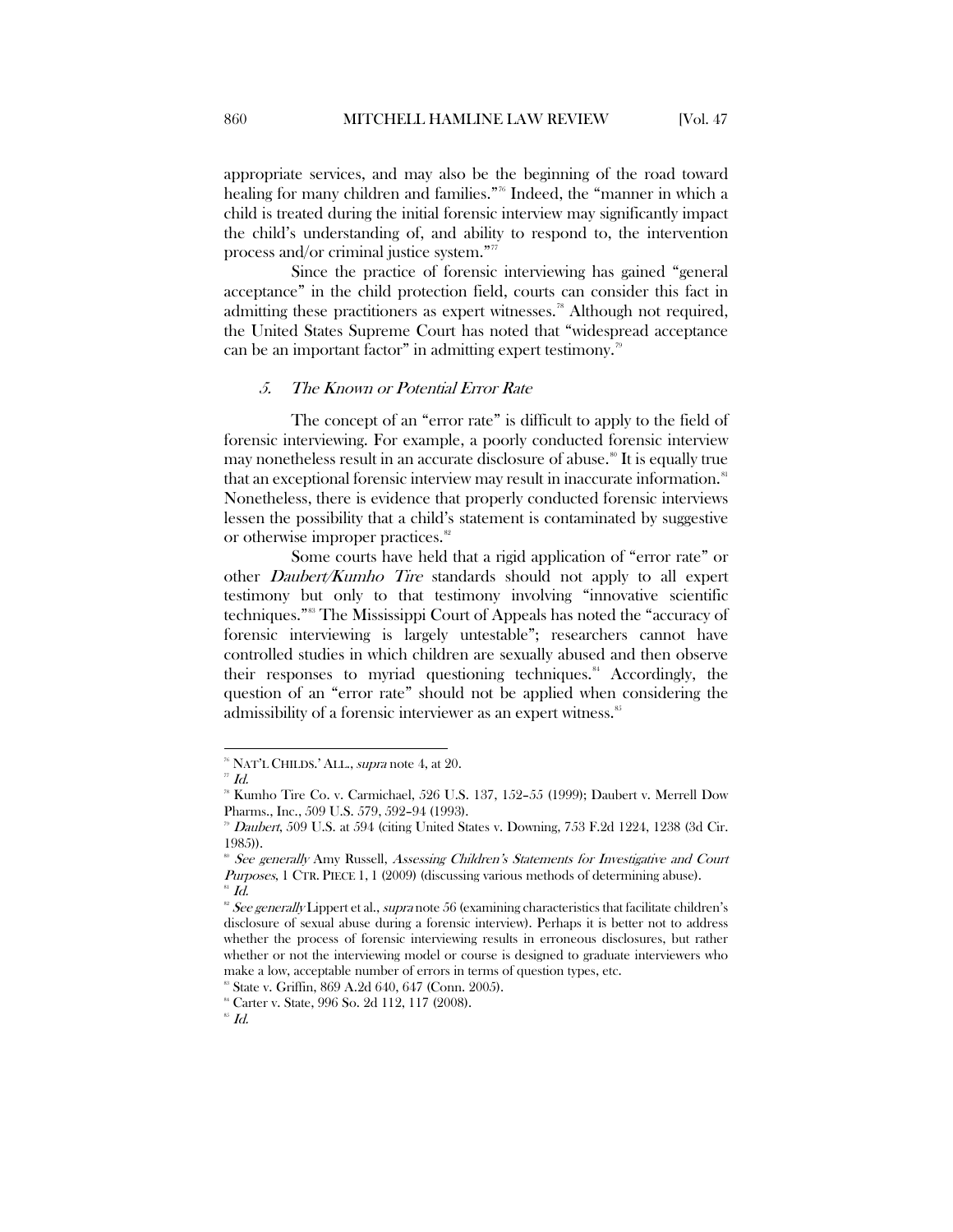appropriate services, and may also be the beginning of the road toward healing for many children and families."<sup>76</sup> Indeed, the "manner in which a child is treated during the initial forensic interview may significantly impact the child's understanding of, and ability to respond to, the intervention process and/or criminal justice system."[77](#page-14-2)

Since the practice of forensic interviewing has gained "general acceptance" in the child protection field, courts can consider this fact in admitting these practitioners as expert witnesses.<sup>[78](#page-14-3)</sup> Although not required, the United States Supreme Court has noted that "widespread acceptance can be an important factor" in admitting expert testimony.<sup>[79](#page-14-4)</sup>

### <span id="page-14-0"></span>5. The Known or Potential Error Rate

The concept of an "error rate" is difficult to apply to the field of forensic interviewing. For example, a poorly conducted forensic interview may nonetheless result in an accurate disclosure of abuse.<sup>[80](#page-14-5)</sup> It is equally true that an exceptional forensic interview may result in inaccurate information.<sup>[81](#page-14-6)</sup> Nonetheless, there is evidence that properly conducted forensic interviews lessen the possibility that a child's statement is contaminated by suggestive or otherwise improper practices.<sup>[82](#page-14-7)</sup>

Some courts have held that a rigid application of "error rate" or other Daubert/Kumho Tire standards should not apply to all expert testimony but only to that testimony involving "innovative scientific techniques."[83](#page-14-8) The Mississippi Court of Appeals has noted the "accuracy of forensic interviewing is largely untestable"; researchers cannot have controlled studies in which children are sexually abused and then observe their responses to myriad questioning techniques.<sup>[84](#page-14-9)</sup> Accordingly, the question of an "error rate" should not be applied when considering the admissibility of a forensic interviewer as an expert witness.<sup>[85](#page-14-10)</sup>

<span id="page-14-2"></span><span id="page-14-1"></span> $^\pi$ NAT'L CHILDS.' ALL., *supra* note 4, at 20.  $^{\pi}$  Id.

<span id="page-14-3"></span>Kumho Tire Co. v. Carmichael, 526 U.S. 137, 152-55 (1999); Daubert v. Merrell Dow Pharms., Inc., 509 U.S. 579, 592–94 (1993).

 $\degree$  Daubert, 509 U.S. at 594 (citing United States v. Downing, 753 F.2d 1224, 1238 (3d Cir. 1985)).

<sup>&</sup>lt;sup>80</sup> See generally Amy Russell, Assessing Children's Statements for Investigative and Court Purposes, 1 CTR. PIECE 1, 1 (2009) (discussing various methods of determining abuse).  $^{81}$  Id.

<span id="page-14-8"></span><span id="page-14-7"></span><span id="page-14-6"></span><span id="page-14-5"></span><span id="page-14-4"></span> $\degree$  See generally Lippert et al., supra note 56 (examining characteristics that facilitate children's disclosure of sexual abuse during a forensic interview). Perhaps it is better not to address whether the process of forensic interviewing results in erroneous disclosures, but rather whether or not the interviewing model or course is designed to graduate interviewers who

make a low, acceptable number of errors in terms of question types, etc. <sup>88</sup> State v. Griffin, 869 A.2d 640, 647 (Conn. 2005).

<span id="page-14-9"></span><sup>84</sup> Carter v. State, 996 So. 2d 112, 117 (2008).

<span id="page-14-10"></span> $^{\mathrm{ss}}$   $Id.$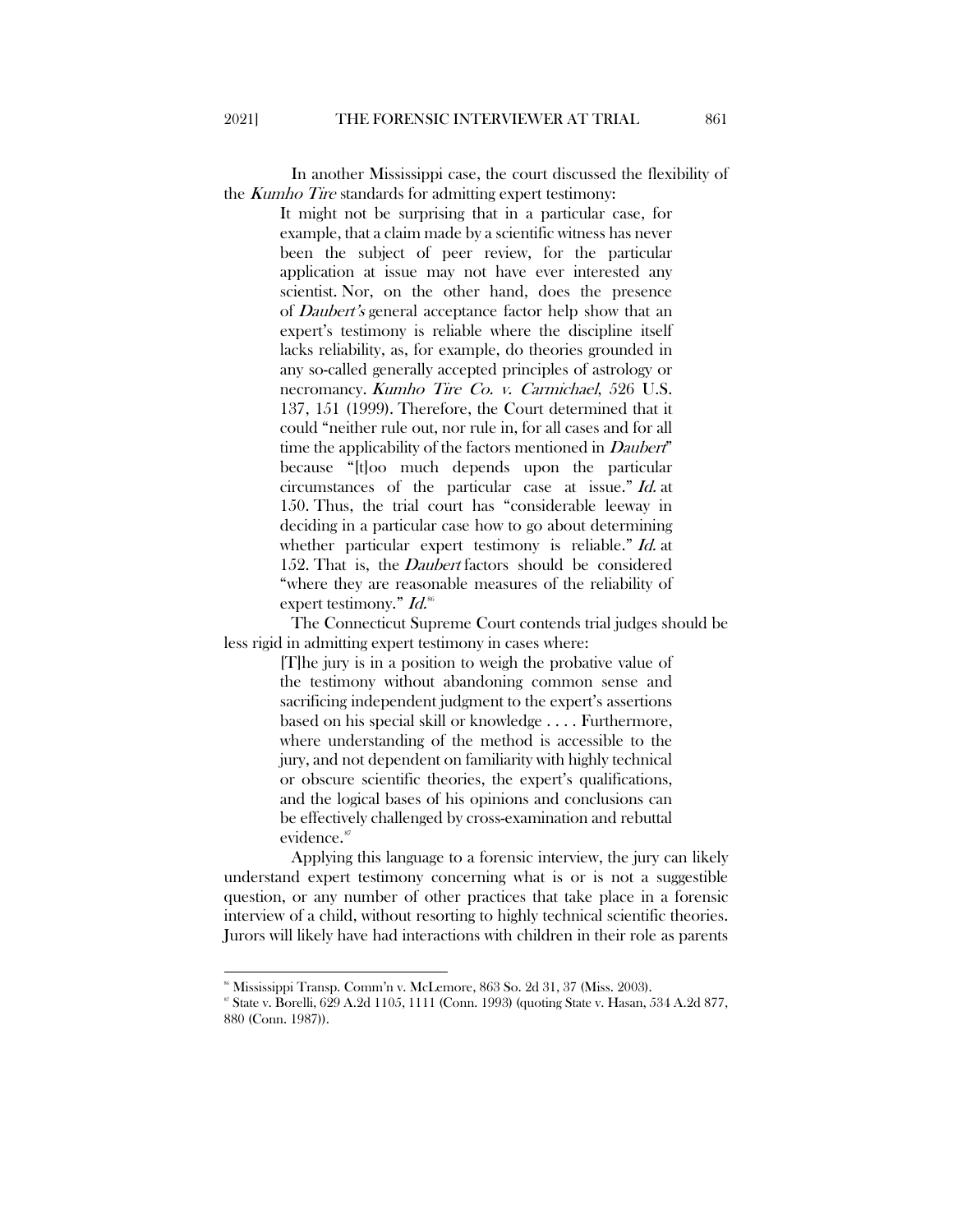In another Mississippi case, the court discussed the flexibility of the *Kumho Tire* standards for admitting expert testimony:

> It might not be surprising that in a particular case, for example, that a claim made by a scientific witness has never been the subject of peer review, for the particular application at issue may not have ever interested any scientist. Nor, on the other hand, does the presence of Daubert's general acceptance factor help show that an expert's testimony is reliable where the discipline itself lacks reliability, as, for example, do theories grounded in any so-called generally accepted principles of astrology or necromancy. Kumho Tire Co. v. Carmichael, 526 U.S. 137, 151 (1999). Therefore, the Court determined that it could "neither rule out, nor rule in, for all cases and for all time the applicability of the factors mentioned in *Daubert*" because "[t]oo much depends upon the particular circumstances of the particular case at issue." Id. at 150. Thus, the trial court has "considerable leeway in deciding in a particular case how to go about determining whether particular expert testimony is reliable." Id. at 152. That is, the *Daubert* factors should be considered "where they are reasonable measures of the reliability of expert testimony."  $Id$ .<sup>[86](#page-15-0)</sup>

The Connecticut Supreme Court contends trial judges should be less rigid in admitting expert testimony in cases where:

> [T]he jury is in a position to weigh the probative value of the testimony without abandoning common sense and sacrificing independent judgment to the expert's assertions based on his special skill or knowledge . . . . Furthermore, where understanding of the method is accessible to the jury, and not dependent on familiarity with highly technical or obscure scientific theories, the expert's qualifications, and the logical bases of his opinions and conclusions can be effectively challenged by cross-examination and rebuttal evidence.<sup>[87](#page-15-1)</sup>

Applying this language to a forensic interview, the jury can likely understand expert testimony concerning what is or is not a suggestible question, or any number of other practices that take place in a forensic interview of a child, without resorting to highly technical scientific theories. Jurors will likely have had interactions with children in their role as parents

<span id="page-15-1"></span>

<span id="page-15-0"></span> $\degree$  Mississippi Transp. Comm'n v. McLemore, 863 So. 2d 31, 37 (Miss. 2003).<br> $\degree$  State v. Borelli, 629 A.2d 1105, 1111 (Conn. 1993) (quoting State v. Hasan, 534 A.2d 877, 880 (Conn. 1987)).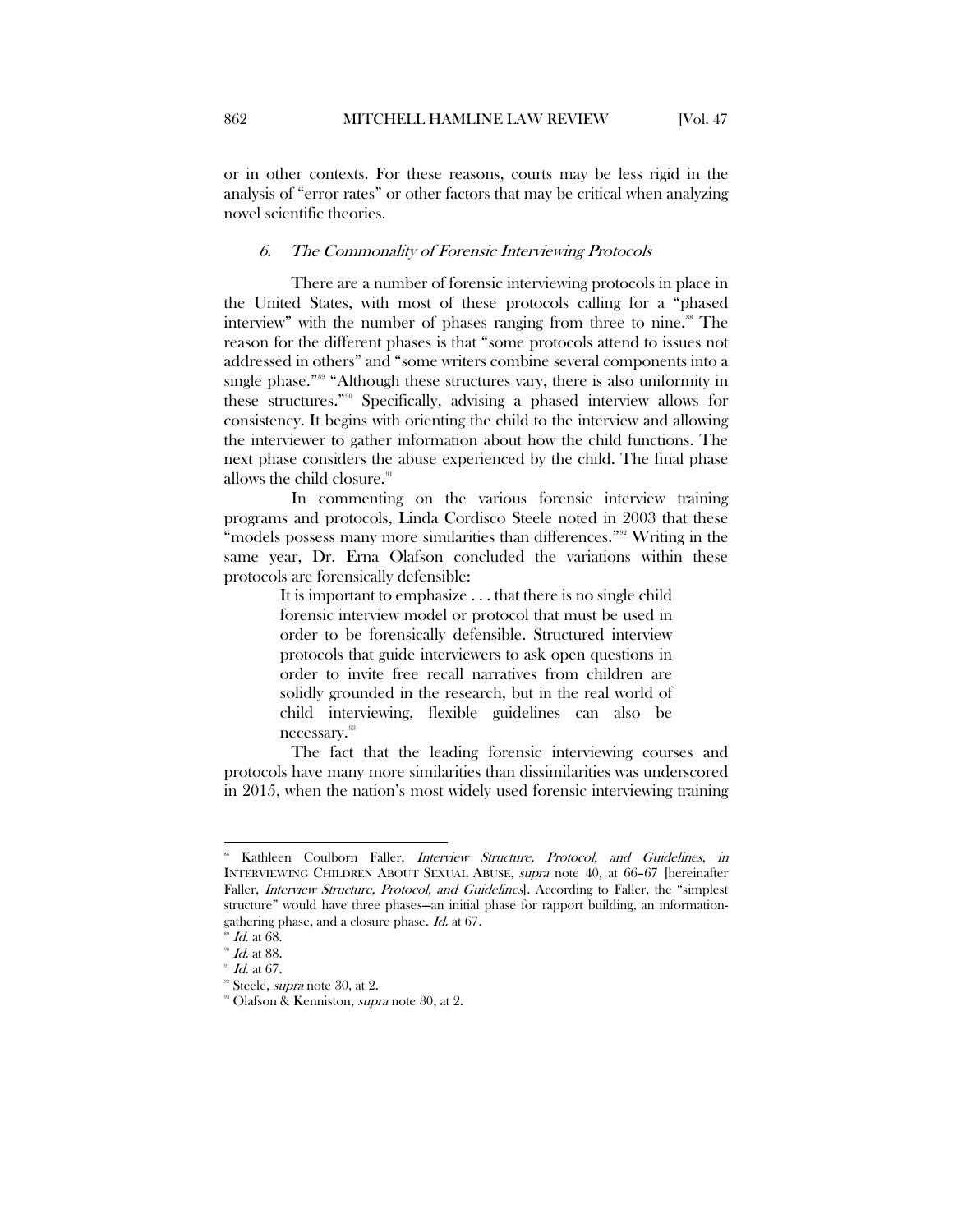or in other contexts. For these reasons, courts may be less rigid in the analysis of "error rates" or other factors that may be critical when analyzing novel scientific theories.

#### <span id="page-16-0"></span>6. The Commonality of Forensic Interviewing Protocols

There are a number of forensic interviewing protocols in place in the United States, with most of these protocols calling for a "phased interview" with the number of phases ranging from three to nine.<sup>[88](#page-16-1)</sup> The reason for the different phases is that "some protocols attend to issues not addressed in others" and "some writers combine several components into a single phase."<sup>[89](#page-16-2)</sup> "Although these structures vary, there is also uniformity in these structures."[90](#page-16-3) Specifically, advising a phased interview allows for consistency. It begins with orienting the child to the interview and allowing the interviewer to gather information about how the child functions. The next phase considers the abuse experienced by the child. The final phase allows the child closure.<sup>[91](#page-16-4)</sup>

In commenting on the various forensic interview training programs and protocols, Linda Cordisco Steele noted in 2003 that these "models possess many more similarities than differences."<sup>[92](#page-16-5)</sup> Writing in the same year, Dr. Erna Olafson concluded the variations within these protocols are forensically defensible:

> It is important to emphasize . . . that there is no single child forensic interview model or protocol that must be used in order to be forensically defensible. Structured interview protocols that guide interviewers to ask open questions in order to invite free recall narratives from children are solidly grounded in the research, but in the real world of child interviewing, flexible guidelines can also be necessary.<sup>[93](#page-16-6)</sup>

The fact that the leading forensic interviewing courses and protocols have many more similarities than dissimilarities was underscored in 2015, when the nation's most widely used forensic interviewing training

<span id="page-16-1"></span>Kathleen Coulborn Faller, *Interview Structure, Protocol, and Guidelines, in* INTERVIEWING CHILDREN ABOUT SEXUAL ABUSE, supra note 40, at 66–67 [hereinafter Faller, *Interview Structure, Protocol, and Guidelines*]. According to Faller, the "simplest structure" would have three phases—an initial phase for rapport building, an informationgathering phase, and a closure phase. *Id.* at 67.  $\frac{10}{2}$  Id. at 68.

<span id="page-16-3"></span><span id="page-16-2"></span> $^{90}$  *Id.* at 88.

<span id="page-16-4"></span> $H$  at 67.

<span id="page-16-5"></span><sup>&</sup>lt;sup>92</sup> Steele, *supra* note 30, at 2.

<span id="page-16-6"></span><sup>&</sup>lt;sup>93</sup> Olafson & Kenniston, *supra* note 30, at 2.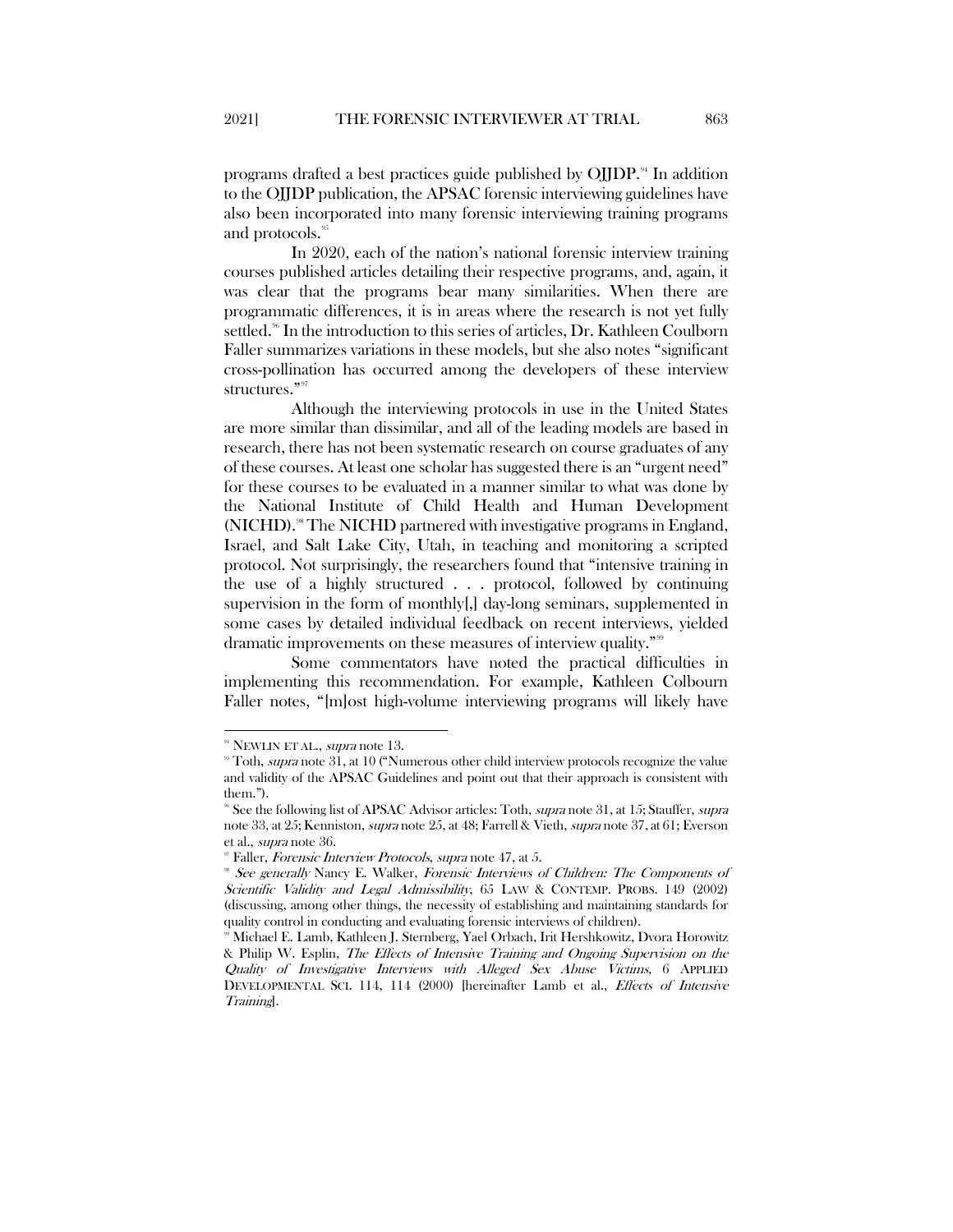programs drafted a best practices guide published by  $O$ *JJDP*.<sup>[94](#page-17-0)</sup> In addition to the OJJDP publication, the APSAC forensic interviewing guidelines have also been incorporated into many forensic interviewing training programs and protocols.<sup>[95](#page-17-1)</sup>

In 2020, each of the nation's national forensic interview training courses published articles detailing their respective programs, and, again, it was clear that the programs bear many similarities. When there are programmatic differences, it is in areas where the research is not yet fully settled.<sup>[96](#page-17-2)</sup> In the introduction to this series of articles, Dr. Kathleen Coulborn Faller summarizes variations in these models, but she also notes "significant cross-pollination has occurred among the developers of these interview structures."<sup>[97](#page-17-3)</sup>

Although the interviewing protocols in use in the United States are more similar than dissimilar, and all of the leading models are based in research, there has not been systematic research on course graduates of any of these courses. At least one scholar has suggested there is an "urgent need" for these courses to be evaluated in a manner similar to what was done by the National Institute of Child Health and Human Development (NICHD).<sup>88</sup> The NICHD partnered with investigative programs in England, Israel, and Salt Lake City, Utah, in teaching and monitoring a scripted protocol. Not surprisingly, the researchers found that "intensive training in the use of a highly structured . . . protocol, followed by continuing supervision in the form of monthly[,] day-long seminars, supplemented in some cases by detailed individual feedback on recent interviews, yielded dramatic improvements on these measures of interview quality."<sup>[99](#page-17-5)</sup>

Some commentators have noted the practical difficulties in implementing this recommendation. For example, Kathleen Colbourn Faller notes, "[m]ost high-volume interviewing programs will likely have

<span id="page-17-1"></span><span id="page-17-0"></span><sup>&</sup>lt;sup>94</sup> NEWLIN ET AL., *supra* note 13. 95 Sepannian note 31, at 10 ("Numerous other child interview protocols recognize the value and validity of the APSAC Guidelines and point out that their approach is consistent with them.").

<span id="page-17-2"></span><sup>&</sup>lt;sup>96</sup> See the following list of APSAC Advisor articles: Toth, *supra* note 31, at 15; Stauffer, *supra* note 33, at 25; Kenniston, supra note 25, at 48; Farrell & Vieth, supra note 37, at 61; Everson et al., supra note 36.

<span id="page-17-3"></span> $\degree$  Faller, Forensic Interview Protocols, supra note 47, at 5.

<span id="page-17-4"></span><sup>&</sup>lt;sup>88</sup> See generally Nancy E. Walker, Forensic Interviews of Children: The Components of Scientific Validity and Legal Admissibility, 65 LAW & CONTEMP. PROBS. 149 (2002) (discussing, among other things, the necessity of establishing and maintaining standards for quality control in conducting and evaluating forensic interviews of children).

<span id="page-17-5"></span><sup>99</sup> Michael E. Lamb, Kathleen J. Sternberg, Yael Orbach, Irit Hershkowitz, Dvora Horowitz & Philip W. Esplin, The Effects of Intensive Training and Ongoing Supervision on the Quality of Investigative Interviews with Alleged Sex Abuse Victims, 6 APPLIED DEVELOPMENTAL SCI. 114, 114 (2000) [hereinafter Lamb et al., Effects of Intensive Training].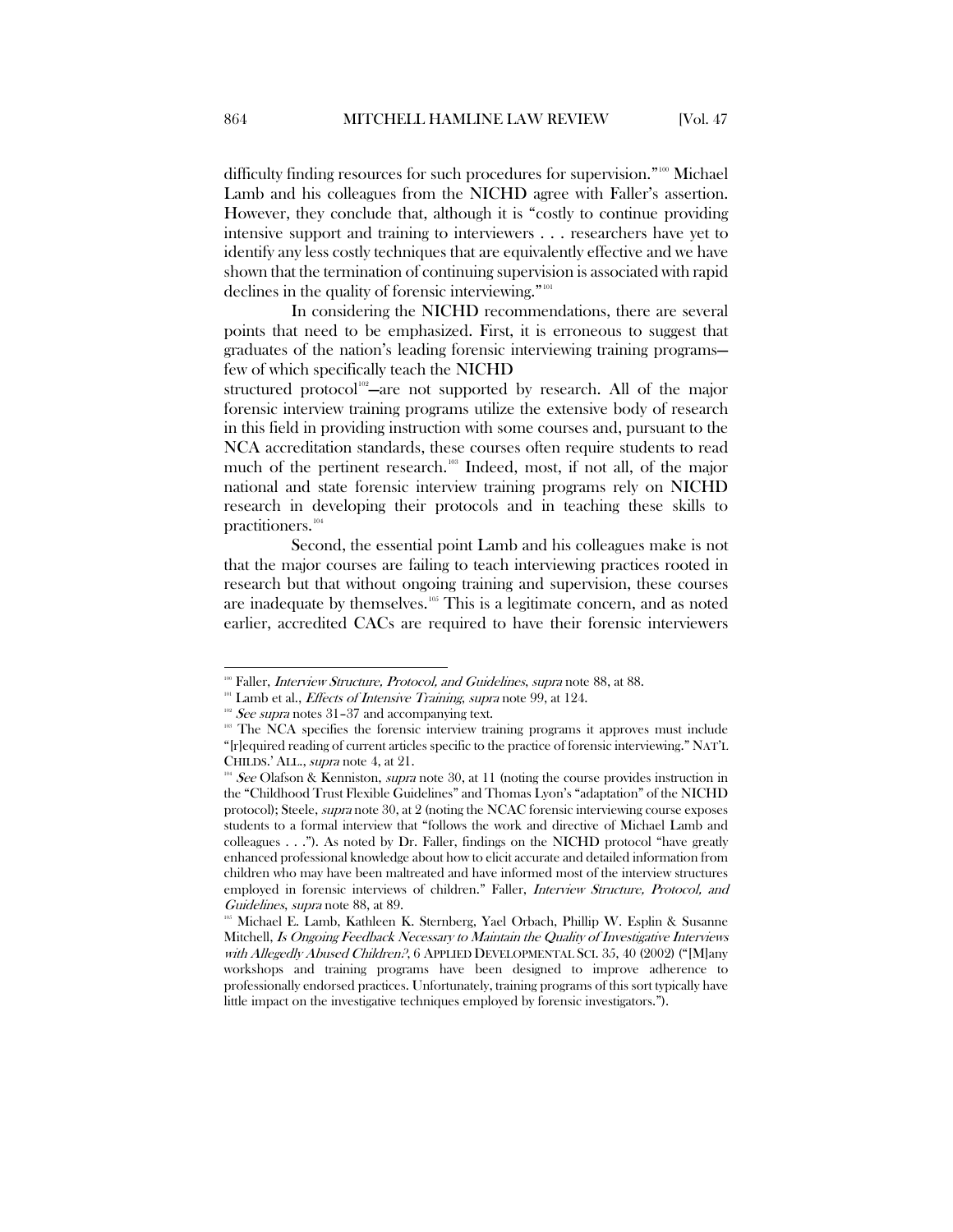difficulty finding resources for such procedures for supervision."<sup>[100](#page-18-0)</sup> Michael Lamb and his colleagues from the NICHD agree with Faller's assertion. However, they conclude that, although it is "costly to continue providing intensive support and training to interviewers . . . researchers have yet to identify any less costly techniques that are equivalently effective and we have shown that the termination of continuing supervision is associated with rapid declines in the quality of forensic interviewing."<sup>[101](#page-18-1)</sup>

In considering the NICHD recommendations, there are several points that need to be emphasized. First, it is erroneous to suggest that graduates of the nation's leading forensic interviewing training programs few of which specifically teach the NICHD

structured protocol<sup>[102](#page-18-2)</sup>-are not supported by research. All of the major forensic interview training programs utilize the extensive body of research in this field in providing instruction with some courses and, pursuant to the NCA accreditation standards, these courses often require students to read much of the pertinent research.<sup>[103](#page-18-3)</sup> Indeed, most, if not all, of the major national and state forensic interview training programs rely on NICHD research in developing their protocols and in teaching these skills to practitioners.<sup>[104](#page-18-4)</sup>

Second, the essential point Lamb and his colleagues make is not that the major courses are failing to teach interviewing practices rooted in research but that without ongoing training and supervision, these courses are inadequate by themselves.[105](#page-18-5) This is a legitimate concern, and as noted earlier, accredited CACs are required to have their forensic interviewers

<span id="page-18-0"></span><sup>&</sup>lt;sup>100</sup> Faller, *Interview Structure, Protocol, and Guidelines, supra* note 88, at 88.

<sup>&</sup>lt;sup>101</sup> Lamb et al., *Effects of Intensive Training*, *supra* note 99, at 124.

<span id="page-18-3"></span><span id="page-18-2"></span><span id="page-18-1"></span><sup>&</sup>lt;sup>102</sup> See supra notes 31–37 and accompanying text.<br><sup>103</sup> The NCA specifies the forensic interview training programs it approves must include "[r]equired reading of current articles specific to the practice of forensic interviewing." NAT'L CHILDS.' ALL., supra note 4, at 21.

<span id="page-18-4"></span><sup>&</sup>lt;sup>04</sup> See Olafson & Kenniston, *supra* note 30, at 11 (noting the course provides instruction in the "Childhood Trust Flexible Guidelines" and Thomas Lyon's "adaptation" of the NICHD protocol); Steele, supra note 30, at 2 (noting the NCAC forensic interviewing course exposes students to a formal interview that "follows the work and directive of Michael Lamb and colleagues . . ."). As noted by Dr. Faller, findings on the NICHD protocol "have greatly enhanced professional knowledge about how to elicit accurate and detailed information from children who may have been maltreated and have informed most of the interview structures employed in forensic interviews of children." Faller, *Interview Structure, Protocol, and* Guidelines, supra note 88, at 89.

<span id="page-18-5"></span>Michael E. Lamb, Kathleen K. Sternberg, Yael Orbach, Phillip W. Esplin & Susanne Mitchell, Is Ongoing Feedback Necessary to Maintain the Quality of Investigative Interviews with Allegedly Abused Children?, 6 APPLIED DEVELOPMENTAL SCI. 35, 40 (2002) ("[M]any workshops and training programs have been designed to improve adherence to professionally endorsed practices. Unfortunately, training programs of this sort typically have little impact on the investigative techniques employed by forensic investigators.").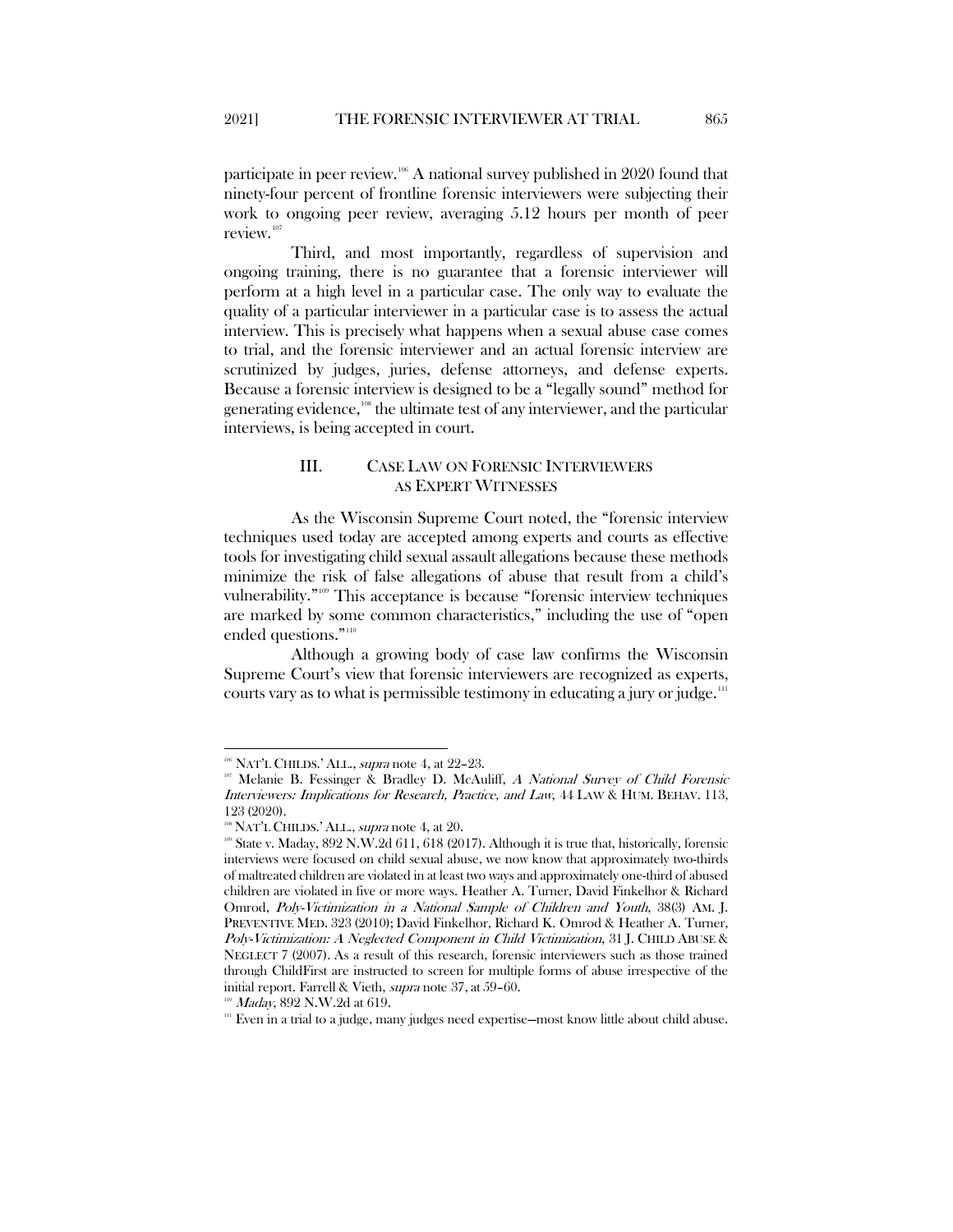participate in peer review.<sup>[106](#page-19-1)</sup> A national survey published in 2020 found that ninety-four percent of frontline forensic interviewers were subjecting their work to ongoing peer review, averaging 5.12 hours per month of peer review.<sup>[107](#page-19-2)</sup>

Third, and most importantly, regardless of supervision and ongoing training, there is no guarantee that a forensic interviewer will perform at a high level in a particular case. The only way to evaluate the quality of a particular interviewer in a particular case is to assess the actual interview. This is precisely what happens when a sexual abuse case comes to trial, and the forensic interviewer and an actual forensic interview are scrutinized by judges, juries, defense attorneys, and defense experts. Because a forensic interview is designed to be a "legally sound" method for generating evidence,<sup>[108](#page-19-3)</sup> the ultimate test of any interviewer, and the particular interviews, is being accepted in court.

## III. CASE LAW ON FORENSIC INTERVIEWERS AS EXPERT WITNESSES

<span id="page-19-0"></span>As the Wisconsin Supreme Court noted, the "forensic interview techniques used today are accepted among experts and courts as effective tools for investigating child sexual assault allegations because these methods minimize the risk of false allegations of abuse that result from a child's vulnerability."[109](#page-19-4) This acceptance is because "forensic interview techniques are marked by some common characteristics," including the use of "open ended questions."<sup>[110](#page-19-5)</sup>

Although a growing body of case law confirms the Wisconsin Supreme Court's view that forensic interviewers are recognized as experts, courts vary as to what is permissible testimony in educating a jury or judge.<sup>[111](#page-19-6)</sup>

<span id="page-19-1"></span><sup>&</sup>lt;sup>106</sup> NAT'L CHILDS.' ALL., *supra* note [4,](#page-3-11) at 22-23.

<span id="page-19-2"></span><sup>&</sup>lt;sup>107</sup> Melanie B. Fessinger & Bradley D. McAuliff, A National Survey of Child Forensic Interviewers: Implications for Research, Practice, and Law, 44 LAW & HUM. BEHAV. 113, 123 (2020).

<sup>&</sup>lt;sup>108</sup> NAT'L CHILDS.' ALL., *supra* not[e 4,](#page-3-11) at 20.

<span id="page-19-4"></span><span id="page-19-3"></span><sup>109</sup> State v. Maday, 892 N.W.2d 611, 618 (2017). Although it is true that, historically, forensic interviews were focused on child sexual abuse, we now know that approximately two-thirds of maltreated children are violated in at least two ways and approximately one-third of abused children are violated in five or more ways. Heather A. Turner, David Finkelhor & Richard Omrod, Poly-Victimization in a National Sample of Children and Youth, 38(3) AM. J. PREVENTIVE MED. 323 (2010); David Finkelhor, Richard K. Omrod & Heather A. Turner, Poly-Victimization: A Neglected Component in Child Victimization, 31 J. CHILD ABUSE & NEGLECT 7 (2007). As a result of this research, forensic interviewers such as those trained through ChildFirst are instructed to screen for multiple forms of abuse irrespective of the initial report. Farrell & Vieth, *supra* note 37, at 59-60.<br><sup>110</sup> *Maday*, 892 N.W.2d at 619.

<span id="page-19-6"></span><span id="page-19-5"></span><sup>&</sup>lt;sup>111</sup> Even in a trial to a judge, many judges need expertise—most know little about child abuse.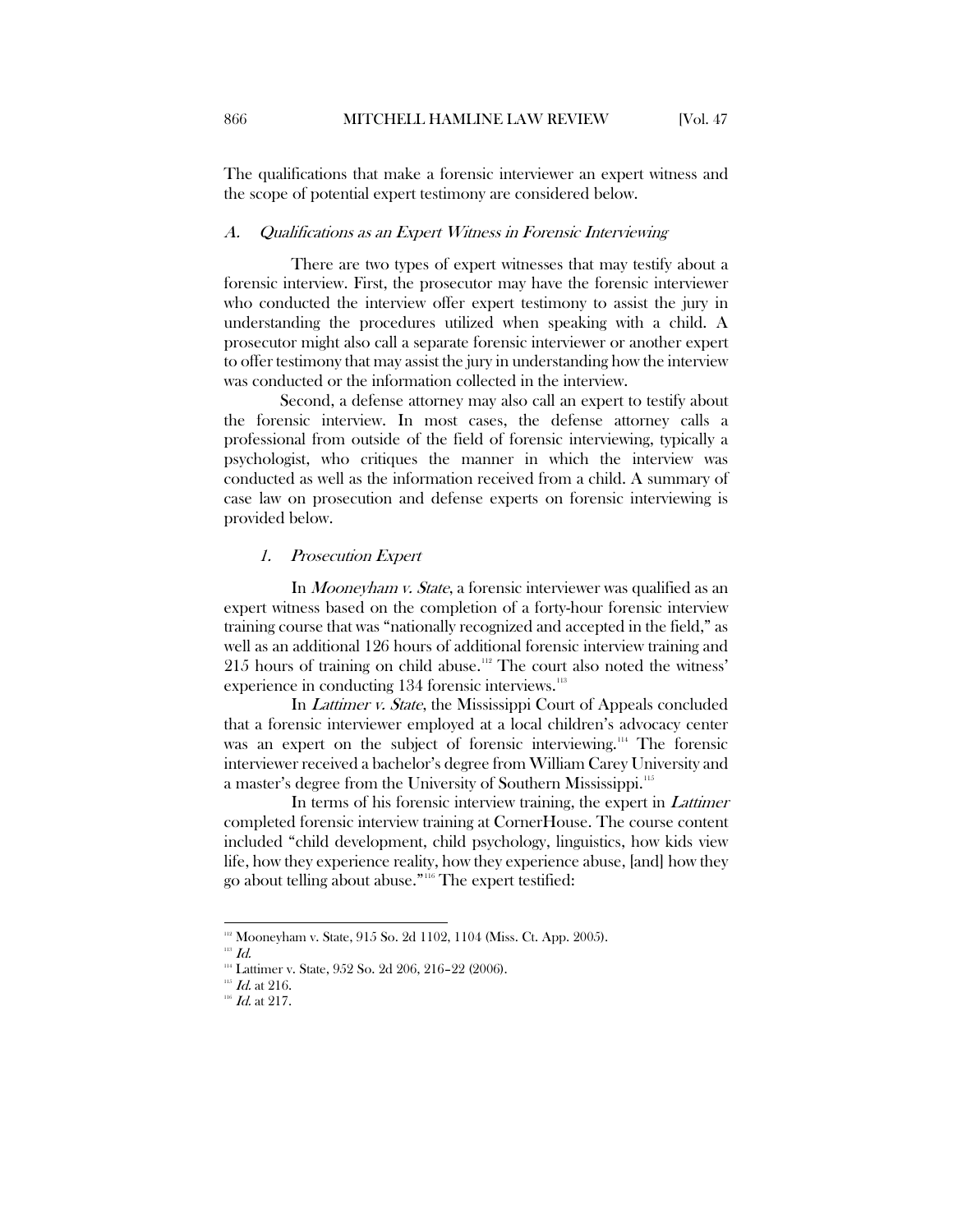The qualifications that make a forensic interviewer an expert witness and the scope of potential expert testimony are considered below.

#### <span id="page-20-0"></span>A. Qualifications as an Expert Witness in Forensic Interviewing

There are two types of expert witnesses that may testify about a forensic interview. First, the prosecutor may have the forensic interviewer who conducted the interview offer expert testimony to assist the jury in understanding the procedures utilized when speaking with a child. A prosecutor might also call a separate forensic interviewer or another expert to offer testimony that may assist the jury in understanding how the interview was conducted or the information collected in the interview.

Second, a defense attorney may also call an expert to testify about the forensic interview. In most cases, the defense attorney calls a professional from outside of the field of forensic interviewing, typically a psychologist, who critiques the manner in which the interview was conducted as well as the information received from a child. A summary of case law on prosecution and defense experts on forensic interviewing is provided below.

### <span id="page-20-1"></span>1. Prosecution Expert

In Mooneyham v. State, a forensic interviewer was qualified as an expert witness based on the completion of a forty-hour forensic interview training course that was "nationally recognized and accepted in the field," as well as an additional 126 hours of additional forensic interview training and 215 hours of training on child abuse.<sup>[112](#page-20-2)</sup> The court also noted the witness' experience in conducting 134 forensic interviews.<sup>[113](#page-20-3)</sup>

In *Lattimer v. State*, the Mississippi Court of Appeals concluded that a forensic interviewer employed at a local children's advocacy center was an expert on the subject of forensic interviewing.<sup>[114](#page-20-4)</sup> The forensic interviewer received a bachelor's degree from William Carey University and a master's degree from the University of Southern Mississippi.<sup>[115](#page-20-5)</sup>

In terms of his forensic interview training, the expert in Lattimer completed forensic interview training at CornerHouse. The course content included "child development, child psychology, linguistics, how kids view life, how they experience reality, how they experience abuse, [and] how they go about telling about abuse."[116](#page-20-6) The expert testified:

<span id="page-20-2"></span><sup>&</sup>lt;sup>112</sup> Mooneyham v. State, 915 So. 2d 1102, 1104 (Miss. Ct. App. 2005).<br><sup>113</sup> Id.<br><sup>111</sup> Lattimer v. State, 952 So. 2d 206, 216–22 (2006). <sup>115</sup> Id. at 216. <sup>116</sup> Id. at 217.

<span id="page-20-4"></span><span id="page-20-3"></span>

<span id="page-20-6"></span><span id="page-20-5"></span>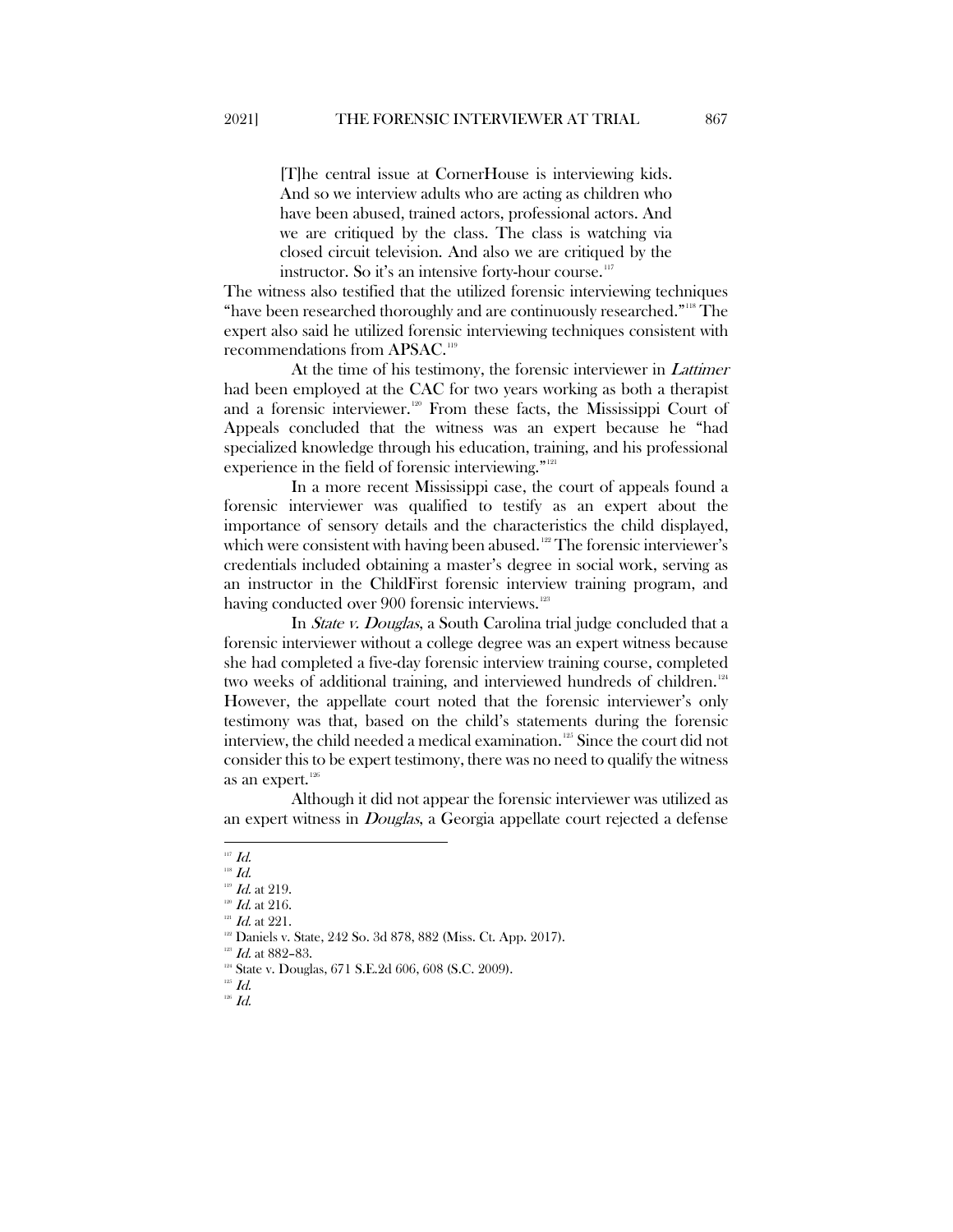[T]he central issue at CornerHouse is interviewing kids. And so we interview adults who are acting as children who have been abused, trained actors, professional actors. And we are critiqued by the class. The class is watching via closed circuit television. And also we are critiqued by the instructor. So it's an intensive forty-hour course.<sup>[117](#page-21-0)</sup>

The witness also testified that the utilized forensic interviewing techniques "have been researched thoroughly and are continuously researched."[118](#page-21-1) The expert also said he utilized forensic interviewing techniques consistent with recommendations from APSAC.[119](#page-21-2)

At the time of his testimony, the forensic interviewer in *Lattimer* had been employed at the CAC for two years working as both a therapist and a forensic interviewer.<sup>[120](#page-21-3)</sup> From these facts, the Mississippi Court of Appeals concluded that the witness was an expert because he "had specialized knowledge through his education, training, and his professional experience in the field of forensic interviewing."<sup>[121](#page-21-4)</sup>

In a more recent Mississippi case, the court of appeals found a forensic interviewer was qualified to testify as an expert about the importance of sensory details and the characteristics the child displayed, which were consistent with having been abused.<sup>[122](#page-21-5)</sup> The forensic interviewer's credentials included obtaining a master's degree in social work, serving as an instructor in the ChildFirst forensic interview training program, and having conducted over 900 forensic interviews.<sup>[123](#page-21-6)</sup>

In *State v. Douglas*, a South Carolina trial judge concluded that a forensic interviewer without a college degree was an expert witness because she had completed a five-day forensic interview training course, completed two weeks of additional training, and interviewed hundreds of children.<sup>[124](#page-21-7)</sup> However, the appellate court noted that the forensic interviewer's only testimony was that, based on the child's statements during the forensic interview, the child needed a medical examination.<sup>[125](#page-21-8)</sup> Since the court did not consider this to be expert testimony, there was no need to qualify the witness as an expert.<sup>[126](#page-21-9)</sup>

Although it did not appear the forensic interviewer was utilized as an expert witness in *Douglas*, a Georgia appellate court rejected a defense

<span id="page-21-8"></span><span id="page-21-7"></span><span id="page-21-6"></span><span id="page-21-5"></span><span id="page-21-4"></span>

<span id="page-21-9"></span> $^{126}$  Id.

<span id="page-21-0"></span> $^{117}$   $\emph{Id.}$ 

 $^{118}$   $\emph{Id.}$ 

<span id="page-21-3"></span><span id="page-21-2"></span><span id="page-21-1"></span><sup>&</sup>lt;sup>119</sup> *Id.* at 219.<br><sup>120</sup> *Id.* at 216.<br><sup>121</sup> Daniels v. State, 242 So. 3d 878, 882 (Miss. Ct. App. 2017).

<sup>&</sup>lt;sup>123</sup> Id. at 882–83.<br><sup>124</sup> State v. Douglas, 671 S.E.2d 606, 608 (S.C. 2009).<br><sup>125</sup> Id.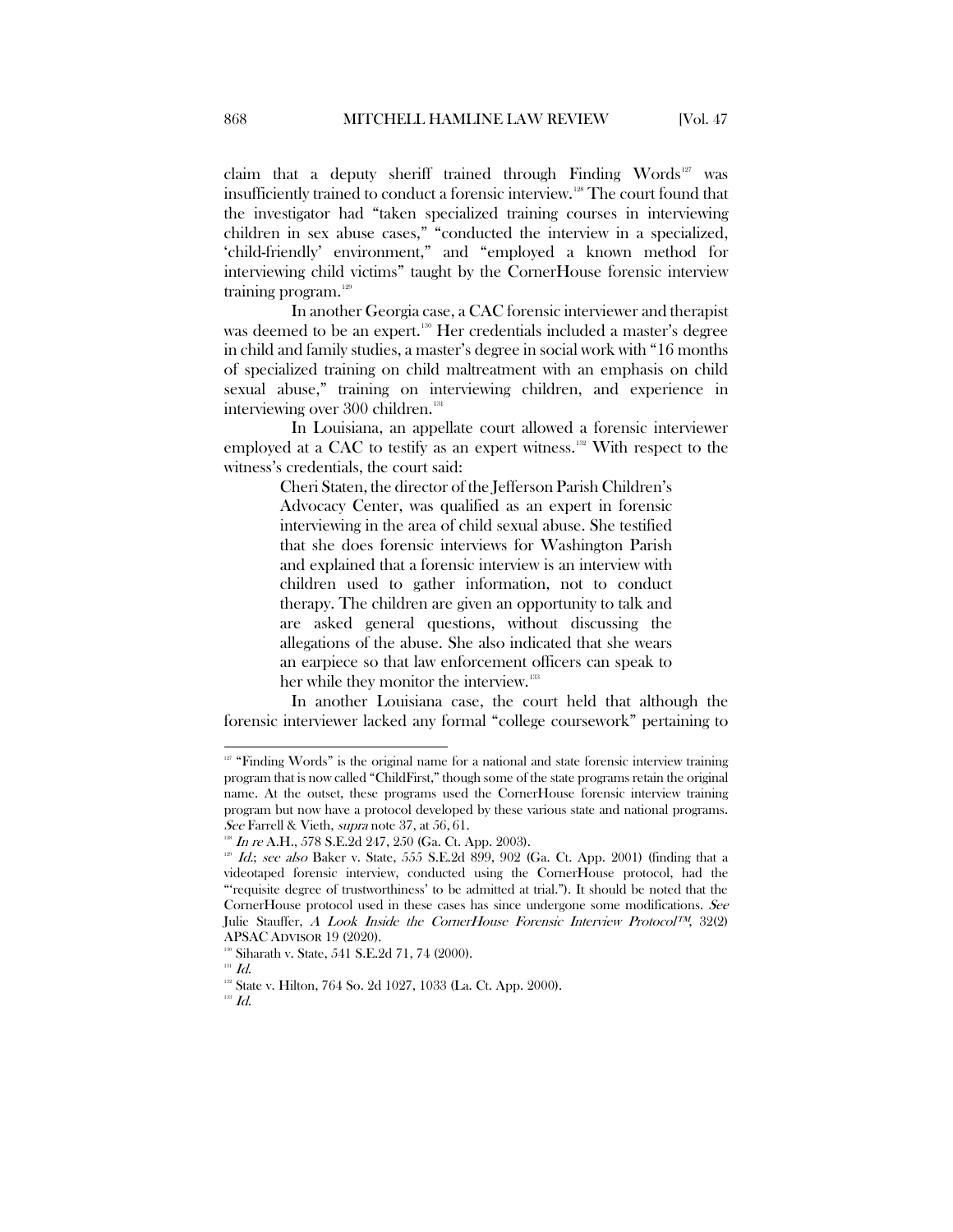claim that a deputy sheriff trained through Finding Words<sup>[127](#page-22-0)</sup> was insufficiently trained to conduct a forensic interview.[128](#page-22-1) The court found that the investigator had "taken specialized training courses in interviewing children in sex abuse cases," "conducted the interview in a specialized, 'child-friendly' environment," and "employed a known method for interviewing child victims" taught by the CornerHouse forensic interview training program. $129$ 

In another Georgia case, a CAC forensic interviewer and therapist was deemed to be an expert.<sup>[130](#page-22-3)</sup> Her credentials included a master's degree in child and family studies, a master's degree in social work with "16 months of specialized training on child maltreatment with an emphasis on child sexual abuse," training on interviewing children, and experience in interviewing over 300 children.<sup>[131](#page-22-4)</sup>

In Louisiana, an appellate court allowed a forensic interviewer employed at a CAC to testify as an expert witness.<sup>[132](#page-22-5)</sup> With respect to the witness's credentials, the court said:

> Cheri Staten, the director of the Jefferson Parish Children's Advocacy Center, was qualified as an expert in forensic interviewing in the area of child sexual abuse. She testified that she does forensic interviews for Washington Parish and explained that a forensic interview is an interview with children used to gather information, not to conduct therapy. The children are given an opportunity to talk and are asked general questions, without discussing the allegations of the abuse. She also indicated that she wears an earpiece so that law enforcement officers can speak to her while they monitor the interview.<sup>[133](#page-22-6)</sup>

In another Louisiana case, the court held that although the forensic interviewer lacked any formal "college coursework" pertaining to

<span id="page-22-0"></span><sup>&</sup>lt;sup>127</sup> "Finding Words" is the original name for a national and state forensic interview training program that is now called "ChildFirst," though some of the state programs retain the original name. At the outset, these programs used the CornerHouse forensic interview training program but now have a protocol developed by these various state and national programs. See Farrell & Vieth, supra note 37, at 56, 61.

 $128$  In re A.H., 578 S.E.2d 247, 250 (Ga. Ct. App. 2003).

<span id="page-22-2"></span><span id="page-22-1"></span><sup>&</sup>lt;sup>129</sup> Id.; see also Baker v. State, 555 S.E.2d 899, 902 (Ga. Ct. App. 2001) (finding that a videotaped forensic interview, conducted using the CornerHouse protocol, had the "'requisite degree of trustworthiness' to be admitted at trial."). It should be noted that the CornerHouse protocol used in these cases has since undergone some modifications. See Julie Stauffer, A Look Inside the CornerHouse Forensic Interview Protocol™, 32(2) APSAC ADVISOR 19 (2020). <sup>130</sup> Siharath v. State, 541 S.E.2d 71, 74 (2000). <sup>131</sup> Id

<span id="page-22-6"></span><span id="page-22-5"></span><span id="page-22-4"></span><span id="page-22-3"></span><sup>&</sup>lt;sup>132</sup> State v. Hilton, 764 So. 2d 1027, 1033 (La. Ct. App. 2000).

 $^{133}$   $\emph{Id.}$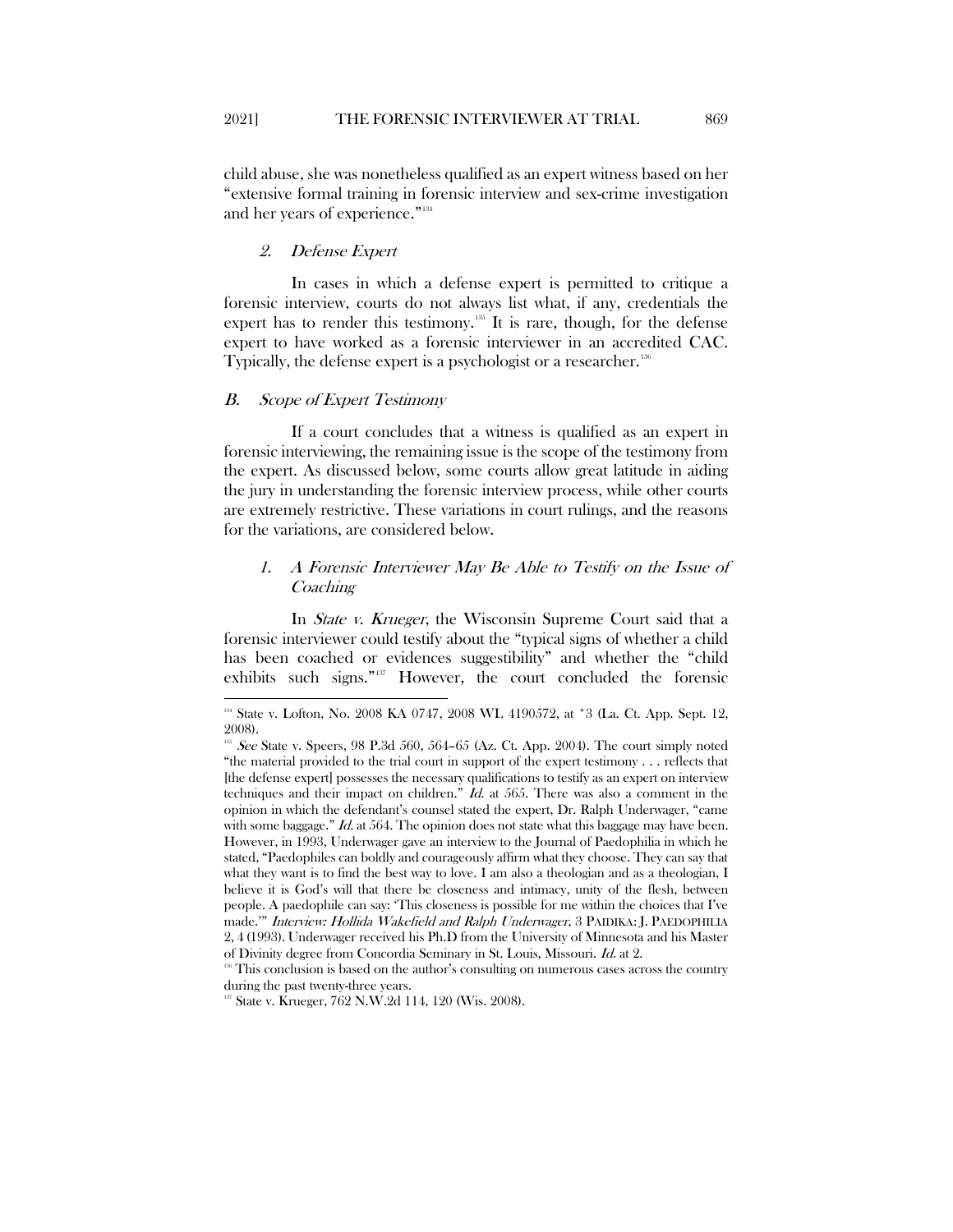child abuse, she was nonetheless qualified as an expert witness based on her "extensive formal training in forensic interview and sex-crime investigation and her years of experience."[134](#page-23-3)

#### <span id="page-23-0"></span>2. Defense Expert

In cases in which a defense expert is permitted to critique a forensic interview, courts do not always list what, if any, credentials the expert has to render this testimony.<sup>[135](#page-23-4)</sup> It is rare, though, for the defense expert to have worked as a forensic interviewer in an accredited CAC. Typically, the defense expert is a psychologist or a researcher.<sup>[136](#page-23-5)</sup>

#### <span id="page-23-1"></span>B. Scope of Expert Testimony

 $\overline{\phantom{a}}$ 

If a court concludes that a witness is qualified as an expert in forensic interviewing, the remaining issue is the scope of the testimony from the expert. As discussed below, some courts allow great latitude in aiding the jury in understanding the forensic interview process, while other courts are extremely restrictive. These variations in court rulings, and the reasons for the variations, are considered below.

## <span id="page-23-2"></span>1. A Forensic Interviewer May Be Able to Testify on the Issue of **Coaching**

In *State v. Krueger*, the Wisconsin Supreme Court said that a forensic interviewer could testify about the "typical signs of whether a child has been coached or evidences suggestibility" and whether the "child exhibits such signs."[137](#page-23-6) However, the court concluded the forensic

<span id="page-23-3"></span><sup>&</sup>lt;sup>134</sup> State v. Lofton, No. 2008 KA 0747, 2008 WL 4190572, at \*3 (La. Ct. App. Sept. 12, 2008).

<span id="page-23-4"></span> $135$  See State v. Speers, 98 P.3d 560, 564-65 (Az. Ct. App. 2004). The court simply noted "the material provided to the trial court in support of the expert testimony . . . reflects that [the defense expert] possesses the necessary qualifications to testify as an expert on interview techniques and their impact on children." Id. at  $565$ . There was also a comment in the opinion in which the defendant's counsel stated the expert, Dr. Ralph Underwager, "came with some baggage."  $Id$ , at 564. The opinion does not state what this baggage may have been. However, in 1993, Underwager gave an interview to the Journal of Paedophilia in which he stated, "Paedophiles can boldly and courageously affirm what they choose. They can say that what they want is to find the best way to love. I am also a theologian and as a theologian, I believe it is God's will that there be closeness and intimacy, unity of the flesh, between people. A paedophile can say: 'This closeness is possible for me within the choices that I've made.'" Interview: Hollida Wakefield and Ralph Underwager, 3 PAIDIKA: J. PAEDOPHILIA 2, 4 (1993). Underwager received his Ph.D from the University of Minnesota and his Master of Divinity degree from Concordia Seminary in St. Louis, Missouri.  $Id$ . at 2.<br><sup>136</sup> This conclusion is based on the author's consulting on numerous cases across the country

<span id="page-23-6"></span><span id="page-23-5"></span>during the past twenty-three years.<br><sup>137</sup> State v. Krueger, 762 N.W.2d 114, 120 (Wis. 2008).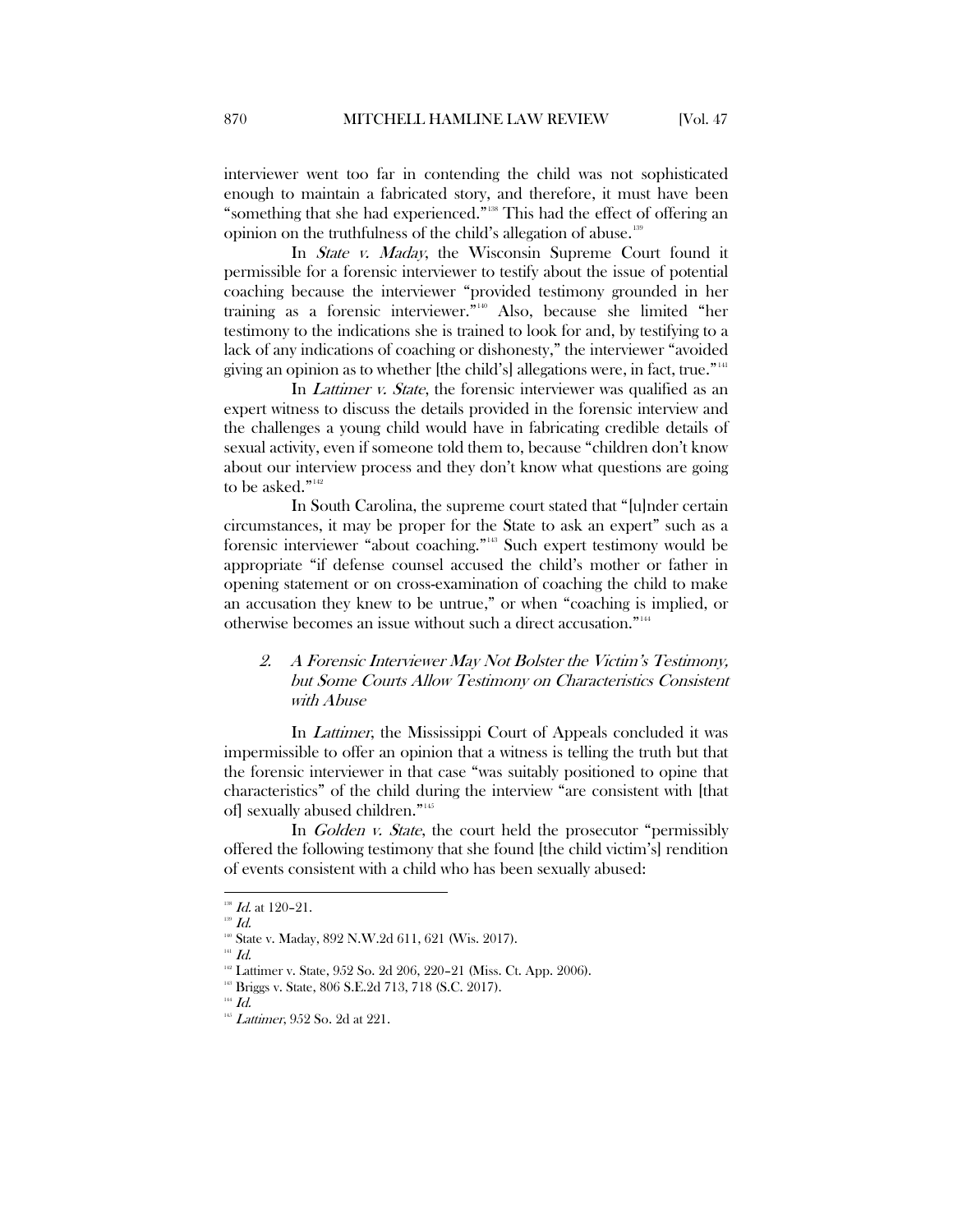interviewer went too far in contending the child was not sophisticated enough to maintain a fabricated story, and therefore, it must have been "something that she had experienced."[138](#page-24-1) This had the effect of offering an opinion on the truthfulness of the child's allegation of abuse.<sup>[139](#page-24-2)</sup>

In *State v. Maday*, the Wisconsin Supreme Court found it permissible for a forensic interviewer to testify about the issue of potential coaching because the interviewer "provided testimony grounded in her training as a forensic interviewer."[140](#page-24-3) Also, because she limited "her testimony to the indications she is trained to look for and, by testifying to a lack of any indications of coaching or dishonesty," the interviewer "avoided giving an opinion as to whether [the child's] allegations were, in fact, true." [141](#page-24-4)

In *Lattimer v. State*, the forensic interviewer was qualified as an expert witness to discuss the details provided in the forensic interview and the challenges a young child would have in fabricating credible details of sexual activity, even if someone told them to, because "children don't know about our interview process and they don't know what questions are going to be asked."<sup>[142](#page-24-5)</sup>

In South Carolina, the supreme court stated that "[u]nder certain circumstances, it may be proper for the State to ask an expert" such as a forensic interviewer "about coaching."[143](#page-24-6) Such expert testimony would be appropriate "if defense counsel accused the child's mother or father in opening statement or on cross-examination of coaching the child to make an accusation they knew to be untrue," or when "coaching is implied, or otherwise becomes an issue without such a direct accusation.["144](#page-24-7)

## <span id="page-24-0"></span>2. A Forensic Interviewer May Not Bolster the Victim's Testimony, but Some Courts Allow Testimony on Characteristics Consistent with Abuse

In *Lattimer*, the Mississippi Court of Appeals concluded it was impermissible to offer an opinion that a witness is telling the truth but that the forensic interviewer in that case "was suitably positioned to opine that characteristics" of the child during the interview "are consistent with [that of] sexually abused children."[145](#page-24-8)

In Golden v. State, the court held the prosecutor "permissibly offered the following testimony that she found [the child victim's] rendition of events consistent with a child who has been sexually abused:

 $138$  *Id.* at 120-21.

<span id="page-24-3"></span><span id="page-24-2"></span><span id="page-24-1"></span>

 $^{139}$   $\emph{Id}.$   $^{140}$  State v. Maday, 892 N.W.2d 611, 621 (Wis. 2017).

<span id="page-24-4"></span> $^{141}$   $\emph{Id.}$ 

<span id="page-24-5"></span><sup>&</sup>lt;sup>142</sup> Lattimer v. State, 952 So. 2d 206, 220–21 (Miss. Ct. App. 2006).<br><sup>143</sup> Briggs v. State, 806 S.E.2d 713, 718 (S.C. 2017).<br><sup>144</sup> *Id.* 

<span id="page-24-7"></span><span id="page-24-6"></span>

<span id="page-24-8"></span> $145$  *Lattimer*, 952 So. 2d at 221.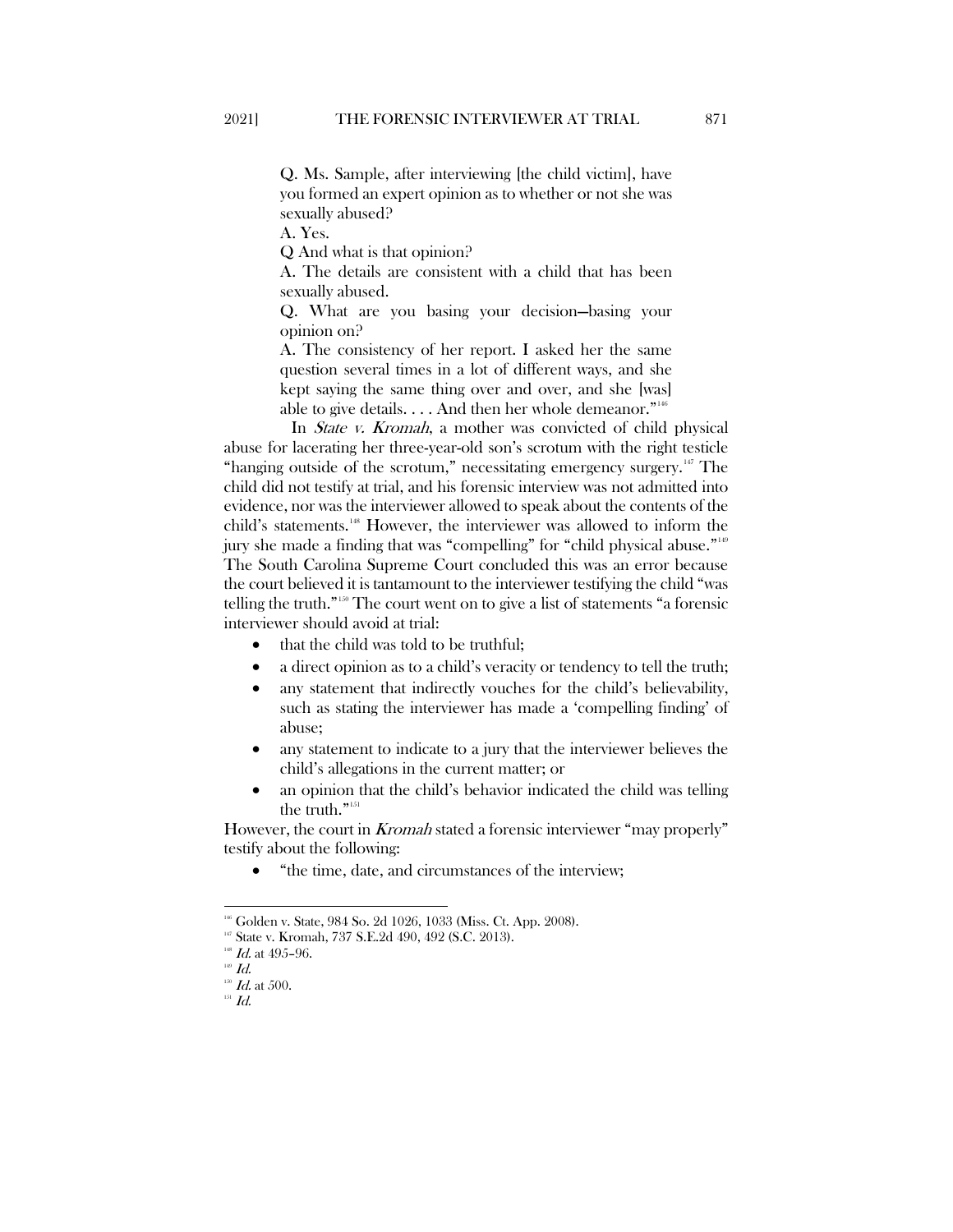Q. Ms. Sample, after interviewing [the child victim], have you formed an expert opinion as to whether or not she was sexually abused?

A. Yes.

Q And what is that opinion?

A. The details are consistent with a child that has been sexually abused.

Q. What are you basing your decision—basing your opinion on?

A. The consistency of her report. I asked her the same question several times in a lot of different ways, and she kept saying the same thing over and over, and she [was] able to give details.  $\dots$  And then her whole demeanor.<sup> $n_{146}$ </sup>

In *State v. Kromah*, a mother was convicted of child physical abuse for lacerating her three-year-old son's scrotum with the right testicle "hanging outside of the scrotum," necessitating emergency surgery.<sup>[147](#page-25-1)</sup> The child did not testify at trial, and his forensic interview was not admitted into evidence, nor was the interviewer allowed to speak about the contents of the child's statements.<sup>[148](#page-25-2)</sup> However, the interviewer was allowed to inform the jury she made a finding that was "compelling" for "child physical abuse."[149](#page-25-3) The South Carolina Supreme Court concluded this was an error because the court believed it is tantamount to the interviewer testifying the child "was telling the truth." [150](#page-25-4) The court went on to give a list of statements "a forensic interviewer should avoid at trial:

- that the child was told to be truthful;
- a direct opinion as to a child's veracity or tendency to tell the truth;
- any statement that indirectly vouches for the child's believability, such as stating the interviewer has made a 'compelling finding' of abuse;
- any statement to indicate to a jury that the interviewer believes the child's allegations in the current matter; or
- an opinion that the child's behavior indicated the child was telling the truth."<sup>[151](#page-25-5)</sup>

However, the court in *Kromah* stated a forensic interviewer "may properly" testify about the following:

• "the time, date, and circumstances of the interview;

<span id="page-25-1"></span><span id="page-25-0"></span> <sup>146</sup> Golden v. State, 984 So. 2d 1026, 1033 (Miss. Ct. App. 2008).

<sup>&</sup>lt;sup>147</sup> State v. Kromah, 737 S.E.2d 490, 492 (S.C. 2013). <sup>148</sup> *Id.* at 495–96.

<span id="page-25-3"></span><span id="page-25-2"></span>

 $^{149}$   $\emph{Id.}$ 

<span id="page-25-5"></span><span id="page-25-4"></span> $^{^{150}}$   $\emph{Id.}$  at 500.  $^{^{151}}$   $\emph{Id.}$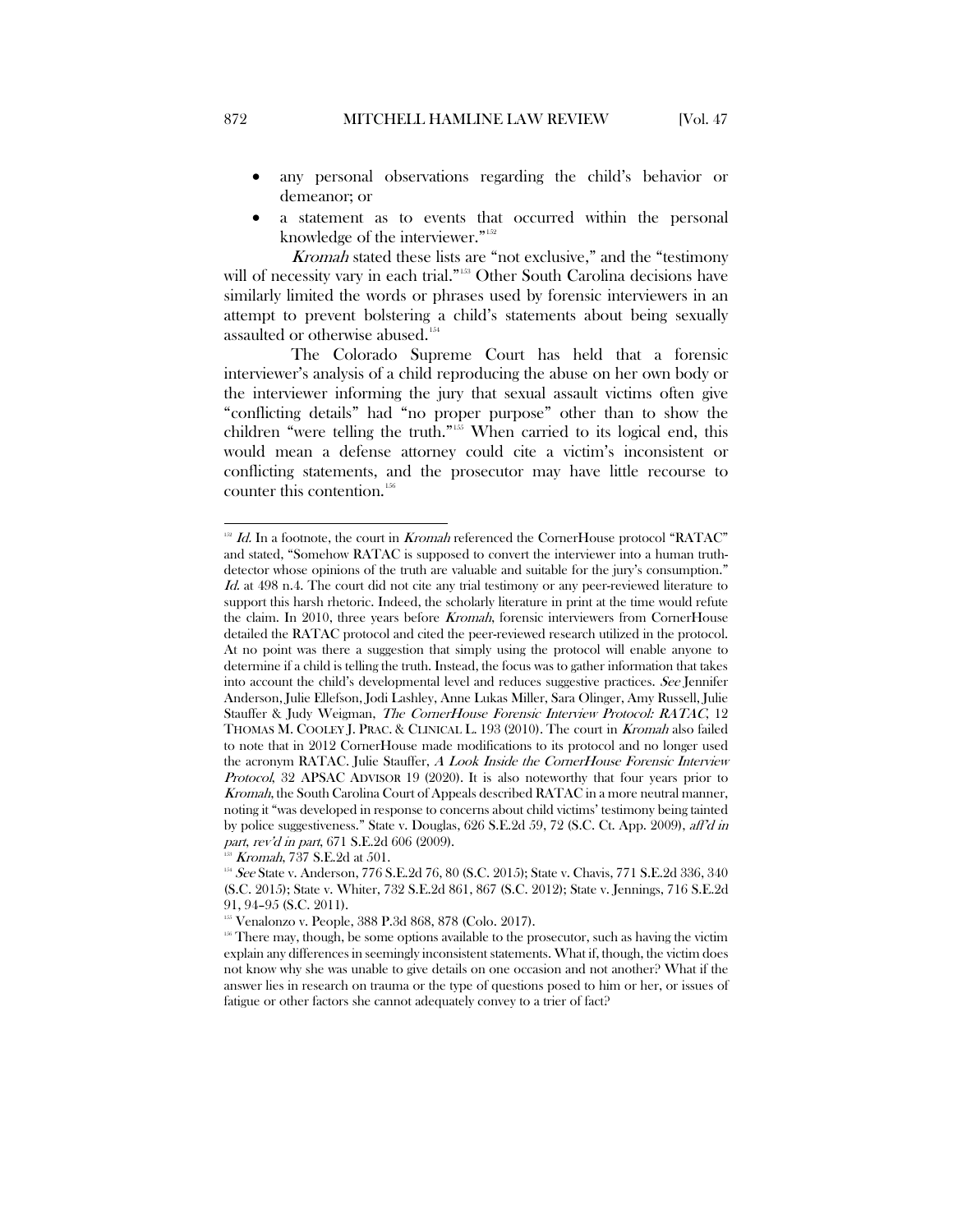- any personal observations regarding the child's behavior or demeanor; or
- a statement as to events that occurred within the personal knowledge of the interviewer."<sup>152</sup>

Kromah stated these lists are "not exclusive," and the "testimony will of necessity vary in each trial."<sup>[153](#page-26-1)</sup> Other South Carolina decisions have similarly limited the words or phrases used by forensic interviewers in an attempt to prevent bolstering a child's statements about being sexually assaulted or otherwise abused.<sup>[154](#page-26-2)</sup>

The Colorado Supreme Court has held that a forensic interviewer's analysis of a child reproducing the abuse on her own body or the interviewer informing the jury that sexual assault victims often give "conflicting details" had "no proper purpose" other than to show the children "were telling the truth."[155](#page-26-3) When carried to its logical end, this would mean a defense attorney could cite a victim's inconsistent or conflicting statements, and the prosecutor may have little recourse to counter this contention.<sup>[156](#page-26-4)</sup>

<span id="page-26-0"></span> $152$  Id. In a footnote, the court in Kromah referenced the CornerHouse protocol "RATAC" and stated, "Somehow RATAC is supposed to convert the interviewer into a human truthdetector whose opinions of the truth are valuable and suitable for the jury's consumption." Id. at 498 n.4. The court did not cite any trial testimony or any peer-reviewed literature to support this harsh rhetoric. Indeed, the scholarly literature in print at the time would refute the claim. In 2010, three years before Kromah, forensic interviewers from CornerHouse detailed the RATAC protocol and cited the peer-reviewed research utilized in the protocol. At no point was there a suggestion that simply using the protocol will enable anyone to determine if a child is telling the truth. Instead, the focus was to gather information that takes into account the child's developmental level and reduces suggestive practices. See Jennifer Anderson, Julie Ellefson, Jodi Lashley, Anne Lukas Miller, Sara Olinger, Amy Russell, Julie Stauffer & Judy Weigman, The CornerHouse Forensic Interview Protocol: RATAC, 12 THOMAS M. COOLEY J. PRAC. & CLINICAL L. 193 (2010). The court in Kromah also failed to note that in 2012 CornerHouse made modifications to its protocol and no longer used the acronym RATAC. Julie Stauffer, A Look Inside the CornerHouse Forensic Interview Protocol, 32 APSAC ADVISOR 19 (2020). It is also noteworthy that four years prior to Kromah, the South Carolina Court of Appeals described RATAC in a more neutral manner, noting it "was developed in response to concerns about child victims' testimony being tainted by police suggestiveness." State v. Douglas, 626 S.E.2d 59, 72 (S.C. Ct. App. 2009), aff'd in part, rev'd in part, 671 S.E.2d 606 (2009).

<span id="page-26-2"></span><span id="page-26-1"></span> $1^{153}$  *Kromah*, 737 S.E.2d at 501.<br><sup>154</sup> *See* State v. Anderson, 776 S.E.2d 76, 80 (S.C. 2015); State v. Chavis, 771 S.E.2d 336, 340 (S.C. 2015); State v. Whiter, 732 S.E.2d 861, 867 (S.C. 2012); State v. Jennings, 716 S.E.2d 91, 94–95 (S.C. 2011).<br><sup>15</sup> Venalonzo v. People, 388 P.3d 868, 878 (Colo. 2017).<br><sup>15</sup> There may, though, be some options available to the prosecutor, such as having the victim

<span id="page-26-4"></span><span id="page-26-3"></span>explain any differences in seemingly inconsistent statements. What if, though, the victim does not know why she was unable to give details on one occasion and not another? What if the answer lies in research on trauma or the type of questions posed to him or her, or issues of fatigue or other factors she cannot adequately convey to a trier of fact?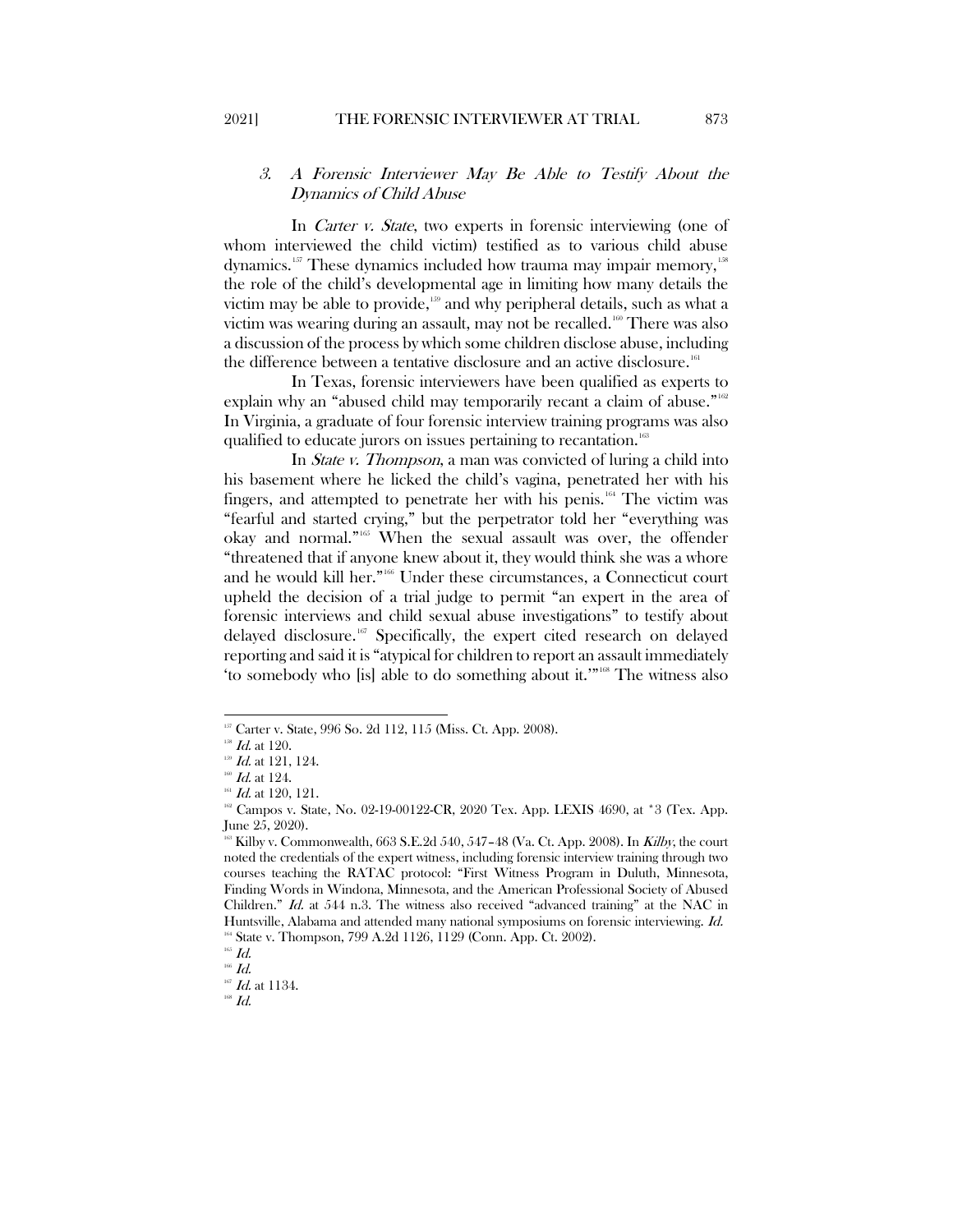## <span id="page-27-0"></span>3. A Forensic Interviewer May Be Able to Testify About the Dynamics of Child Abuse

In *Carter v. State*, two experts in forensic interviewing (one of whom interviewed the child victim) testified as to various child abuse dynamics.<sup>[157](#page-27-1)</sup> These dynamics included how trauma may impair memory, <sup>[158](#page-27-2)</sup> the role of the child's developmental age in limiting how many details the victim may be able to provide,<sup>[159](#page-27-3)</sup> and why peripheral details, such as what a victim was wearing during an assault, may not be recalled.<sup>[160](#page-27-4)</sup> There was also a discussion of the process by which some children disclose abuse, including the difference between a tentative disclosure and an active disclosure.<sup>[161](#page-27-5)</sup>

In Texas, forensic interviewers have been qualified as experts to explain why an "abused child may temporarily recant a claim of abuse."<sup>[162](#page-27-6)</sup> In Virginia, a graduate of four forensic interview training programs was also qualified to educate jurors on issues pertaining to recantation.<sup>[163](#page-27-7)</sup>

In State v. Thompson, a man was convicted of luring a child into his basement where he licked the child's vagina, penetrated her with his fingers, and attempted to penetrate her with his penis.<sup>[164](#page-27-8)</sup> The victim was "fearful and started crying," but the perpetrator told her "everything was okay and normal."[165](#page-27-9) When the sexual assault was over, the offender "threatened that if anyone knew about it, they would think she was a whore and he would kill her."[166](#page-27-10) Under these circumstances, a Connecticut court upheld the decision of a trial judge to permit "an expert in the area of forensic interviews and child sexual abuse investigations" to testify about delayed disclosure.<sup>[167](#page-27-11)</sup> Specifically, the expert cited research on delayed reporting and said it is "atypical for children to report an assault immediately 'to somebody who [is] able to do something about it.'"[168](#page-27-12) The witness also

<sup>&</sup>lt;sup>157</sup> Carter v. State, 996 So. 2d 112, 115 (Miss. Ct. App. 2008).

<span id="page-27-4"></span><span id="page-27-3"></span>

<span id="page-27-5"></span>

<span id="page-27-6"></span>

<span id="page-27-2"></span><span id="page-27-1"></span> $137$   $1d$ . at 120.<br>  $157$   $1d$ . at 121, 124.<br>  $167$   $1d$ . at 124.<br>
161  $1d$ . at 120, 121.<br>
161  $1d$ . at 120, 121.<br>
162 Campos v. State, No. 02-19-00122-CR, 2020 Tex. App. LEXIS 4690, at \*3 (Tex. App. June 25, 2020).

<span id="page-27-7"></span> $163$  Kilby v. Commonwealth, 663 S.E.2d 540, 547–48 (Va. Ct. App. 2008). In Kilby, the court noted the credentials of the expert witness, including forensic interview training through two courses teaching the RATAC protocol: "First Witness Program in Duluth, Minnesota, Finding Words in Windona, Minnesota, and the American Professional Society of Abused Children." Id. at 544 n.3. The witness also received "advanced training" at the NAC in Huntsville, Alabama and attended many national symposiums on forensic interviewing. Id. <sup>164</sup> State v. Thompson, 799 A.2d 1126, 1129 (Conn. App. Ct. 2002).<br><sup>165</sup> *Id.* 

<span id="page-27-12"></span><span id="page-27-11"></span>

<span id="page-27-10"></span><span id="page-27-9"></span><span id="page-27-8"></span> $\frac{166}{167}$  *Id.* at 1134.

 $^{168}$   $\emph{Id.}$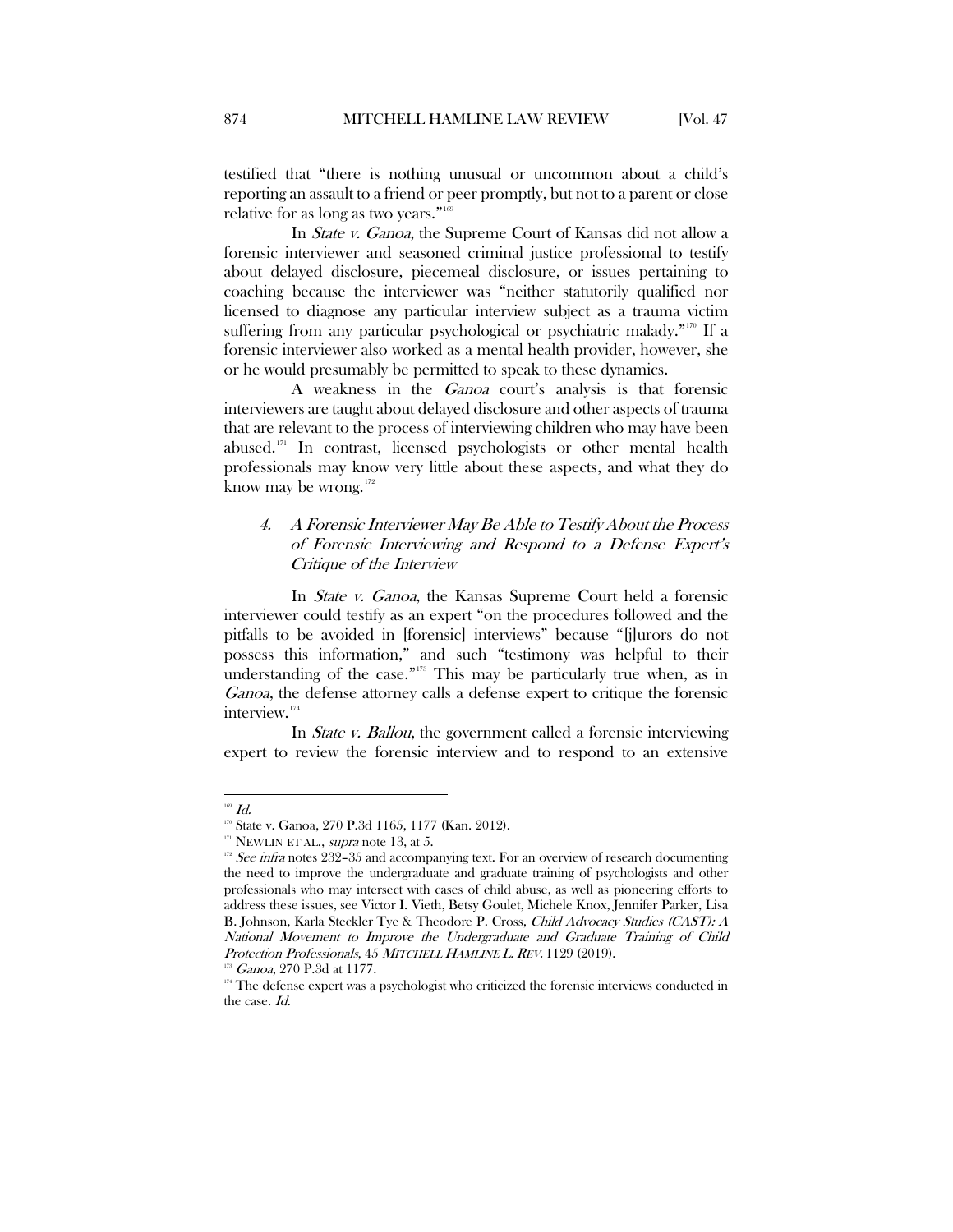testified that "there is nothing unusual or uncommon about a child's reporting an assault to a friend or peer promptly, but not to a parent or close relative for as long as two years."<sup>[169](#page-28-1)</sup>

In State v. Ganoa, the Supreme Court of Kansas did not allow a forensic interviewer and seasoned criminal justice professional to testify about delayed disclosure, piecemeal disclosure, or issues pertaining to coaching because the interviewer was "neither statutorily qualified nor licensed to diagnose any particular interview subject as a trauma victim suffering from any particular psychological or psychiatric malady."<sup>[170](#page-28-2)</sup> If a forensic interviewer also worked as a mental health provider, however, she or he would presumably be permitted to speak to these dynamics.

A weakness in the Ganoa court's analysis is that forensic interviewers are taught about delayed disclosure and other aspects of trauma that are relevant to the process of interviewing children who may have been abused.[171](#page-28-3) In contrast, licensed psychologists or other mental health professionals may know very little about these aspects, and what they do know may be wrong. $172$ 

## <span id="page-28-0"></span>4. A Forensic Interviewer May Be Able to Testify About the Process of Forensic Interviewing and Respond to a Defense Expert's Critique of the Interview

In State v. Ganoa, the Kansas Supreme Court held a forensic interviewer could testify as an expert "on the procedures followed and the pitfalls to be avoided in [forensic] interviews" because "[j]urors do not possess this information," and such "testimony was helpful to their understanding of the case."<sup>[173](#page-28-5)</sup> This may be particularly true when, as in Ganoa, the defense attorney calls a defense expert to critique the forensic interview.[174](#page-28-6)

In *State v. Ballou*, the government called a forensic interviewing expert to review the forensic interview and to respond to an extensive

<span id="page-28-4"></span>

<span id="page-28-3"></span><span id="page-28-2"></span><span id="page-28-1"></span><sup>&</sup>lt;sup>109</sup> Id.<br><sup>170</sup> State v. Ganoa, 270 P.3d 1165, 1177 (Kan. 2012).<br><sup>171</sup> NEWLIN ET AL., *supra* note 13, at 5. 172 See *infra* notes 232–35 and accompanying text. For an overview of research documenting the need to improve the undergraduate and graduate training of psychologists and other professionals who may intersect with cases of child abuse, as well as pioneering efforts to address these issues, see Victor I. Vieth, Betsy Goulet, Michele Knox, Jennifer Parker, Lisa B. Johnson, Karla Steckler Tye & Theodore P. Cross, Child Advocacy Studies (CAST): A National Movement to Improve the Undergraduate and Graduate Training of Child Protection Professionals, 45 MITCHELL HAMLINE L. REV. 1129 (2019).<br><sup>173</sup> Ganoa, 270 P.3d at 1177.

<span id="page-28-6"></span><span id="page-28-5"></span><sup>&</sup>lt;sup>174</sup> The defense expert was a psychologist who criticized the forensic interviews conducted in the case. Id.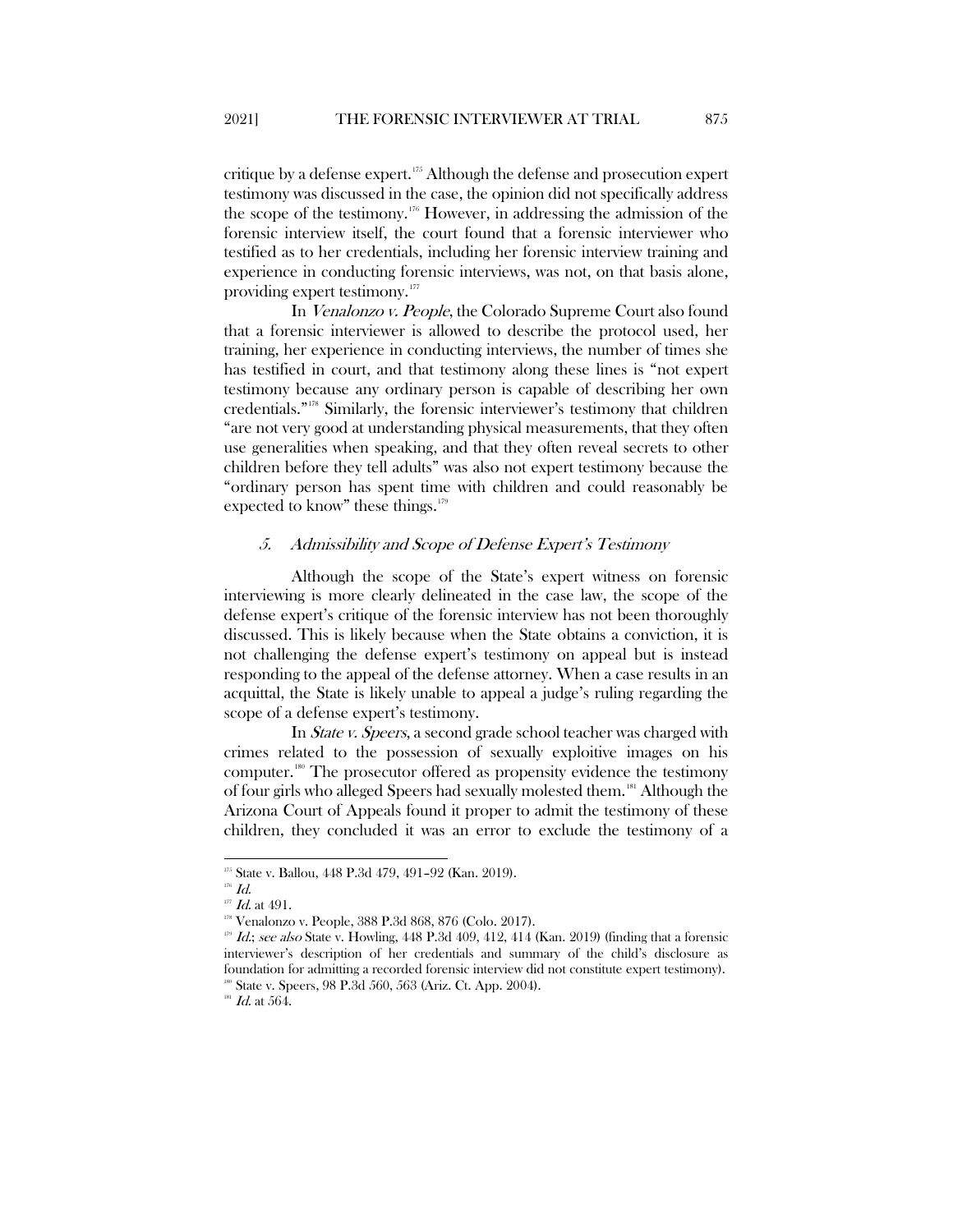critique by a defense expert.[175](#page-29-1) Although the defense and prosecution expert testimony was discussed in the case, the opinion did not specifically address the scope of the testimony.[176](#page-29-2) However, in addressing the admission of the forensic interview itself, the court found that a forensic interviewer who testified as to her credentials, including her forensic interview training and experience in conducting forensic interviews, was not, on that basis alone, providing expert testimony.<sup>[177](#page-29-3)</sup>

In Venalonzo v. People, the Colorado Supreme Court also found that a forensic interviewer is allowed to describe the protocol used, her training, her experience in conducting interviews, the number of times she has testified in court, and that testimony along these lines is "not expert testimony because any ordinary person is capable of describing her own credentials."[178](#page-29-4) Similarly, the forensic interviewer's testimony that children "are not very good at understanding physical measurements, that they often use generalities when speaking, and that they often reveal secrets to other children before they tell adults" was also not expert testimony because the "ordinary person has spent time with children and could reasonably be expected to know" these things. $179$ 

#### <span id="page-29-0"></span>5. Admissibility and Scope of Defense Expert's Testimony

Although the scope of the State's expert witness on forensic interviewing is more clearly delineated in the case law, the scope of the defense expert's critique of the forensic interview has not been thoroughly discussed. This is likely because when the State obtains a conviction, it is not challenging the defense expert's testimony on appeal but is instead responding to the appeal of the defense attorney. When a case results in an acquittal, the State is likely unable to appeal a judge's ruling regarding the scope of a defense expert's testimony.

In State v. Speers, a second grade school teacher was charged with crimes related to the possession of sexually exploitive images on his computer.[180](#page-29-6) The prosecutor offered as propensity evidence the testimony of four girls who alleged Speers had sexually molested them.[181](#page-29-7) Although the Arizona Court of Appeals found it proper to admit the testimony of these children, they concluded it was an error to exclude the testimony of a

<span id="page-29-2"></span><span id="page-29-1"></span><sup>175</sup> State v. Ballou, 448 P.3d 479, 491-92 (Kan. 2019).

 $^{176}$   $\emph{Id.}$ 

<span id="page-29-3"></span> $177$  Id. at 491.<br><sup>178</sup> Venalonzo v. People, 388 P.3d 868, 876 (Colo. 2017).

<span id="page-29-5"></span><span id="page-29-4"></span> $179$  *Id.*; see also State v. Howling, 448 P.3d 409, 412, 414 (Kan. 2019) (finding that a forensic interviewer's description of her credentials and summary of the child's disclosure as foundation for admitting a recorded forensic interview did not constitute expert testimony). <sup>180</sup> State v. Speers, 98 P.3d 560, 563 (Ariz. Ct. App. 2004).

<span id="page-29-7"></span><span id="page-29-6"></span> $^{^{\mathrm{181}}}$   $\mathit{Id.}$  at 564.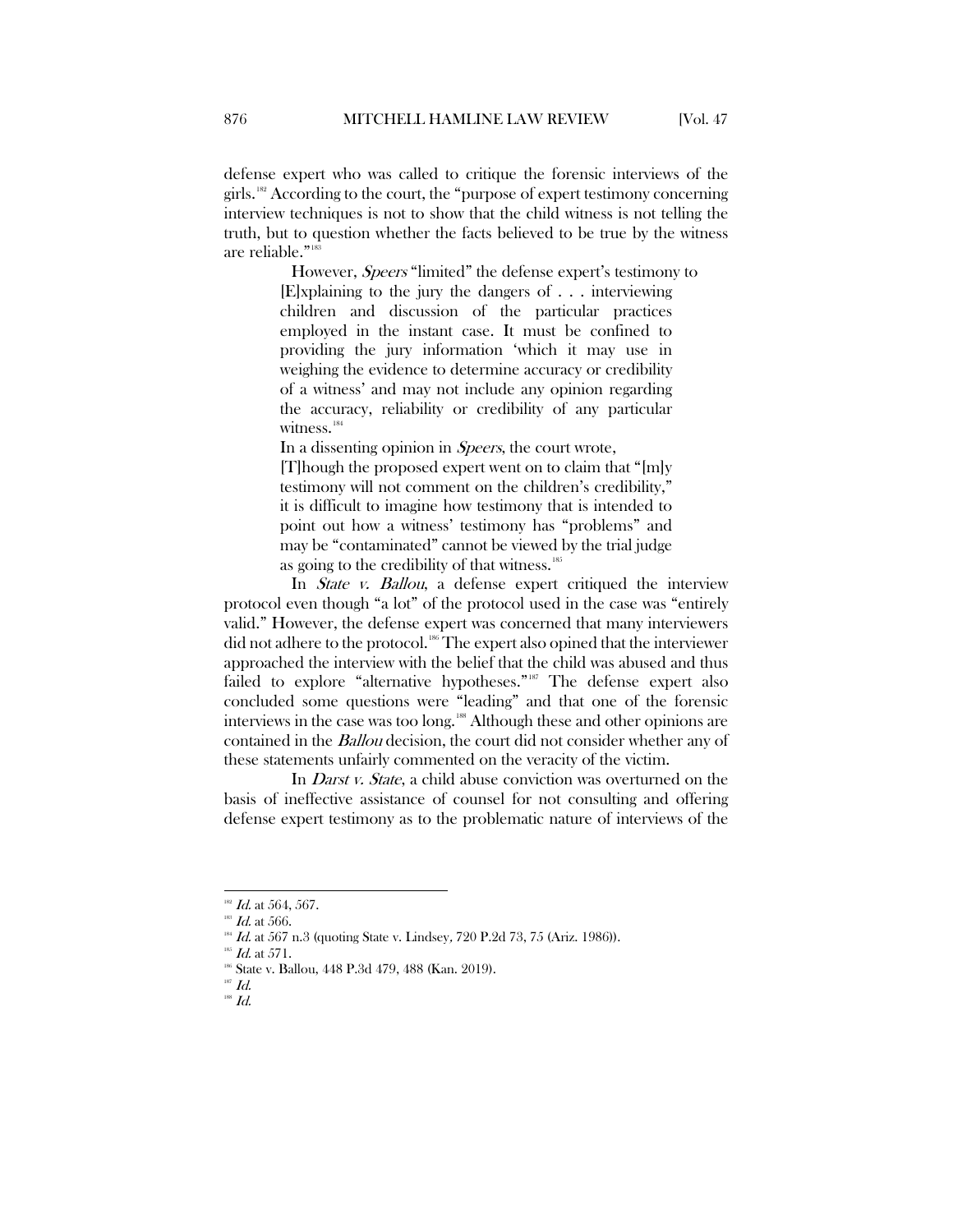defense expert who was called to critique the forensic interviews of the girls.<sup>[182](#page-30-0)</sup> According to the court, the "purpose of expert testimony concerning interview techniques is not to show that the child witness is not telling the truth, but to question whether the facts believed to be true by the witness are reliable."<sup>[183](#page-30-1)</sup>

> However, Speers "limited" the defense expert's testimony to [E]xplaining to the jury the dangers of . . . interviewing children and discussion of the particular practices employed in the instant case. It must be confined to providing the jury information 'which it may use in weighing the evidence to determine accuracy or credibility of a witness' and may not include any opinion regarding the accuracy, reliability or credibility of any particular witness.<sup>[184](#page-30-2)</sup>

In a dissenting opinion in *Speers*, the court wrote,

[T]hough the proposed expert went on to claim that "[m]y testimony will not comment on the children's credibility," it is difficult to imagine how testimony that is intended to point out how a witness' testimony has "problems" and may be "contaminated" cannot be viewed by the trial judge as going to the credibility of that witness.<sup>[185](#page-30-3)</sup>

In *State v. Ballou*, a defense expert critiqued the interview protocol even though "a lot" of the protocol used in the case was "entirely valid." However, the defense expert was concerned that many interviewers did not adhere to the protocol.<sup>[186](#page-30-4)</sup> The expert also opined that the interviewer approached the interview with the belief that the child was abused and thus failed to explore "alternative hypotheses."[187](#page-30-5) The defense expert also concluded some questions were "leading" and that one of the forensic interviews in the case was too long.<sup>[188](#page-30-6)</sup> Although these and other opinions are contained in the Ballou decision, the court did not consider whether any of these statements unfairly commented on the veracity of the victim.

In *Darst v. State*, a child abuse conviction was overturned on the basis of ineffective assistance of counsel for not consulting and offering defense expert testimony as to the problematic nature of interviews of the

<sup>&</sup>lt;sup>182</sup> *Id.* at 564, 567.<br><sup>183</sup> *Id.* at 566.

<span id="page-30-0"></span>

<span id="page-30-2"></span><span id="page-30-1"></span><sup>&</sup>lt;sup>381</sup> *Id.* at 567 n.3 (quoting State v. Lindsey, 720 P.2d 73, 75 (Ariz. 1986)). <sup>385</sup> *Id.* at 571. 186 Id. 448 P.3d 479, 488 (Kan. 2019).

<span id="page-30-5"></span><span id="page-30-4"></span><span id="page-30-3"></span>

<span id="page-30-6"></span> $^{187}$   $\emph{Id.}$ 

 $^{188}$   $\emph{Id.}$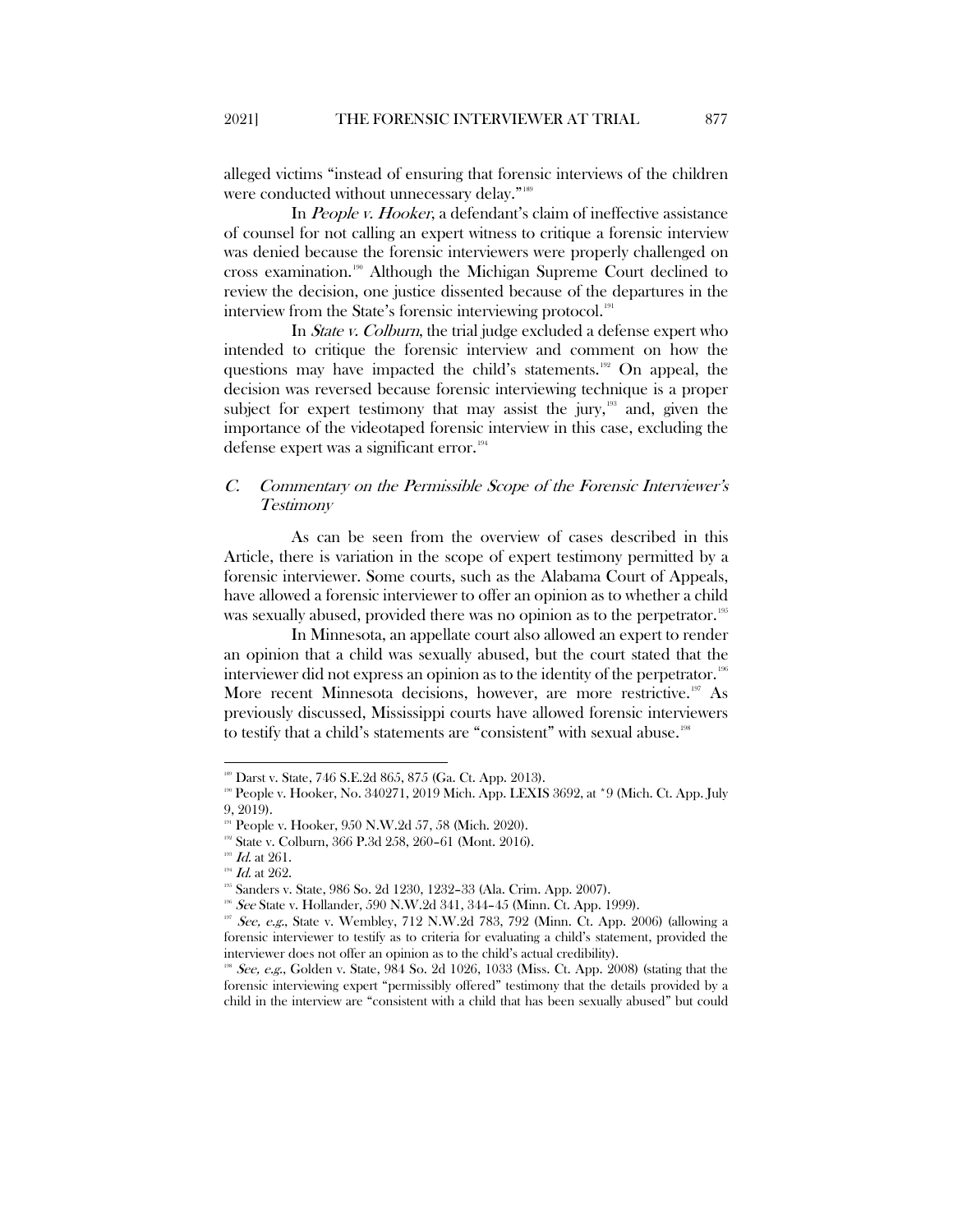alleged victims "instead of ensuring that forensic interviews of the children were conducted without unnecessary delay."<sup>[189](#page-31-1)</sup>

In People v. Hooker, a defendant's claim of ineffective assistance of counsel for not calling an expert witness to critique a forensic interview was denied because the forensic interviewers were properly challenged on cross examination.[190](#page-31-2) Although the Michigan Supreme Court declined to review the decision, one justice dissented because of the departures in the interview from the State's forensic interviewing protocol.<sup>[191](#page-31-3)</sup>

In *State v. Colburn*, the trial judge excluded a defense expert who intended to critique the forensic interview and comment on how the questions may have impacted the child's statements.<sup>[192](#page-31-4)</sup> On appeal, the decision was reversed because forensic interviewing technique is a proper subject for expert testimony that may assist the jury, $193$  and, given the importance of the videotaped forensic interview in this case, excluding the defense expert was a significant error. $194$ 

## <span id="page-31-0"></span>C. Commentary on the Permissible Scope of the Forensic Interviewer's Testimony

As can be seen from the overview of cases described in this Article, there is variation in the scope of expert testimony permitted by a forensic interviewer. Some courts, such as the Alabama Court of Appeals, have allowed a forensic interviewer to offer an opinion as to whether a child was sexually abused, provided there was no opinion as to the perpetrator.<sup>[195](#page-31-7)</sup>

In Minnesota, an appellate court also allowed an expert to render an opinion that a child was sexually abused, but the court stated that the interviewer did not express an opinion as to the identity of the perpetrator. [196](#page-31-8) More recent Minnesota decisions, however, are more restrictive.<sup>[197](#page-31-9)</sup> As previously discussed, Mississippi courts have allowed forensic interviewers to testify that a child's statements are "consistent" with sexual abuse.<sup>[198](#page-31-10)</sup>

<span id="page-31-2"></span><span id="page-31-1"></span><sup>189</sup> Darst v. State, 746 S.E.2d 865, 875 (Ga. Ct. App. 2013). 190 People v. Hooker, No. 340271, 2019 Mich. App. LEXIS 3692, at \*9 (Mich. Ct. App. July 9, 2019).

<span id="page-31-5"></span>

<span id="page-31-4"></span><span id="page-31-3"></span><sup>&</sup>lt;sup>191</sup> People v. Hooker, 950 N.W.2d 57, 58 (Mich. 2020).<br><sup>192</sup> State v. Colburn, 366 P.3d 258, 260–61 (Mont. 2016).<br><sup>193</sup> *Id.* at 262. 1<sup>94</sup> *Id.* at 262. <sup>195</sup> Sanders v. State, 986 So. 2d 1230, 1232–33 (Ala. Crim. App.

<span id="page-31-9"></span><span id="page-31-8"></span><span id="page-31-7"></span><span id="page-31-6"></span><sup>&</sup>lt;sup>96</sup> See State v. Hollander, 590 N.W.2d 341, 344-45 (Minn. Ct. App. 1999).

See, e.g., State v. Wembley, 712 N.W.2d 783, 792 (Minn. Ct. App. 2006) (allowing a forensic interviewer to testify as to criteria for evaluating a child's statement, provided the interviewer does not offer an opinion as to the child's actual credibility).

<span id="page-31-10"></span>See, e.g., Golden v. State, 984 So. 2d 1026, 1033 (Miss. Ct. App. 2008) (stating that the forensic interviewing expert "permissibly offered" testimony that the details provided by a child in the interview are "consistent with a child that has been sexually abused" but could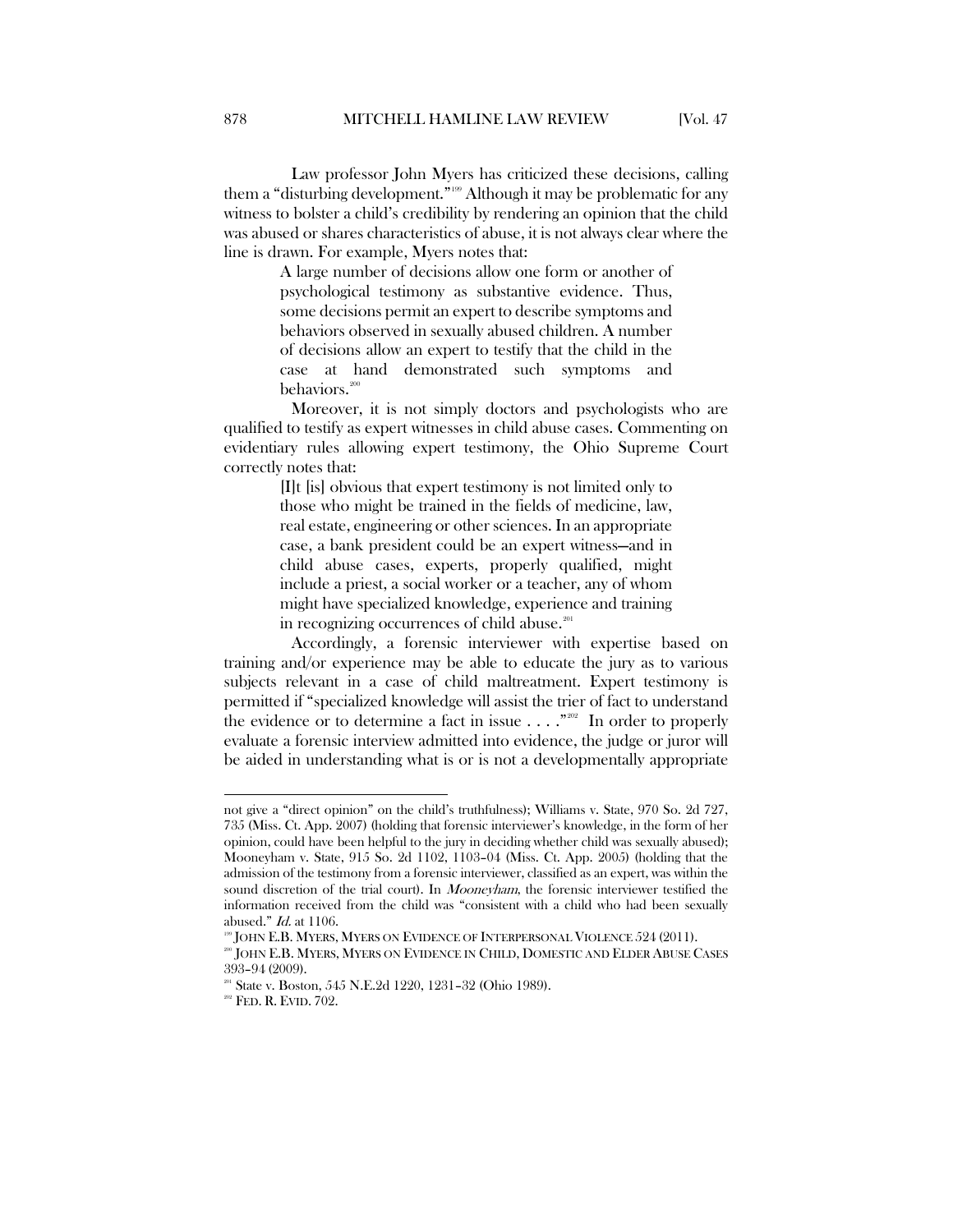Law professor John Myers has criticized these decisions, calling them a "disturbing development."<sup>[199](#page-32-0)</sup> Although it may be problematic for any witness to bolster a child's credibility by rendering an opinion that the child was abused or shares characteristics of abuse, it is not always clear where the line is drawn. For example, Myers notes that:

> A large number of decisions allow one form or another of psychological testimony as substantive evidence. Thus, some decisions permit an expert to describe symptoms and behaviors observed in sexually abused children. A number of decisions allow an expert to testify that the child in the case at hand demonstrated such symptoms and behaviors.<sup>[200](#page-32-1)</sup>

Moreover, it is not simply doctors and psychologists who are qualified to testify as expert witnesses in child abuse cases. Commenting on evidentiary rules allowing expert testimony, the Ohio Supreme Court correctly notes that:

> [I]t [is] obvious that expert testimony is not limited only to those who might be trained in the fields of medicine, law, real estate, engineering or other sciences. In an appropriate case, a bank president could be an expert witness—and in child abuse cases, experts, properly qualified, might include a priest, a social worker or a teacher, any of whom might have specialized knowledge, experience and training in recognizing occurrences of child abuse.<sup>[201](#page-32-2)</sup>

Accordingly, a forensic interviewer with expertise based on training and/or experience may be able to educate the jury as to various subjects relevant in a case of child maltreatment. Expert testimony is permitted if "specialized knowledge will assist the trier of fact to understand the evidence or to determine a fact in issue  $\ldots$ ."<sup>2002</sup> In order to properly evaluate a forensic interview admitted into evidence, the judge or juror will be aided in understanding what is or is not a developmentally appropriate

not give a "direct opinion" on the child's truthfulness); Williams v. State, 970 So. 2d 727, 735 (Miss. Ct. App. 2007) (holding that forensic interviewer's knowledge, in the form of her opinion, could have been helpful to the jury in deciding whether child was sexually abused); Mooneyham v. State, 915 So. 2d 1102, 1103–04 (Miss. Ct. App. 2005) (holding that the admission of the testimony from a forensic interviewer, classified as an expert, was within the sound discretion of the trial court). In *Mooneyham*, the forensic interviewer testified the information received from the child was "consistent with a child who had been sexually abused." Id. at 1106.

 $^{9}$  JOHN E.B. Myers, Myers on Evidence of Interpersonal Violence 524 (2011).

<span id="page-32-1"></span><span id="page-32-0"></span><sup>200</sup> JOHN E.B. MYERS, MYERS ON EVIDENCE IN CHILD, DOMESTIC AND ELDER ABUSE CASES 393–94 (2009).

<span id="page-32-2"></span><sup>&</sup>lt;sup>201</sup> State v. Boston, 545 N.E.2d 1220, 1231-32 (Ohio 1989).

<span id="page-32-3"></span><sup>&</sup>lt;sup>202</sup> FED. R. EVID. 702.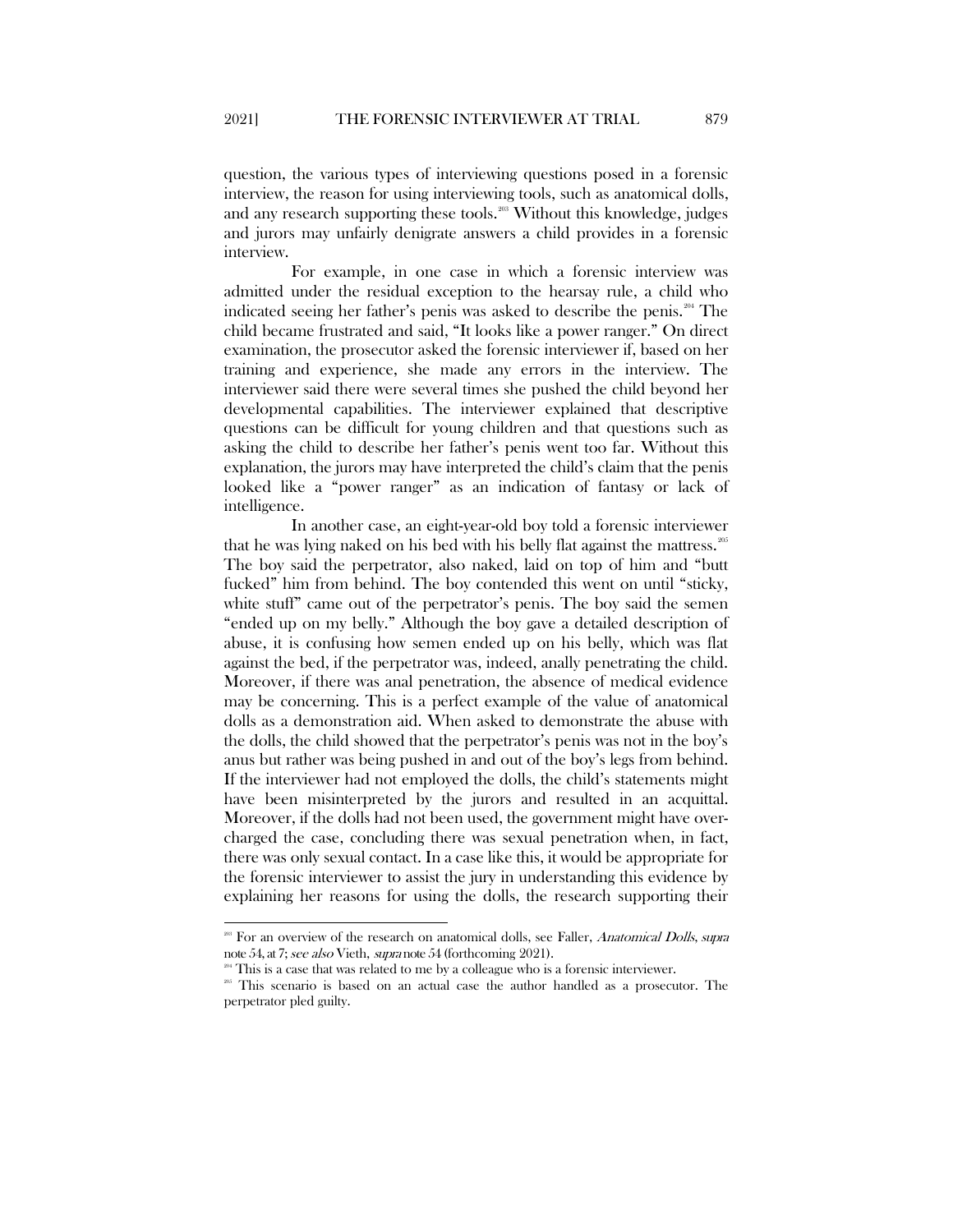question, the various types of interviewing questions posed in a forensic interview, the reason for using interviewing tools, such as anatomical dolls, and any research supporting these tools.<sup>[203](#page-33-0)</sup> Without this knowledge, judges and jurors may unfairly denigrate answers a child provides in a forensic interview.

For example, in one case in which a forensic interview was admitted under the residual exception to the hearsay rule, a child who indicated seeing her father's penis was asked to describe the penis.[204](#page-33-1) The child became frustrated and said, "It looks like a power ranger." On direct examination, the prosecutor asked the forensic interviewer if, based on her training and experience, she made any errors in the interview. The interviewer said there were several times she pushed the child beyond her developmental capabilities. The interviewer explained that descriptive questions can be difficult for young children and that questions such as asking the child to describe her father's penis went too far. Without this explanation, the jurors may have interpreted the child's claim that the penis looked like a "power ranger" as an indication of fantasy or lack of intelligence.

In another case, an eight-year-old boy told a forensic interviewer that he was lying naked on his bed with his belly flat against the mattress.<sup>[205](#page-33-2)</sup> The boy said the perpetrator, also naked, laid on top of him and "butt fucked" him from behind. The boy contended this went on until "sticky, white stuff" came out of the perpetrator's penis. The boy said the semen "ended up on my belly." Although the boy gave a detailed description of abuse, it is confusing how semen ended up on his belly, which was flat against the bed, if the perpetrator was, indeed, anally penetrating the child. Moreover, if there was anal penetration, the absence of medical evidence may be concerning. This is a perfect example of the value of anatomical dolls as a demonstration aid. When asked to demonstrate the abuse with the dolls, the child showed that the perpetrator's penis was not in the boy's anus but rather was being pushed in and out of the boy's legs from behind. If the interviewer had not employed the dolls, the child's statements might have been misinterpreted by the jurors and resulted in an acquittal. Moreover, if the dolls had not been used, the government might have overcharged the case, concluding there was sexual penetration when, in fact, there was only sexual contact. In a case like this, it would be appropriate for the forensic interviewer to assist the jury in understanding this evidence by explaining her reasons for using the dolls, the research supporting their

<sup>&</sup>lt;sup>203</sup> For an overview of the research on anatomical dolls, see Faller, *Anatomical Dolls, supra* 

<span id="page-33-2"></span><span id="page-33-1"></span><span id="page-33-0"></span>note 54, at 7; *see also* Vieth, *supra* note 54 (forthcoming 2021).<br><sup>261</sup> This is a case that was related to me by a colleague who is a forensic interviewer.<br><sup>263</sup> This scenario is based on an actual case the author hand perpetrator pled guilty.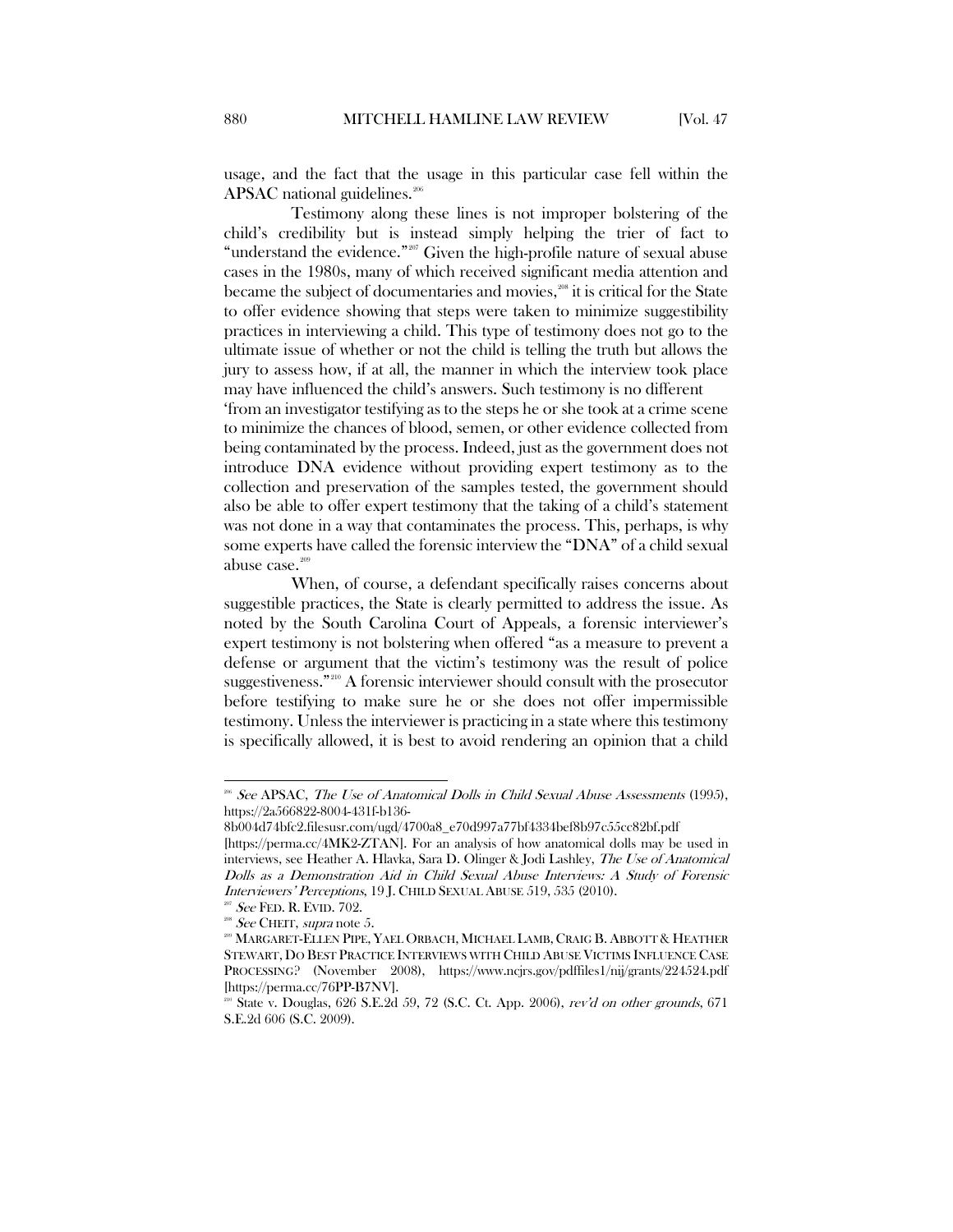usage, and the fact that the usage in this particular case fell within the APSAC national guidelines.<sup>[206](#page-34-0)</sup>

Testimony along these lines is not improper bolstering of the child's credibility but is instead simply helping the trier of fact to "understand the evidence."[207](#page-34-1) Given the high-profile nature of sexual abuse cases in the 1980s, many of which received significant media attention and became the subject of documentaries and movies,<sup>[208](#page-34-2)</sup> it is critical for the State to offer evidence showing that steps were taken to minimize suggestibility practices in interviewing a child. This type of testimony does not go to the ultimate issue of whether or not the child is telling the truth but allows the jury to assess how, if at all, the manner in which the interview took place may have influenced the child's answers. Such testimony is no different 'from an investigator testifying as to the steps he or she took at a crime scene to minimize the chances of blood, semen, or other evidence collected from being contaminated by the process. Indeed, just as the government does not introduce DNA evidence without providing expert testimony as to the collection and preservation of the samples tested, the government should also be able to offer expert testimony that the taking of a child's statement was not done in a way that contaminates the process. This, perhaps, is why some experts have called the forensic interview the "DNA" of a child sexual abuse case.<sup>[209](#page-34-3)</sup>

When, of course, a defendant specifically raises concerns about suggestible practices, the State is clearly permitted to address the issue. As noted by the South Carolina Court of Appeals, a forensic interviewer's expert testimony is not bolstering when offered "as a measure to prevent a defense or argument that the victim's testimony was the result of police suggestiveness."[210](#page-34-4) A forensic interviewer should consult with the prosecutor before testifying to make sure he or she does not offer impermissible testimony. Unless the interviewer is practicing in a state where this testimony is specifically allowed, it is best to avoid rendering an opinion that a child

<span id="page-34-0"></span><sup>&</sup>lt;sup>206</sup> See APSAC, The Use of Anatomical Dolls in Child Sexual Abuse Assessments (1995), https://2a566822-8004-431f-b136-

<sup>8</sup>b004d74bfc2.filesusr.com/ugd/4700a8\_e70d997a77bf4334bef8b97c55cc82bf.pdf [https://perma.cc/4MK2-ZTAN]. For an analysis of how anatomical dolls may be used in interviews, see Heather A. Hlavka, Sara D. Olinger & Jodi Lashley, The Use of Anatomical Dolls as a Demonstration Aid in Child Sexual Abuse Interviews: A Study of Forensic Interviewers' Perceptions, 19 J. CHILD SEXUAL ABUSE 519, 535 (2010).

<span id="page-34-1"></span> $207$  See FED. R. EVID. 702.

<sup>&</sup>lt;sup>208</sup> See CHEIT, supra note 5.

<span id="page-34-3"></span><span id="page-34-2"></span><sup>209</sup> MARGARET-ELLEN PIPE, YAEL ORBACH, MICHAEL LAMB, CRAIG B. ABBOTT & HEATHER STEWART, DO BEST PRACTICE INTERVIEWS WITH CHILD ABUSE VICTIMS INFLUENCE CASE PROCESSING? (November 2008), https://www.ncjrs.gov/pdffiles1/nij/grants/224524.pdf [https://perma.cc/76PP-B7NV].<br><sup>210</sup> State v. Douglas, 626 S.E.2d 59, 72 (S.C. Ct. App. 2006), *rev'd on other grounds*, 671

<span id="page-34-4"></span>S.E.2d 606 (S.C. 2009).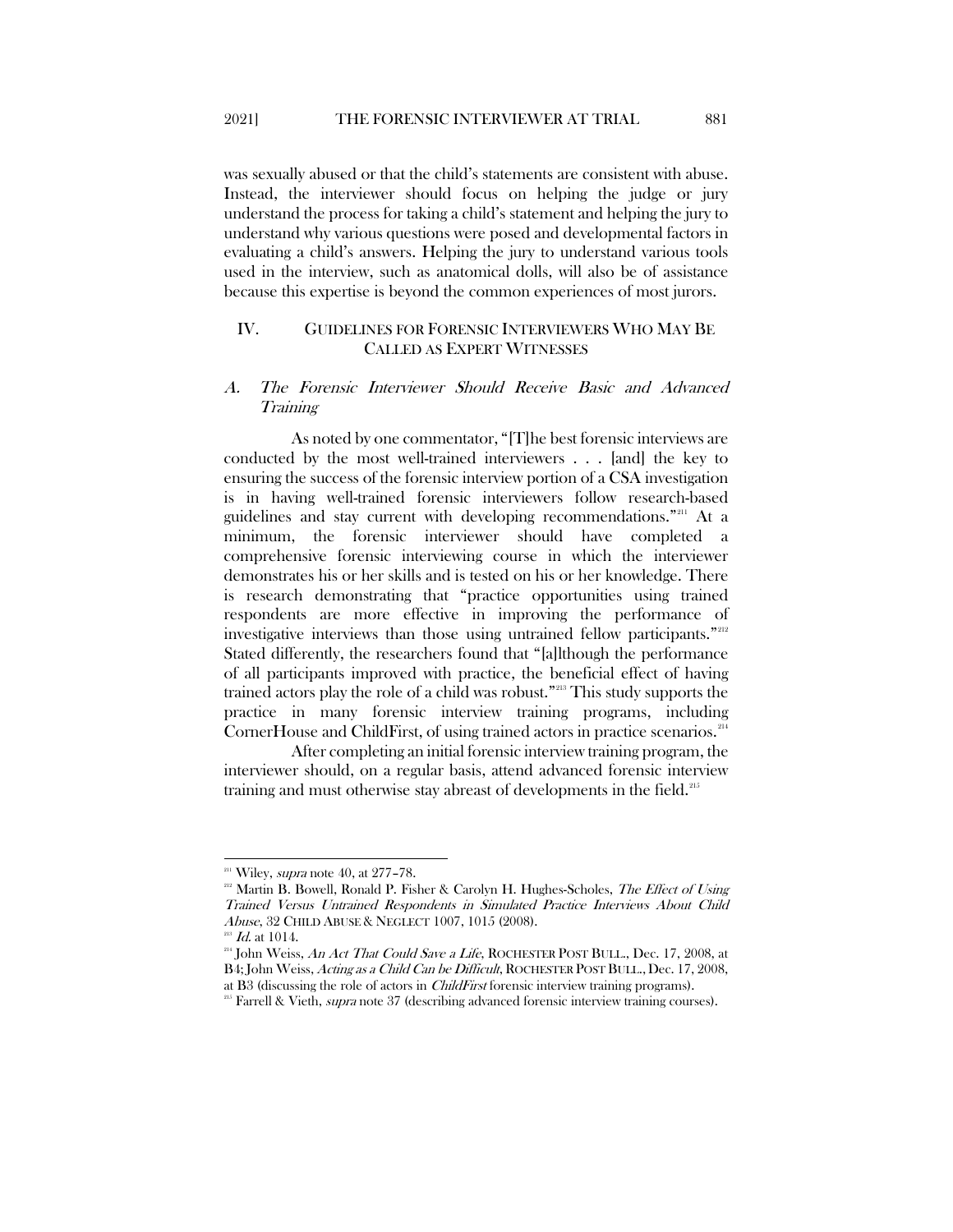2021] THE FORENSIC INTERVIEWER AT TRIAL 881

was sexually abused or that the child's statements are consistent with abuse. Instead, the interviewer should focus on helping the judge or jury understand the process for taking a child's statement and helping the jury to understand why various questions were posed and developmental factors in evaluating a child's answers. Helping the jury to understand various tools used in the interview, such as anatomical dolls, will also be of assistance because this expertise is beyond the common experiences of most jurors.

## <span id="page-35-0"></span>IV. GUIDELINES FOR FORENSIC INTERVIEWERS WHO MAY BE CALLED AS EXPERT WITNESSES

### <span id="page-35-1"></span>A. The Forensic Interviewer Should Receive Basic and Advanced Training

As noted by one commentator, "[T]he best forensic interviews are conducted by the most well-trained interviewers . . . [and] the key to ensuring the success of the forensic interview portion of a CSA investigation is in having well-trained forensic interviewers follow research-based guidelines and stay current with developing recommendations."[211](#page-35-2) At a minimum, the forensic interviewer should have completed a comprehensive forensic interviewing course in which the interviewer demonstrates his or her skills and is tested on his or her knowledge. There is research demonstrating that "practice opportunities using trained respondents are more effective in improving the performance of investigative interviews than those using untrained fellow participants."<sup>[212](#page-35-3)</sup> Stated differently, the researchers found that "[a]lthough the performance of all participants improved with practice, the beneficial effect of having trained actors play the role of a child was robust."[213](#page-35-4) This study supports the practice in many forensic interview training programs, including CornerHouse and ChildFirst, of using trained actors in practice scenarios.<sup>[214](#page-35-5)</sup>

After completing an initial forensic interview training program, the interviewer should, on a regular basis, attend advanced forensic interview training and must otherwise stay abreast of developments in the field.<sup>[215](#page-35-6)</sup>

<span id="page-35-2"></span> $211$  Wiley, *supra* note 40, at 277-78.

<span id="page-35-3"></span><sup>&</sup>lt;sup>212</sup> Martin B. Bowell, Ronald P. Fisher & Carolyn H. Hughes-Scholes, The Effect of Using Trained Versus Untrained Respondents in Simulated Practice Interviews About Child Abuse, 32 CHILD ABUSE & NEGLECT 1007, 1015 (2008).

 $^{13}$  *Id.* at 1014.

<span id="page-35-5"></span><span id="page-35-4"></span> $^{214}$  John Weiss, An Act That Could Save a Life, ROCHESTER POST BULL., Dec. 17, 2008, at B4; John Weiss, Acting as a Child Can be Difficult, ROCHESTER POST BULL., Dec. 17, 2008, at B3 (discussing the role of actors in ChildFirst forensic interview training programs).

<span id="page-35-6"></span><sup>&</sup>lt;sup>215</sup> Farrell & Vieth, *supra* note 37 (describing advanced forensic interview training courses).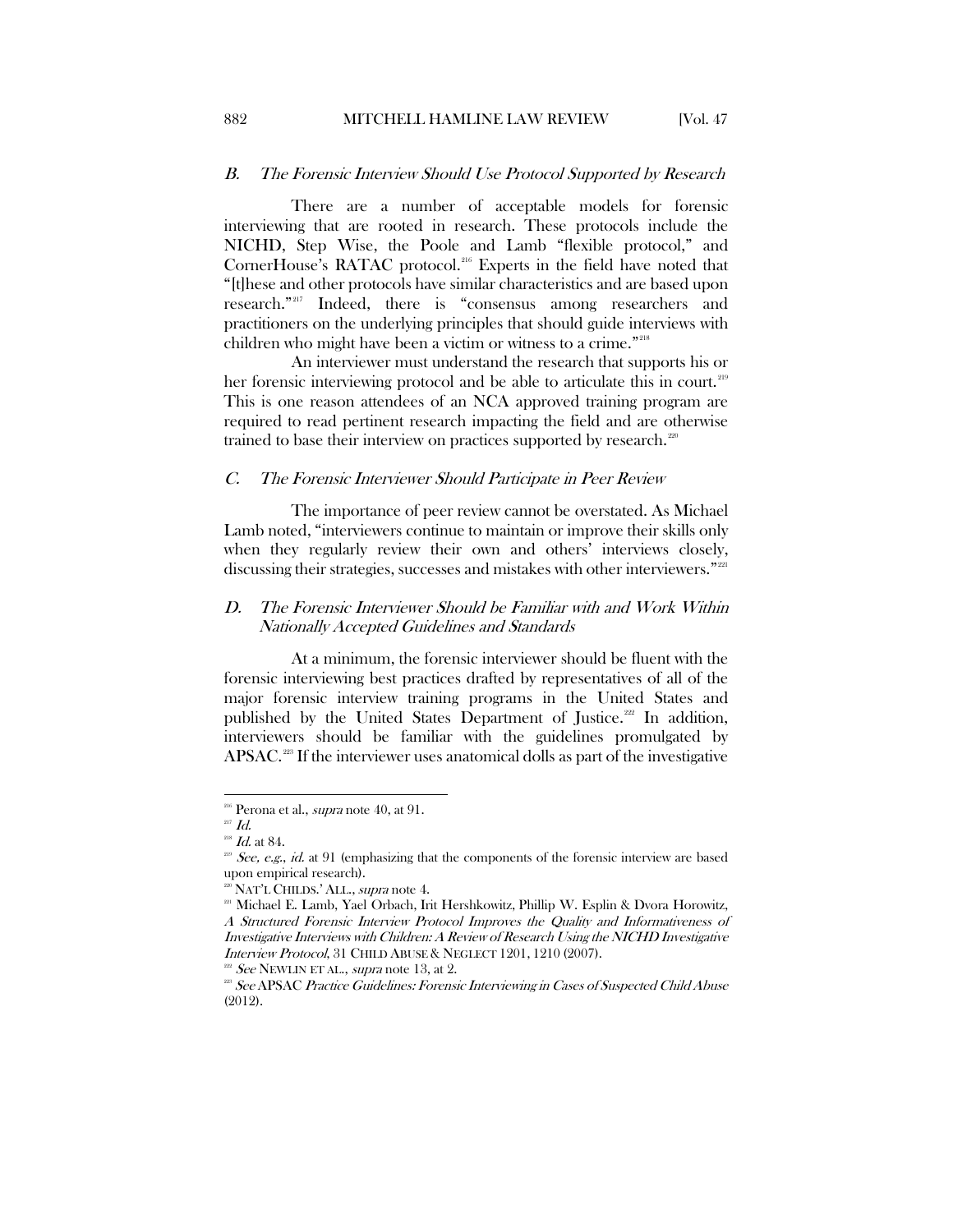#### <span id="page-36-0"></span>B. The Forensic Interview Should Use Protocol Supported by Research

There are a number of acceptable models for forensic interviewing that are rooted in research. These protocols include the NICHD, Step Wise, the Poole and Lamb "flexible protocol," and CornerHouse's RATAC protocol.<sup>[216](#page-36-3)</sup> Experts in the field have noted that "[t]hese and other protocols have similar characteristics and are based upon research."[217](#page-36-4) Indeed, there is "consensus among researchers and practitioners on the underlying principles that should guide interviews with children who might have been a victim or witness to a crime."<sup>[218](#page-36-5)</sup>

An interviewer must understand the research that supports his or her forensic interviewing protocol and be able to articulate this in court.<sup>[219](#page-36-6)</sup> This is one reason attendees of an NCA approved training program are required to read pertinent research impacting the field and are otherwise trained to base their interview on practices supported by research.<sup>[220](#page-36-7)</sup>

#### <span id="page-36-1"></span>C. The Forensic Interviewer Should Participate in Peer Review

The importance of peer review cannot be overstated. As Michael Lamb noted, "interviewers continue to maintain or improve their skills only when they regularly review their own and others' interviews closely, discussing their strategies, successes and mistakes with other interviewers."<sup>[221](#page-36-8)</sup>

## <span id="page-36-2"></span>D. The Forensic Interviewer Should be Familiar with and Work Within Nationally Accepted Guidelines and Standards

At a minimum, the forensic interviewer should be fluent with the forensic interviewing best practices drafted by representatives of all of the major forensic interview training programs in the United States and published by the United States Department of Justice.<sup>[222](#page-36-9)</sup> In addition, interviewers should be familiar with the guidelines promulgated by APSAC.<sup>[223](#page-36-10)</sup> If the interviewer uses anatomical dolls as part of the investigative

<span id="page-36-3"></span> $216$  Perona et al., *supra* note 40, at 91.

<span id="page-36-4"></span> $^{217}$   $\mathit{Id}.$ 

 $^{218}$  *Id.* at 84.

<span id="page-36-6"></span><span id="page-36-5"></span> $^{219}$  See, e.g., id. at 91 (emphasizing that the components of the forensic interview are based upon empirical research).

<span id="page-36-8"></span><span id="page-36-7"></span><sup>&</sup>lt;sup>220</sup> NAT'L CHILDS.' ALL., *supra* not[e 4.](#page-3-11)<br><sup>221</sup> Michael E. Lamb, Yael Orbach, Irit Hershkowitz, Phillip W. Esplin & Dvora Horowitz, A Structured Forensic Interview Protocol Improves the Quality and Informativeness of Investigative Interviews with Children: A Review of Research Using the NICHD Investigative Interview Protocol, 31 CHILD ABUSE & NEGLECT 1201, 1210 (2007).<br><sup>222</sup> See NEWLIN ET AL., *supra* note 13, at 2.<br><sup>223</sup> See APSAC Practice Guidelines: Forensic Interviewing in Cases of Suspected Child Abuse

<span id="page-36-10"></span><span id="page-36-9"></span><sup>(2012).</sup>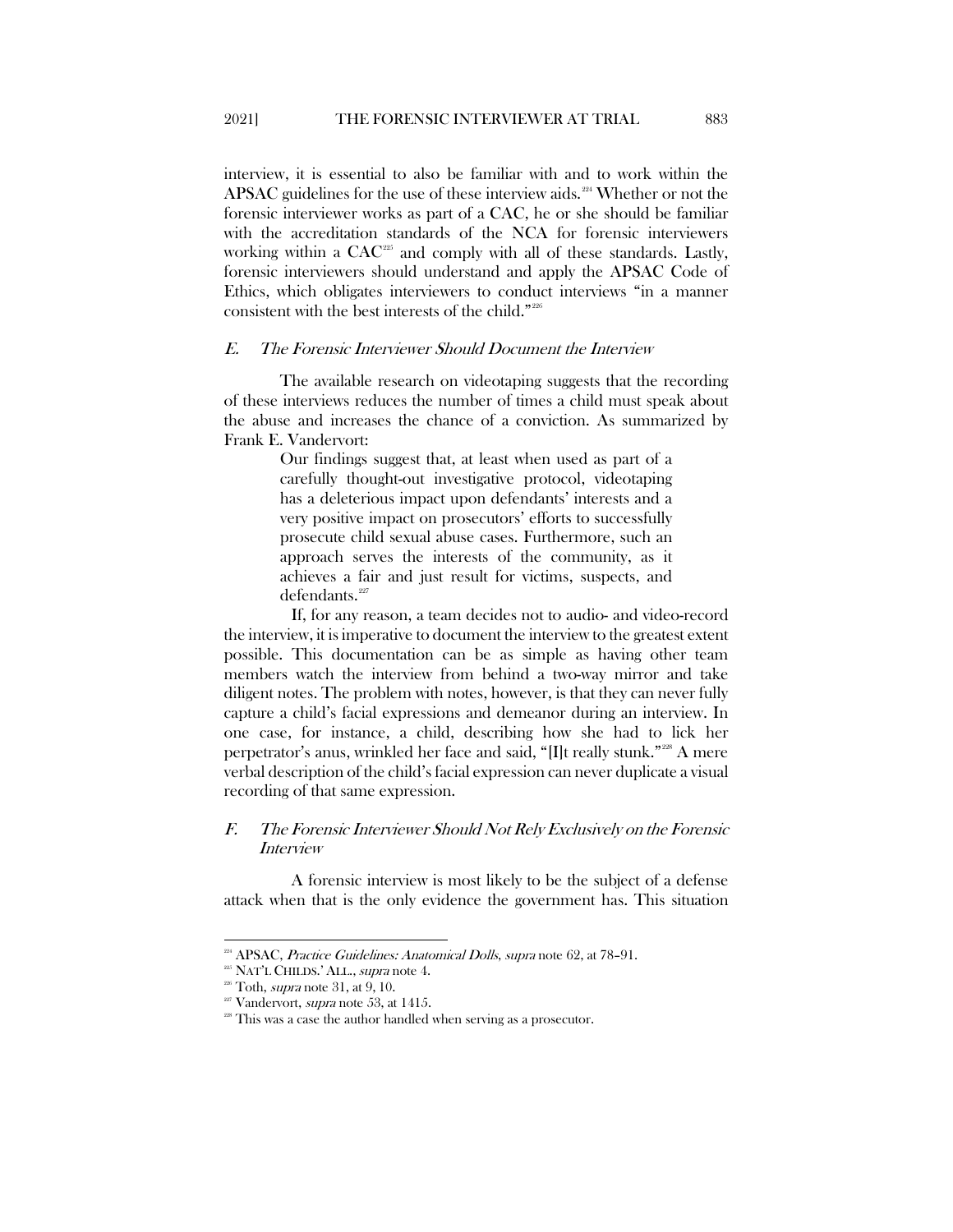interview, it is essential to also be familiar with and to work within the APSAC guidelines for the use of these interview aids.<sup>[224](#page-37-2)</sup> Whether or not the forensic interviewer works as part of a CAC, he or she should be familiar with the accreditation standards of the NCA for forensic interviewers working within a CAC<sup>[225](#page-37-3)</sup> and comply with all of these standards. Lastly, forensic interviewers should understand and apply the APSAC Code of Ethics, which obligates interviewers to conduct interviews "in a manner consistent with the best interests of the child."[226](#page-37-4)

#### <span id="page-37-0"></span>E. The Forensic Interviewer Should Document the Interview

The available research on videotaping suggests that the recording of these interviews reduces the number of times a child must speak about the abuse and increases the chance of a conviction. As summarized by Frank E. Vandervort:

> Our findings suggest that, at least when used as part of a carefully thought-out investigative protocol, videotaping has a deleterious impact upon defendants' interests and a very positive impact on prosecutors' efforts to successfully prosecute child sexual abuse cases. Furthermore, such an approach serves the interests of the community, as it achieves a fair and just result for victims, suspects, and  $defendants.<sup>227</sup>$  $defendants.<sup>227</sup>$  $defendants.<sup>227</sup>$

If, for any reason, a team decides not to audio- and video-record the interview, it is imperative to document the interview to the greatest extent possible. This documentation can be as simple as having other team members watch the interview from behind a two-way mirror and take diligent notes. The problem with notes, however, is that they can never fully capture a child's facial expressions and demeanor during an interview. In one case, for instance, a child, describing how she had to lick her perpetrator's anus, wrinkled her face and said, "[I]t really stunk."[228](#page-37-6) A mere verbal description of the child's facial expression can never duplicate a visual recording of that same expression.

# <span id="page-37-1"></span>F. The Forensic Interviewer Should Not Rely Exclusively on the Forensic Interview

A forensic interview is most likely to be the subject of a defense attack when that is the only evidence the government has. This situation

<span id="page-37-3"></span><span id="page-37-2"></span> $224$  APSAC, *Practice Guidelines: Anatomical Dolls, supra* note 62, at 78-91.

<sup>&</sup>lt;sup>225</sup> NAT'L CHILDS.' ALL., *supra* note 4.<br><sup>226</sup> Toth, *supra* note 31, at 9, 10.

<span id="page-37-5"></span><span id="page-37-4"></span>

Vandervort, *supra* note 53, at 1415.

<span id="page-37-6"></span> $228$  This was a case the author handled when serving as a prosecutor.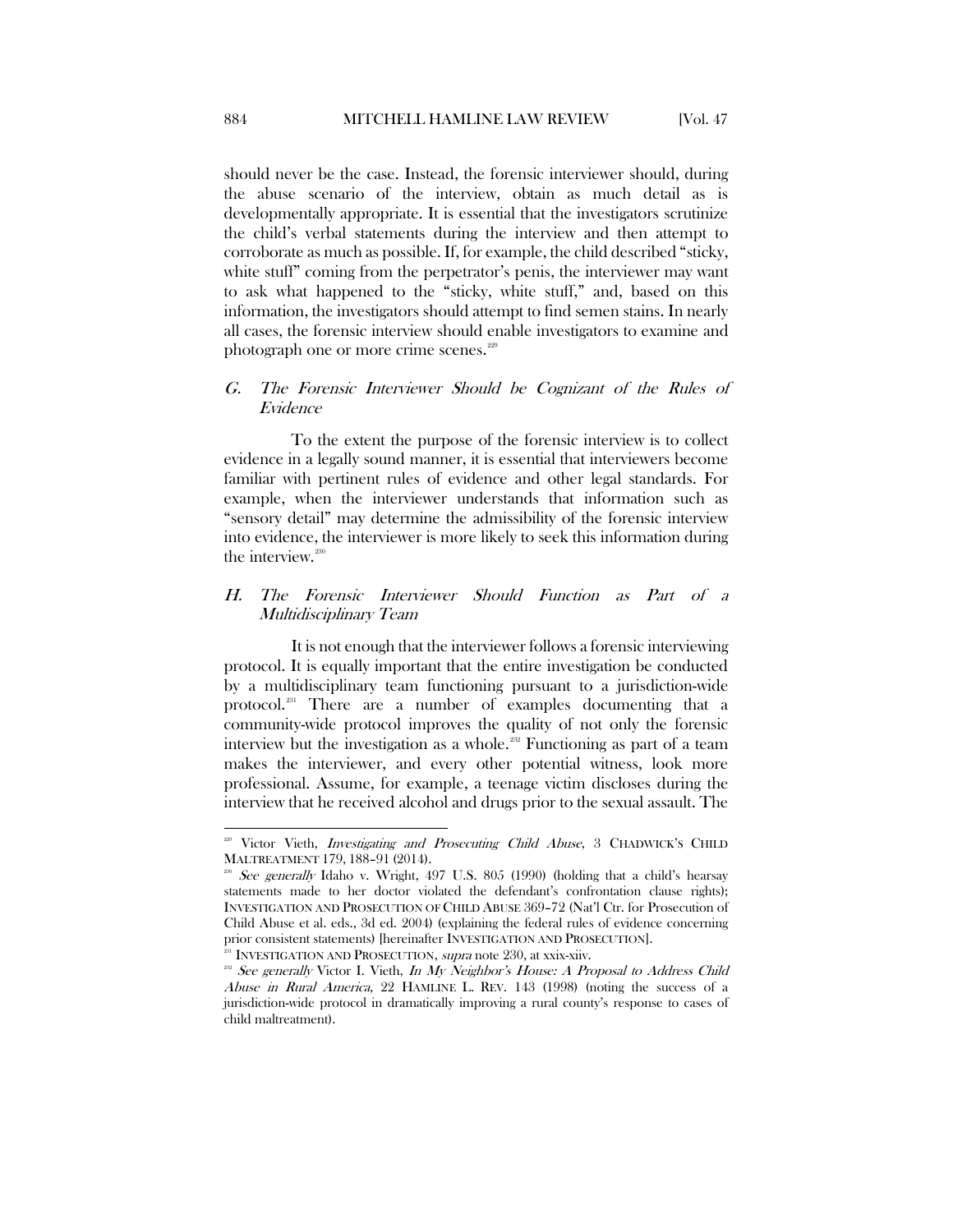should never be the case. Instead, the forensic interviewer should, during the abuse scenario of the interview, obtain as much detail as is developmentally appropriate. It is essential that the investigators scrutinize the child's verbal statements during the interview and then attempt to corroborate as much as possible. If, for example, the child described "sticky, white stuff" coming from the perpetrator's penis, the interviewer may want to ask what happened to the "sticky, white stuff," and, based on this information, the investigators should attempt to find semen stains. In nearly all cases, the forensic interview should enable investigators to examine and photograph one or more crime scenes.<sup>[229](#page-38-2)</sup>

## <span id="page-38-0"></span>G. The Forensic Interviewer Should be Cognizant of the Rules of Evidence

To the extent the purpose of the forensic interview is to collect evidence in a legally sound manner, it is essential that interviewers become familiar with pertinent rules of evidence and other legal standards. For example, when the interviewer understands that information such as "sensory detail" may determine the admissibility of the forensic interview into evidence, the interviewer is more likely to seek this information during the interview.<sup>230</sup>

## <span id="page-38-1"></span>H. The Forensic Interviewer Should Function as Part of a Multidisciplinary Team

It is not enough that the interviewer follows a forensic interviewing protocol. It is equally important that the entire investigation be conducted by a multidisciplinary team functioning pursuant to a jurisdiction-wide protocol.[231](#page-38-4) There are a number of examples documenting that a community-wide protocol improves the quality of not only the forensic interview but the investigation as a whole.<sup>[232](#page-38-5)</sup> Functioning as part of a team makes the interviewer, and every other potential witness, look more professional. Assume, for example, a teenage victim discloses during the interview that he received alcohol and drugs prior to the sexual assault. The

<span id="page-38-2"></span><sup>&</sup>lt;sup>229</sup> Victor Vieth, *Investigating and Prosecuting Child Abuse*, 3 CHADWICK'S CHILD MALTREATMENT 179, 188–91 (2014).

<span id="page-38-3"></span> $\mathcal{E}^{\text{230}}$  See generally Idaho v. Wright, 497 U.S. 805 (1990) (holding that a child's hearsay statements made to her doctor violated the defendant's confrontation clause rights); INVESTIGATION AND PROSECUTION OF CHILD ABUSE 369–72 (Nat'l Ctr. for Prosecution of Child Abuse et al. eds., 3d ed. 2004) (explaining the federal rules of evidence concerning prior consistent statements) [hereinafter INVESTIGATION AND PROSECUTION].

<span id="page-38-6"></span><sup>&</sup>lt;sup>231</sup> INVESTIGATION AND PROSECUTION, *supra* note 230, at xxix-xiiv.

<span id="page-38-5"></span><span id="page-38-4"></span><sup>&</sup>lt;sup>232</sup> See generally Victor I. Vieth, In My Neighbor's House: A Proposal to Address Child Abuse in Rural America, 22 HAMLINE L. REV. 143 (1998) (noting the success of a jurisdiction-wide protocol in dramatically improving a rural county's response to cases of child maltreatment).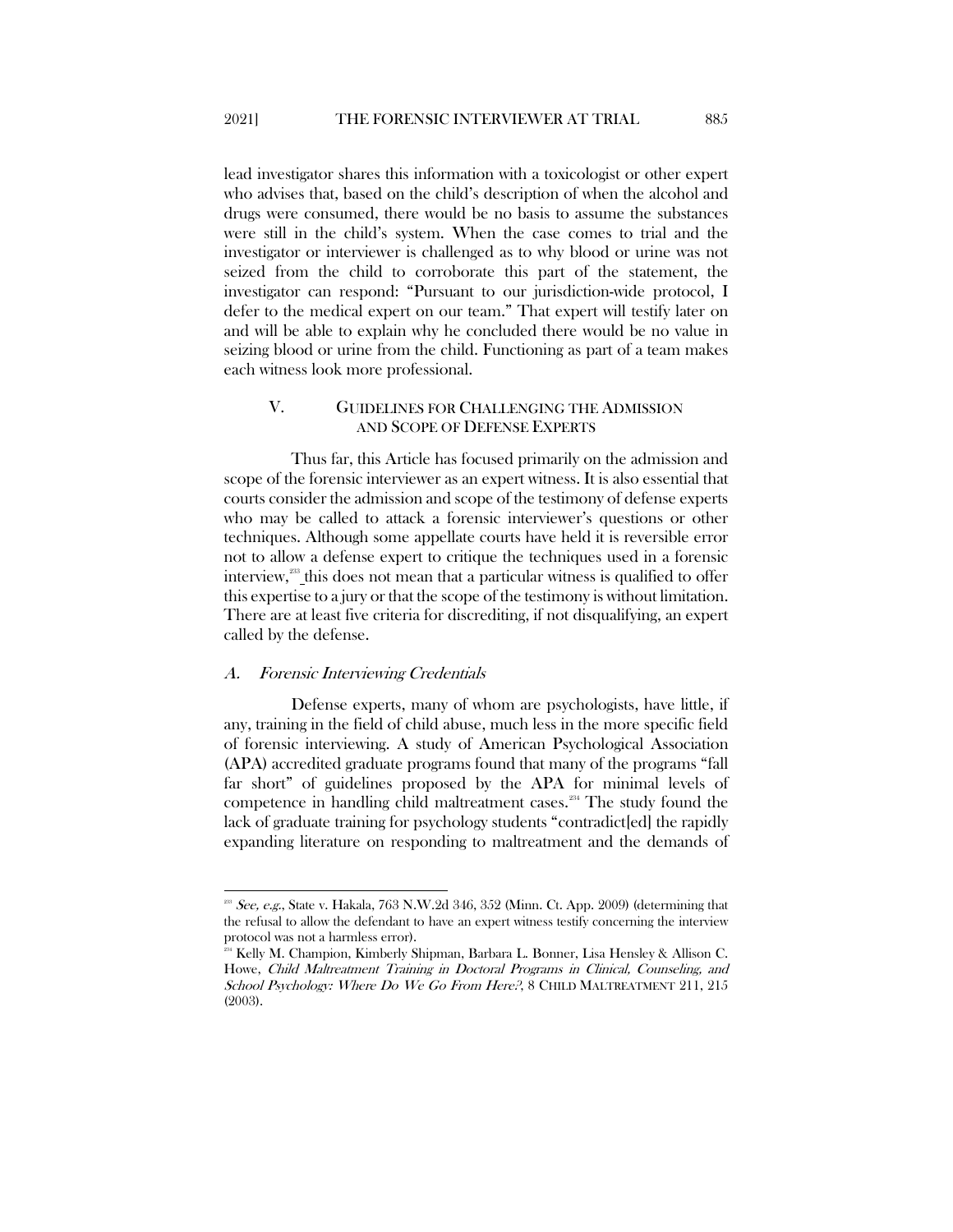lead investigator shares this information with a toxicologist or other expert who advises that, based on the child's description of when the alcohol and drugs were consumed, there would be no basis to assume the substances were still in the child's system. When the case comes to trial and the investigator or interviewer is challenged as to why blood or urine was not seized from the child to corroborate this part of the statement, the investigator can respond: "Pursuant to our jurisdiction-wide protocol, I defer to the medical expert on our team." That expert will testify later on and will be able to explain why he concluded there would be no value in seizing blood or urine from the child. Functioning as part of a team makes each witness look more professional.

## <span id="page-39-0"></span>V. GUIDELINES FOR CHALLENGING THE ADMISSION AND SCOPE OF DEFENSE EXPERTS

Thus far, this Article has focused primarily on the admission and scope of the forensic interviewer as an expert witness. It is also essential that courts consider the admission and scope of the testimony of defense experts who may be called to attack a forensic interviewer's questions or other techniques. Although some appellate courts have held it is reversible error not to allow a defense expert to critique the techniques used in a forensic interview,<sup>233</sup> this does not mean that a particular witness is qualified to offer this expertise to a jury or that the scope of the testimony is without limitation. There are at least five criteria for discrediting, if not disqualifying, an expert called by the defense.

#### <span id="page-39-1"></span>A. Forensic Interviewing Credentials

Defense experts, many of whom are psychologists, have little, if any, training in the field of child abuse, much less in the more specific field of forensic interviewing. A study of American Psychological Association (APA) accredited graduate programs found that many of the programs "fall far short" of guidelines proposed by the APA for minimal levels of competence in handling child maltreatment cases.<sup>[234](#page-39-3)</sup> The study found the lack of graduate training for psychology students "contradict[ed] the rapidly expanding literature on responding to maltreatment and the demands of

<span id="page-39-2"></span> $2^{23}$  See, e.g., State v. Hakala, 763 N.W.2d 346, 352 (Minn. Ct. App. 2009) (determining that the refusal to allow the defendant to have an expert witness testify concerning the interview protocol was not a harmless error).

<span id="page-39-3"></span> $^{34}$  Kelly M. Champion, Kimberly Shipman, Barbara L. Bonner, Lisa Hensley & Allison C. Howe, Child Maltreatment Training in Doctoral Programs in Clinical, Counseling, and School Psychology: Where Do We Go From Here?, 8 CHILD MALTREATMENT 211, 215 (2003).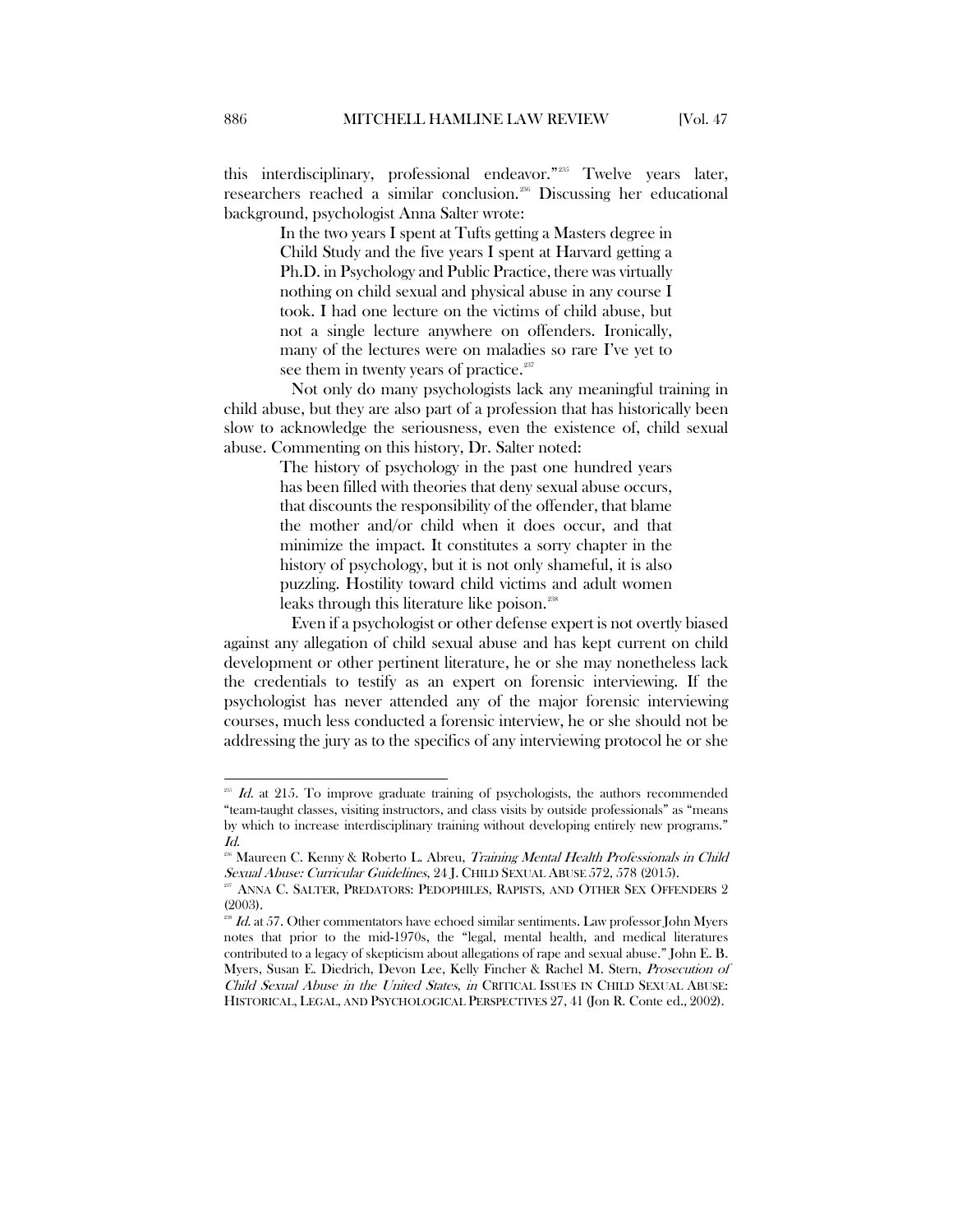this interdisciplinary, professional endeavor."<sup>[235](#page-40-0)</sup> Twelve years later, researchers reached a similar conclusion.[236](#page-40-1) Discussing her educational background, psychologist Anna Salter wrote:

> In the two years I spent at Tufts getting a Masters degree in Child Study and the five years I spent at Harvard getting a Ph.D. in Psychology and Public Practice, there was virtually nothing on child sexual and physical abuse in any course I took. I had one lecture on the victims of child abuse, but not a single lecture anywhere on offenders. Ironically, many of the lectures were on maladies so rare I've yet to see them in twenty years of practice. $237$

Not only do many psychologists lack any meaningful training in child abuse, but they are also part of a profession that has historically been slow to acknowledge the seriousness, even the existence of, child sexual abuse. Commenting on this history, Dr. Salter noted:

> The history of psychology in the past one hundred years has been filled with theories that deny sexual abuse occurs, that discounts the responsibility of the offender, that blame the mother and/or child when it does occur, and that minimize the impact. It constitutes a sorry chapter in the history of psychology, but it is not only shameful, it is also puzzling. Hostility toward child victims and adult women leaks through this literature like poison. [238](#page-40-3)

Even if a psychologist or other defense expert is not overtly biased against any allegation of child sexual abuse and has kept current on child development or other pertinent literature, he or she may nonetheless lack the credentials to testify as an expert on forensic interviewing. If the psychologist has never attended any of the major forensic interviewing courses, much less conducted a forensic interview, he or she should not be addressing the jury as to the specifics of any interviewing protocol he or she

<span id="page-40-0"></span> $^{255}$  Id. at 215. To improve graduate training of psychologists, the authors recommended "team-taught classes, visiting instructors, and class visits by outside professionals" as "means by which to increase interdisciplinary training without developing entirely new programs." Id.

<span id="page-40-1"></span><sup>&</sup>lt;sup>286</sup> Maureen C. Kenny & Roberto L. Abreu, *Training Mental Health Professionals in Child* Sexual Abuse: Curricular Guidelines, 24 J. CHILD SEXUAL ABUSE 572, 578 (2015).

<span id="page-40-2"></span>ANNA C. SALTER, PREDATORS: PEDOPHILES, RAPISTS, AND OTHER SEX OFFENDERS 2 (2003).

<span id="page-40-3"></span> $Id.$  at 57. Other commentators have echoed similar sentiments. Law professor John Myers notes that prior to the mid-1970s, the "legal, mental health, and medical literatures contributed to a legacy of skepticism about allegations of rape and sexual abuse." John E. B. Myers, Susan E. Diedrich, Devon Lee, Kelly Fincher & Rachel M. Stern, Prosecution of Child Sexual Abuse in the United States, in CRITICAL ISSUES IN CHILD SEXUAL ABUSE: HISTORICAL, LEGAL, AND PSYCHOLOGICAL PERSPECTIVES 27, 41 (Jon R. Conte ed., 2002).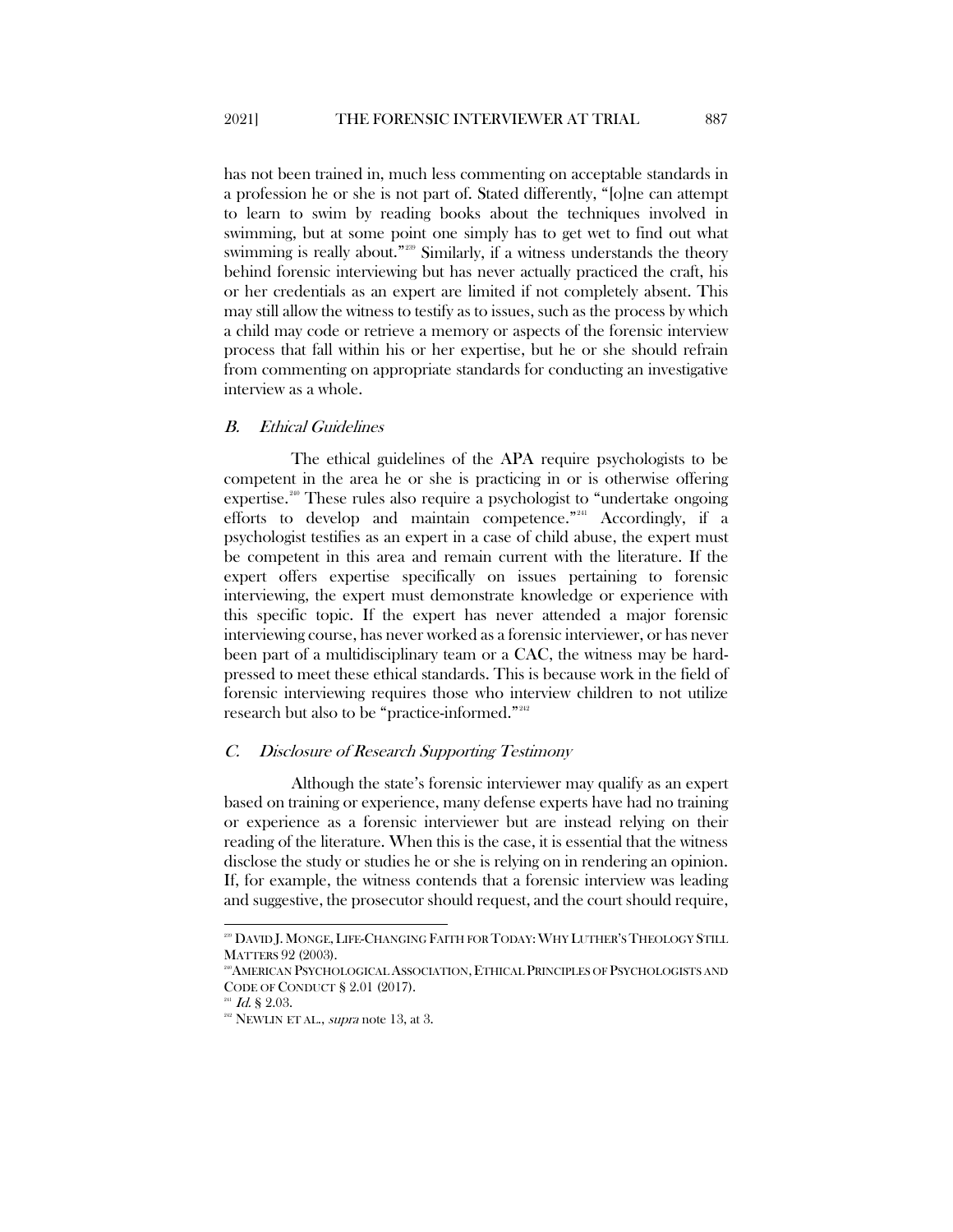has not been trained in, much less commenting on acceptable standards in a profession he or she is not part of. Stated differently, "[o]ne can attempt to learn to swim by reading books about the techniques involved in swimming, but at some point one simply has to get wet to find out what swimming is really about."<sup>229</sup> Similarly, if a witness understands the theory behind forensic interviewing but has never actually practiced the craft, his or her credentials as an expert are limited if not completely absent. This may still allow the witness to testify as to issues, such as the process by which a child may code or retrieve a memory or aspects of the forensic interview process that fall within his or her expertise, but he or she should refrain from commenting on appropriate standards for conducting an investigative interview as a whole.

#### <span id="page-41-0"></span>B. Ethical Guidelines

The ethical guidelines of the APA require psychologists to be competent in the area he or she is practicing in or is otherwise offering expertise.<sup>[240](#page-41-3)</sup> These rules also require a psychologist to "undertake ongoing" efforts to develop and maintain competence."[241](#page-41-4) Accordingly, if a psychologist testifies as an expert in a case of child abuse, the expert must be competent in this area and remain current with the literature. If the expert offers expertise specifically on issues pertaining to forensic interviewing, the expert must demonstrate knowledge or experience with this specific topic. If the expert has never attended a major forensic interviewing course, has never worked as a forensic interviewer, or has never been part of a multidisciplinary team or a CAC, the witness may be hardpressed to meet these ethical standards. This is because work in the field of forensic interviewing requires those who interview children to not utilize research but also to be "practice-informed."[242](#page-41-5)

#### <span id="page-41-1"></span>C. Disclosure of Research Supporting Testimony

Although the state's forensic interviewer may qualify as an expert based on training or experience, many defense experts have had no training or experience as a forensic interviewer but are instead relying on their reading of the literature. When this is the case, it is essential that the witness disclose the study or studies he or she is relying on in rendering an opinion. If, for example, the witness contends that a forensic interview was leading and suggestive, the prosecutor should request, and the court should require,

<span id="page-41-2"></span><sup>239</sup> DAVID J. MONGE, LIFE-CHANGING FAITH FOR TODAY:WHY LUTHER'S THEOLOGY STILL MATTERS 92 (2003).

<span id="page-41-3"></span><sup>&</sup>lt;sup>240</sup>AMERICAN PSYCHOLOGICAL ASSOCIATION, ETHICAL PRINCIPLES OF PSYCHOLOGISTS AND CODE OF CONDUCT § 2.01 (2017).

<span id="page-41-5"></span><span id="page-41-4"></span><sup>&</sup>lt;sup>241</sup> Id. § 2.03.<br><sup>242</sup> NEWLIN ET AL., *supra* note 13, at 3.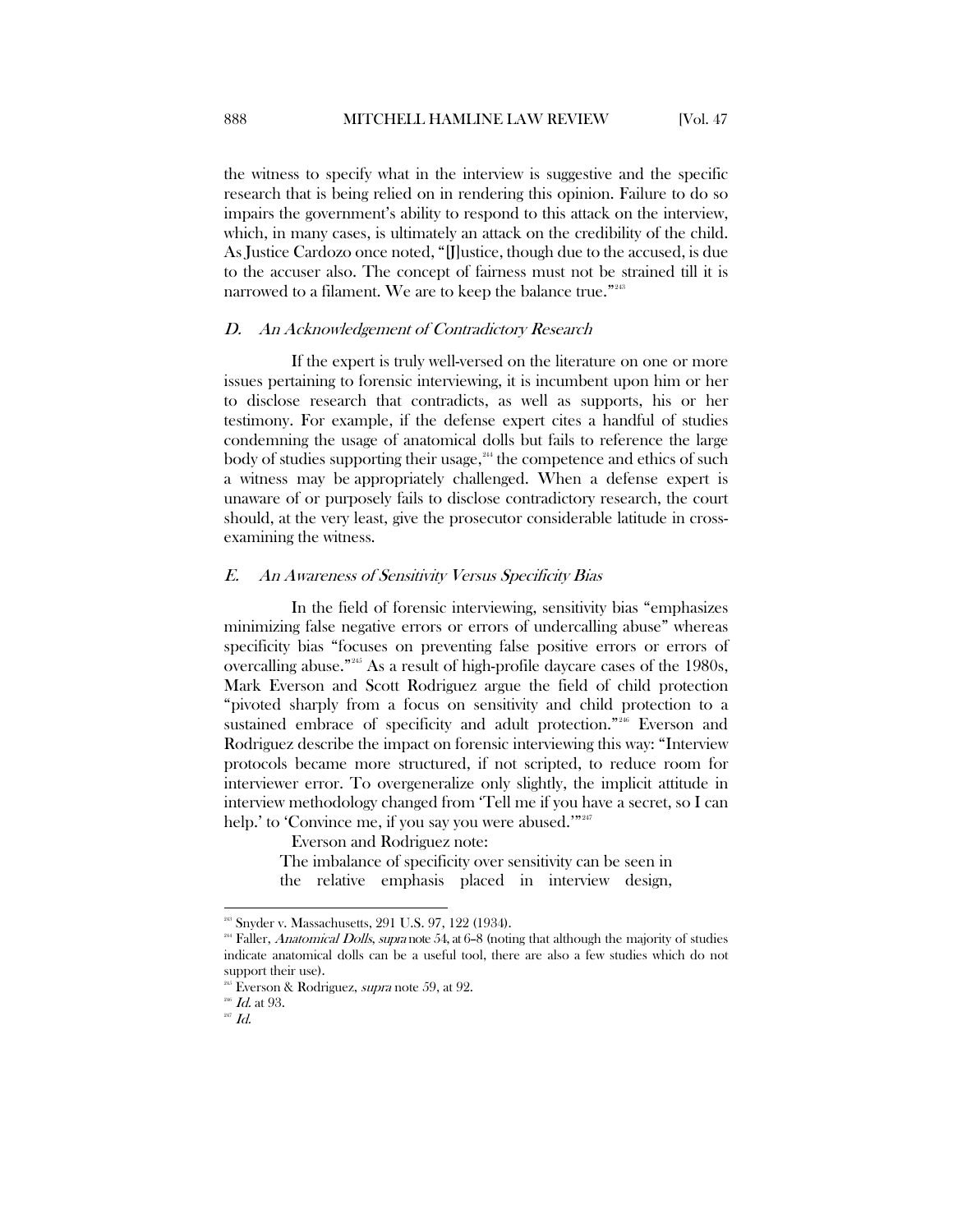the witness to specify what in the interview is suggestive and the specific research that is being relied on in rendering this opinion. Failure to do so impairs the government's ability to respond to this attack on the interview, which, in many cases, is ultimately an attack on the credibility of the child. As Justice Cardozo once noted, "[J]ustice, though due to the accused, is due to the accuser also. The concept of fairness must not be strained till it is narrowed to a filament. We are to keep the balance true."<sup>[243](#page-42-2)</sup>

#### <span id="page-42-0"></span>D. An Acknowledgement of Contradictory Research

If the expert is truly well-versed on the literature on one or more issues pertaining to forensic interviewing, it is incumbent upon him or her to disclose research that contradicts, as well as supports, his or her testimony. For example, if the defense expert cites a handful of studies condemning the usage of anatomical dolls but fails to reference the large body of studies supporting their usage,<sup>[244](#page-42-3)</sup> the competence and ethics of such a witness may be appropriately challenged. When a defense expert is unaware of or purposely fails to disclose contradictory research, the court should, at the very least, give the prosecutor considerable latitude in crossexamining the witness.

#### <span id="page-42-1"></span>E. An Awareness of Sensitivity Versus Specificity Bias

In the field of forensic interviewing, sensitivity bias "emphasizes minimizing false negative errors or errors of undercalling abuse" whereas specificity bias "focuses on preventing false positive errors or errors of overcalling abuse."[245](#page-42-4) As a result of high-profile daycare cases of the 1980s, Mark Everson and Scott Rodriguez argue the field of child protection "pivoted sharply from a focus on sensitivity and child protection to a sustained embrace of specificity and adult protection."<sup>[246](#page-42-5)</sup> Everson and Rodriguez describe the impact on forensic interviewing this way: "Interview protocols became more structured, if not scripted, to reduce room for interviewer error. To overgeneralize only slightly, the implicit attitude in interview methodology changed from 'Tell me if you have a secret, so I can help.' to 'Convince me, if you say you were abused.'"<sup>[247](#page-42-6)</sup>

Everson and Rodriguez note:

The imbalance of specificity over sensitivity can be seen in the relative emphasis placed in interview design,

<sup>&</sup>lt;sup>248</sup> Snyder v. Massachusetts, 291 U.S. 97, 122 (1934).

<span id="page-42-3"></span><span id="page-42-2"></span><sup>&</sup>lt;sup>244</sup> Faller, *Anatomical Dolls, supra* note 54, at 6-8 (noting that although the majority of studies indicate anatomical dolls can be a useful tool, there are also a few studies which do not support their use).

<sup>&</sup>lt;sup>245</sup> Everson & Rodriguez, *supra* note 59, at 92.

<span id="page-42-6"></span><span id="page-42-5"></span><span id="page-42-4"></span> $^{246}$  *Id.* at 93.<br> $^{247}$  *Id.*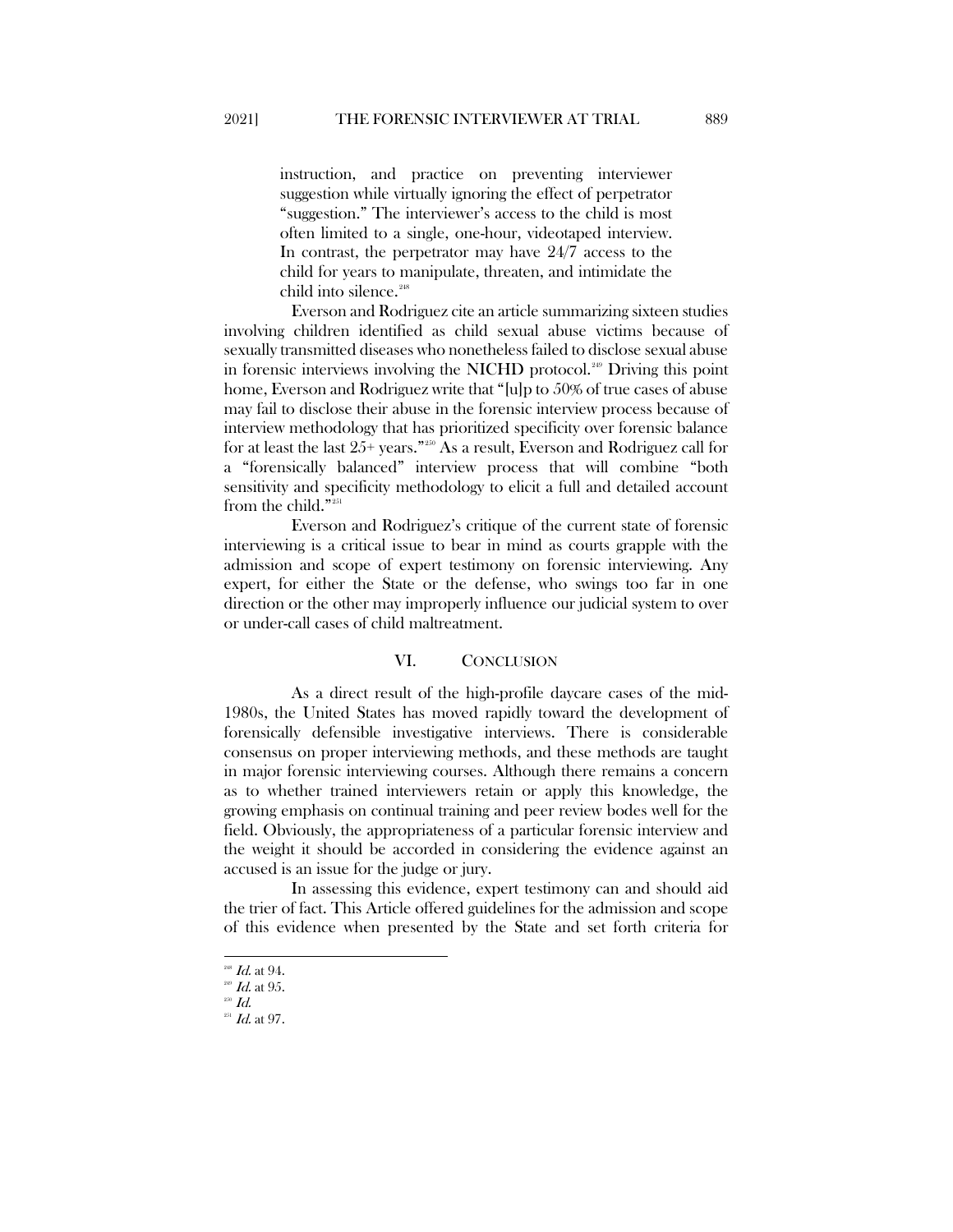instruction, and practice on preventing interviewer suggestion while virtually ignoring the effect of perpetrator "suggestion." The interviewer's access to the child is most often limited to a single, one-hour, videotaped interview. In contrast, the perpetrator may have 24/7 access to the child for years to manipulate, threaten, and intimidate the child into silence.<sup>248</sup>

Everson and Rodriguez cite an article summarizing sixteen studies involving children identified as child sexual abuse victims because of sexually transmitted diseases who nonetheless failed to disclose sexual abuse in forensic interviews involving the NICHD protocol.<sup>[249](#page-43-2)</sup> Driving this point home, Everson and Rodriguez write that "[u]p to 50% of true cases of abuse may fail to disclose their abuse in the forensic interview process because of interview methodology that has prioritized specificity over forensic balance for at least the last  $25+$  years."<sup>[250](#page-43-3)</sup> As a result, Everson and Rodriguez call for a "forensically balanced" interview process that will combine "both sensitivity and specificity methodology to elicit a full and detailed account from the child."<sup>[251](#page-43-4)</sup>

Everson and Rodriguez's critique of the current state of forensic interviewing is a critical issue to bear in mind as courts grapple with the admission and scope of expert testimony on forensic interviewing. Any expert, for either the State or the defense, who swings too far in one direction or the other may improperly influence our judicial system to over or under-call cases of child maltreatment.

#### VI. CONCLUSION

<span id="page-43-0"></span>As a direct result of the high-profile daycare cases of the mid-1980s, the United States has moved rapidly toward the development of forensically defensible investigative interviews. There is considerable consensus on proper interviewing methods, and these methods are taught in major forensic interviewing courses. Although there remains a concern as to whether trained interviewers retain or apply this knowledge, the growing emphasis on continual training and peer review bodes well for the field. Obviously, the appropriateness of a particular forensic interview and the weight it should be accorded in considering the evidence against an accused is an issue for the judge or jury.

In assessing this evidence, expert testimony can and should aid the trier of fact. This Article offered guidelines for the admission and scope of this evidence when presented by the State and set forth criteria for

<span id="page-43-3"></span><span id="page-43-2"></span><span id="page-43-1"></span><sup>&</sup>lt;sup>248</sup> *Id.* at 94.<br><sup>249</sup> *Id.* at 95.<br><sup>250</sup> *Id.* at 97.

<span id="page-43-4"></span>